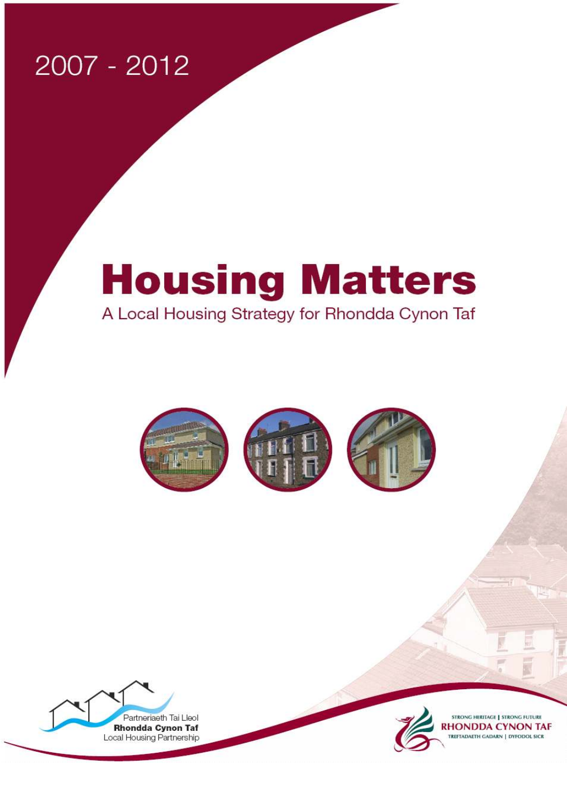# 2007 - 2012

# **Housing Matters** A Local Housing Strategy for Rhondda Cynon Taf







**STRONG HERITAGE | STRONG FUTURE RHONDDA CYNON TAF** TREFTADAETH GADARN | DYFODOL SICR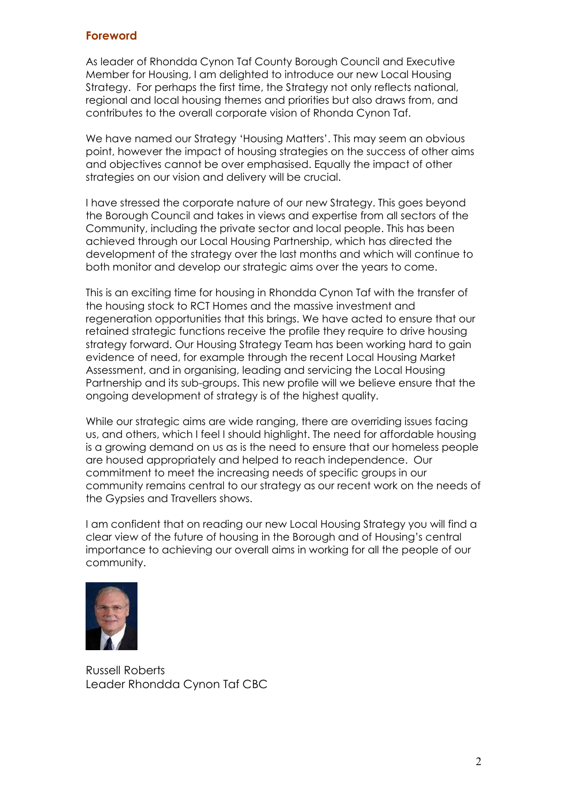#### Foreword

As leader of Rhondda Cynon Taf County Borough Council and Executive Member for Housing, I am delighted to introduce our new Local Housing Strategy. For perhaps the first time, the Strategy not only reflects national, regional and local housing themes and priorities but also draws from, and contributes to the overall corporate vision of Rhonda Cynon Taf.

We have named our Strategy 'Housing Matters'. This may seem an obvious point, however the impact of housing strategies on the success of other aims and objectives cannot be over emphasised. Equally the impact of other strategies on our vision and delivery will be crucial.

I have stressed the corporate nature of our new Strategy. This goes beyond the Borough Council and takes in views and expertise from all sectors of the Community, including the private sector and local people. This has been achieved through our Local Housing Partnership, which has directed the development of the strategy over the last months and which will continue to both monitor and develop our strategic aims over the years to come.

This is an exciting time for housing in Rhondda Cynon Taf with the transfer of the housing stock to RCT Homes and the massive investment and regeneration opportunities that this brings. We have acted to ensure that our retained strategic functions receive the profile they require to drive housing strategy forward. Our Housing Strategy Team has been working hard to gain evidence of need, for example through the recent Local Housing Market Assessment, and in organising, leading and servicing the Local Housing Partnership and its sub-groups. This new profile will we believe ensure that the ongoing development of strategy is of the highest quality.

While our strategic aims are wide ranging, there are overriding issues facing us, and others, which I feel I should highlight. The need for affordable housing is a growing demand on us as is the need to ensure that our homeless people are housed appropriately and helped to reach independence. Our commitment to meet the increasing needs of specific groups in our community remains central to our strategy as our recent work on the needs of the Gypsies and Travellers shows.

I am confident that on reading our new Local Housing Strategy you will find a clear view of the future of housing in the Borough and of Housing's central importance to achieving our overall aims in working for all the people of our community.



Russell Roberts Leader Rhondda Cynon Taf CBC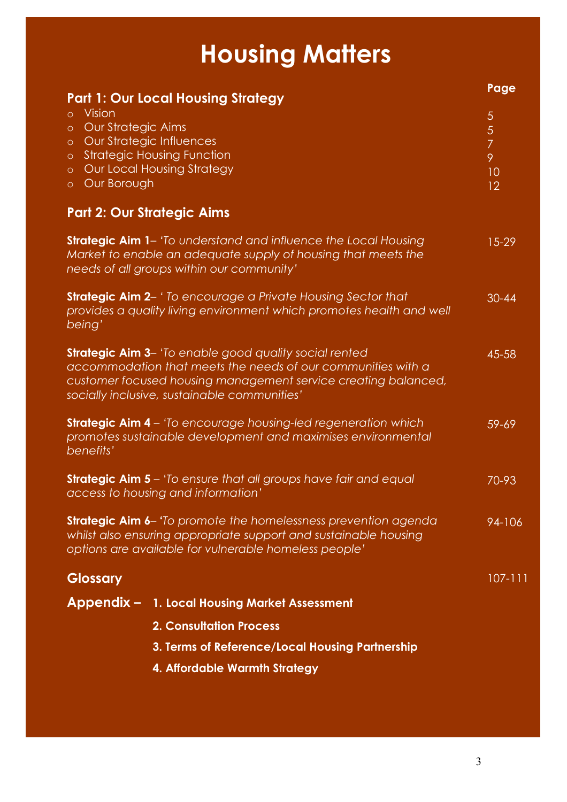# Housing Matters

| <b>Part 1: Our Local Housing Strategy</b>                                                                                                                                                                                                       | Page                                                   |
|-------------------------------------------------------------------------------------------------------------------------------------------------------------------------------------------------------------------------------------------------|--------------------------------------------------------|
| <b>Vision</b><br>$\circ$<br><b>Our Strategic Aims</b><br>$\circ$<br>o Our Strategic Influences<br><b>Strategic Housing Function</b><br>$\circ$<br><b>Our Local Housing Strategy</b><br>$\circ$<br>Our Borough<br>$\circ$                        | 5<br>$\overline{5}$<br>$\overline{7}$<br>9<br>10<br>12 |
| <b>Part 2: Our Strategic Aims</b>                                                                                                                                                                                                               |                                                        |
| <b>Strategic Aim 1</b> – 'To understand and influence the Local Housing<br>Market to enable an adequate supply of housing that meets the<br>needs of all groups within our community'                                                           | $15 - 29$                                              |
| <b>Strategic Aim 2-</b> 'To encourage a Private Housing Sector that<br>provides a quality living environment which promotes health and well<br>being'                                                                                           | $30 - 44$                                              |
| <b>Strategic Aim 3-</b> 'To enable good quality social rented<br>accommodation that meets the needs of our communities with a<br>customer focused housing management service creating balanced,<br>socially inclusive, sustainable communities' | 45-58                                                  |
| <b>Strategic Aim 4</b> – 'To encourage housing-led regeneration which<br>promotes sustainable development and maximises environmental<br>benefits'                                                                                              | 59-69                                                  |
| <b>Strategic Aim 5</b> – 'To ensure that all groups have fair and equal<br>access to housing and information'                                                                                                                                   | 70-93                                                  |
| <b>Strategic Aim 6-</b> 'To promote the homelessness prevention agenda<br>whilst also ensuring appropriate support and sustainable housing<br>options are available for vulnerable homeless people'                                             | 94-106                                                 |
| <b>Glossary</b>                                                                                                                                                                                                                                 | $107 - 111$                                            |
| Appendix - 1. Local Housing Market Assessment                                                                                                                                                                                                   |                                                        |
| <b>2. Consultation Process</b>                                                                                                                                                                                                                  |                                                        |
| 3. Terms of Reference/Local Housing Partnership                                                                                                                                                                                                 |                                                        |
| 4. Affordable Warmth Strategy                                                                                                                                                                                                                   |                                                        |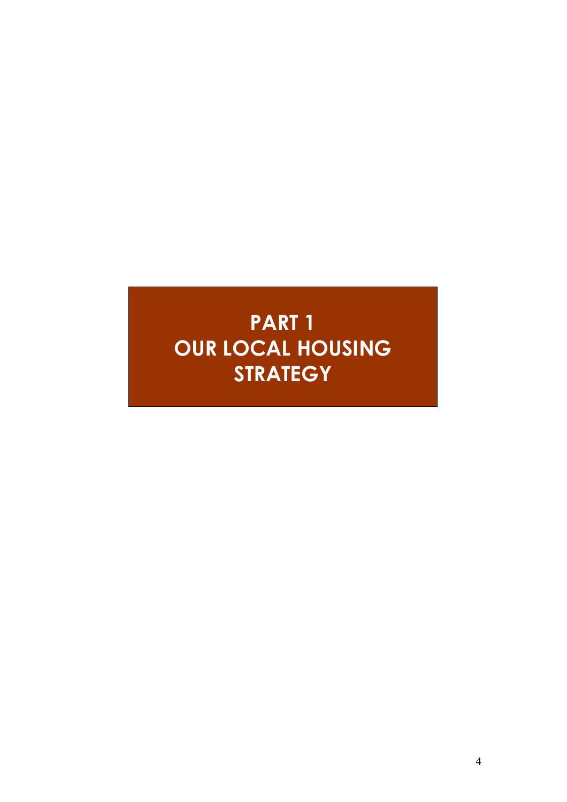# PART 1 OUR LOCAL HOUSING **STRATEGY**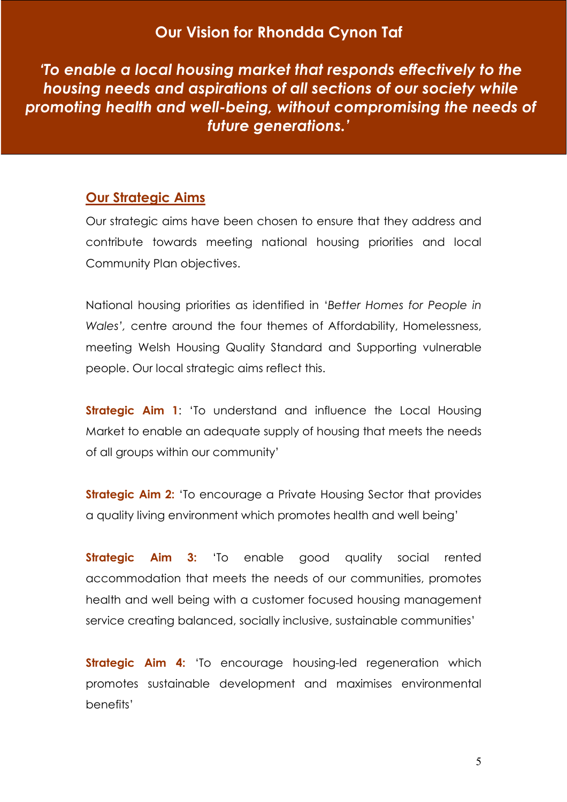# Our Vision for Rhondda Cynon Taf

 'To enable a local housing market that responds effectively to the housing needs and aspirations of all sections of our society while promoting health and well-being, without compromising the needs of future generations.'

# Our Strategic Aims

Our strategic aims have been chosen to ensure that they address and contribute towards meeting national housing priorities and local Community Plan objectives.

National housing priorities as identified in 'Better Homes for People in Wales', centre around the four themes of Affordability, Homelessness, meeting Welsh Housing Quality Standard and Supporting vulnerable people. Our local strategic aims reflect this.

**Strategic Aim 1:** 'To understand and influence the Local Housing Market to enable an adequate supply of housing that meets the needs of all groups within our community'

**Strategic Aim 2:** 'To encourage a Private Housing Sector that provides a quality living environment which promotes health and well being'

**Strategic Aim 3:** 'To enable good quality social rented accommodation that meets the needs of our communities, promotes health and well being with a customer focused housing management service creating balanced, socially inclusive, sustainable communities'

**Strategic Aim 4:** 'To encourage housing-led regeneration which promotes sustainable development and maximises environmental benefits'

5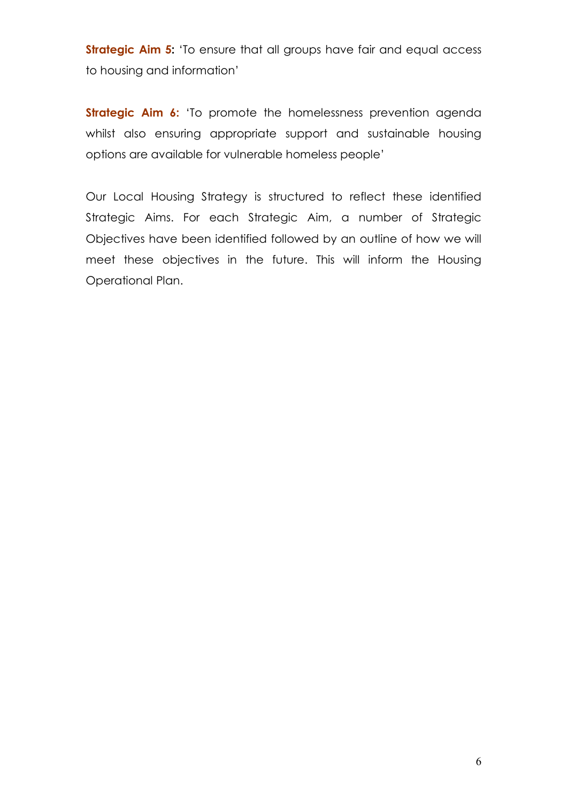Strategic Aim 5: 'To ensure that all groups have fair and equal access to housing and information'

**Strategic Aim 6:** 'To promote the homelessness prevention agenda whilst also ensuring appropriate support and sustainable housing options are available for vulnerable homeless people'

Our Local Housing Strategy is structured to reflect these identified Strategic Aims. For each Strategic Aim, a number of Strategic Objectives have been identified followed by an outline of how we will meet these objectives in the future. This will inform the Housing Operational Plan.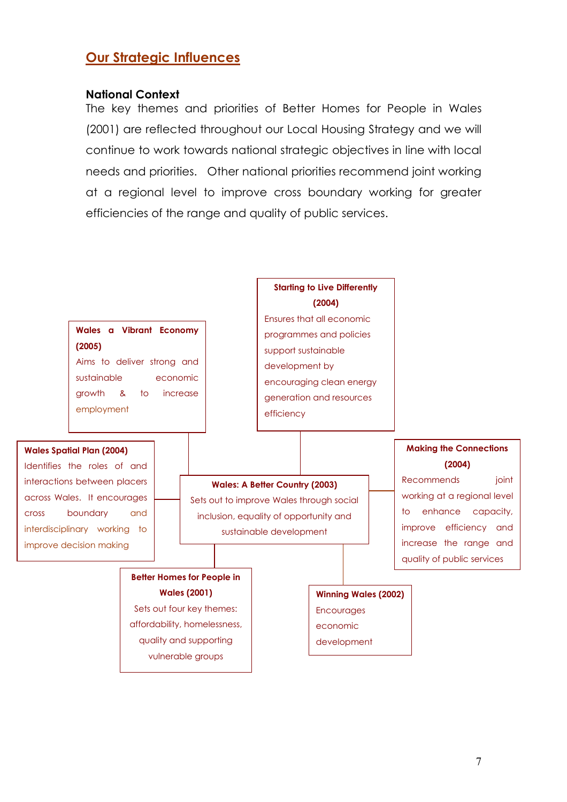# Our Strategic Influences

#### National Context

The key themes and priorities of Better Homes for People in Wales (2001) are reflected throughout our Local Housing Strategy and we will continue to work towards national strategic objectives in line with local needs and priorities. Other national priorities recommend joint working at a regional level to improve cross boundary working for greater efficiencies of the range and quality of public services.

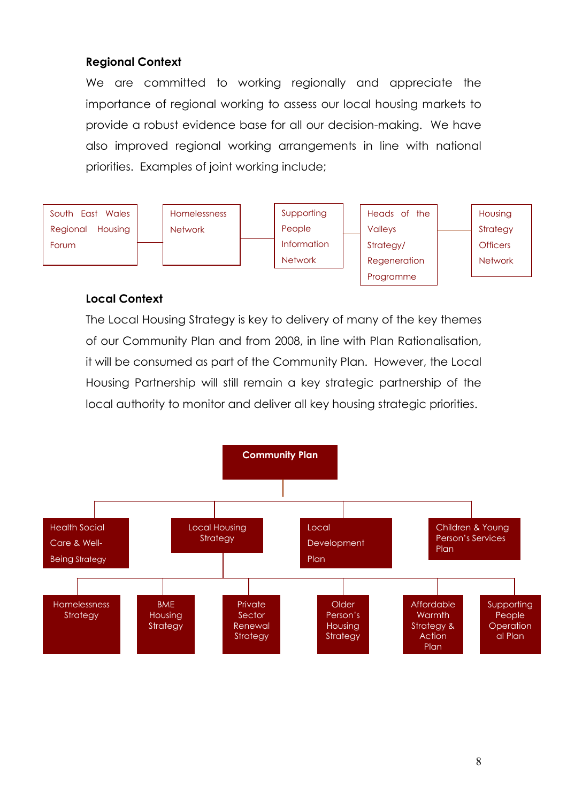# Regional Context

We are committed to working regionally and appreciate the importance of regional working to assess our local housing markets to provide a robust evidence base for all our decision-making. We have also improved regional working arrangements in line with national priorities. Examples of joint working include;



#### Local Context

The Local Housing Strategy is key to delivery of many of the key themes of our Community Plan and from 2008, in line with Plan Rationalisation, it will be consumed as part of the Community Plan. However, the Local Housing Partnership will still remain a key strategic partnership of the local authority to monitor and deliver all key housing strategic priorities.

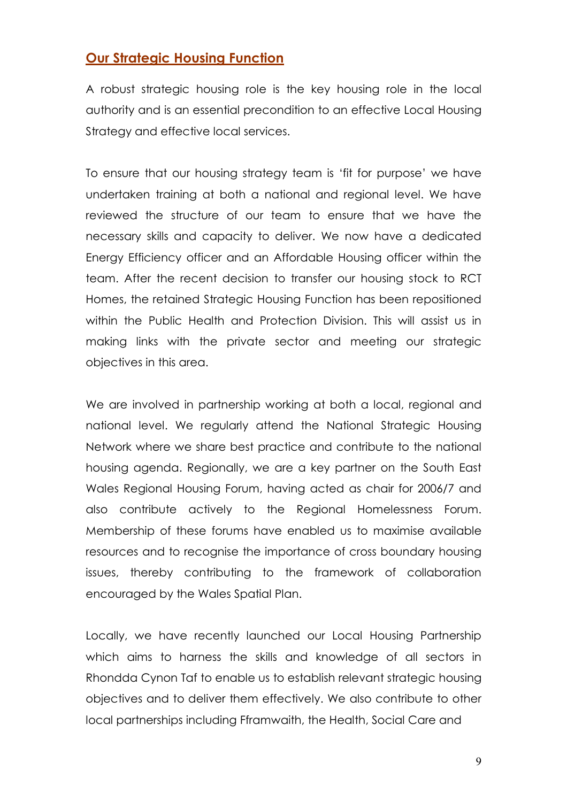# Our Strategic Housing Function

A robust strategic housing role is the key housing role in the local authority and is an essential precondition to an effective Local Housing Strategy and effective local services.

To ensure that our housing strategy team is 'fit for purpose' we have undertaken training at both a national and regional level. We have reviewed the structure of our team to ensure that we have the necessary skills and capacity to deliver. We now have a dedicated Energy Efficiency officer and an Affordable Housing officer within the team. After the recent decision to transfer our housing stock to RCT Homes, the retained Strategic Housing Function has been repositioned within the Public Health and Protection Division. This will assist us in making links with the private sector and meeting our strategic objectives in this area.

We are involved in partnership working at both a local, regional and national level. We regularly attend the National Strategic Housing Network where we share best practice and contribute to the national housing agenda. Regionally, we are a key partner on the South East Wales Regional Housing Forum, having acted as chair for 2006/7 and also contribute actively to the Regional Homelessness Forum. Membership of these forums have enabled us to maximise available resources and to recognise the importance of cross boundary housing issues, thereby contributing to the framework of collaboration encouraged by the Wales Spatial Plan.

Locally, we have recently launched our Local Housing Partnership which aims to harness the skills and knowledge of all sectors in Rhondda Cynon Taf to enable us to establish relevant strategic housing objectives and to deliver them effectively. We also contribute to other local partnerships including Fframwaith, the Health, Social Care and

9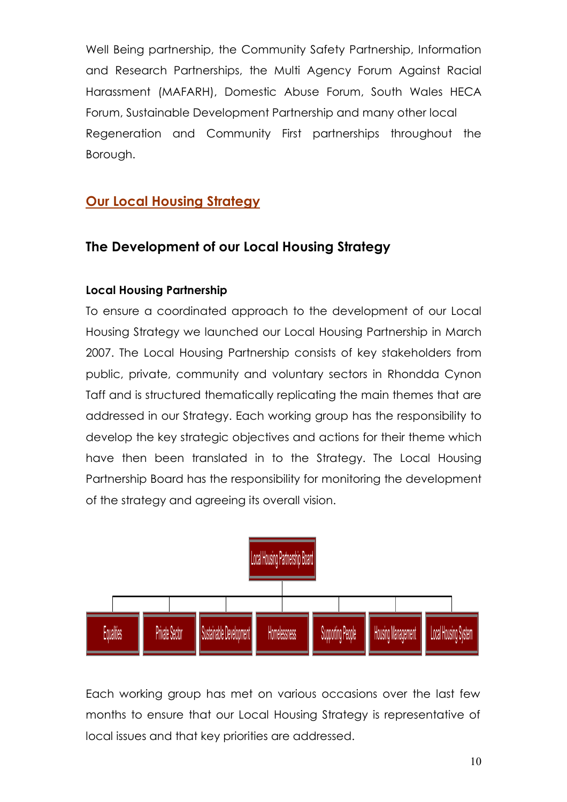Well Being partnership, the Community Safety Partnership, Information and Research Partnerships, the Multi Agency Forum Against Racial Harassment (MAFARH), Domestic Abuse Forum, South Wales HECA Forum, Sustainable Development Partnership and many other local Regeneration and Community First partnerships throughout the Borough.

# Our Local Housing Strategy

# The Development of our Local Housing Strategy

# Local Housing Partnership

To ensure a coordinated approach to the development of our Local Housing Strategy we launched our Local Housing Partnership in March 2007. The Local Housing Partnership consists of key stakeholders from public, private, community and voluntary sectors in Rhondda Cynon Taff and is structured thematically replicating the main themes that are addressed in our Strategy. Each working group has the responsibility to develop the key strategic objectives and actions for their theme which have then been translated in to the Strategy. The Local Housing Partnership Board has the responsibility for monitoring the development of the strategy and agreeing its overall vision.



Each working group has met on various occasions over the last few months to ensure that our Local Housing Strategy is representative of local issues and that key priorities are addressed.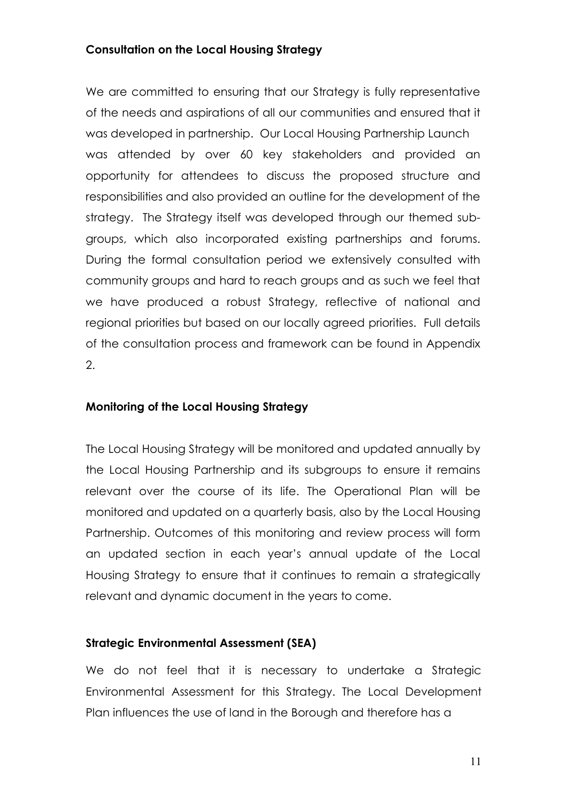#### Consultation on the Local Housing Strategy

We are committed to ensuring that our Strategy is fully representative of the needs and aspirations of all our communities and ensured that it was developed in partnership. Our Local Housing Partnership Launch was attended by over 60 key stakeholders and provided an opportunity for attendees to discuss the proposed structure and responsibilities and also provided an outline for the development of the strategy. The Strategy itself was developed through our themed subgroups, which also incorporated existing partnerships and forums. During the formal consultation period we extensively consulted with community groups and hard to reach groups and as such we feel that we have produced a robust Strategy, reflective of national and regional priorities but based on our locally agreed priorities. Full details of the consultation process and framework can be found in Appendix 2.

#### Monitoring of the Local Housing Strategy

The Local Housing Strategy will be monitored and updated annually by the Local Housing Partnership and its subgroups to ensure it remains relevant over the course of its life. The Operational Plan will be monitored and updated on a quarterly basis, also by the Local Housing Partnership. Outcomes of this monitoring and review process will form an updated section in each year's annual update of the Local Housing Strategy to ensure that it continues to remain a strategically relevant and dynamic document in the years to come.

#### Strategic Environmental Assessment (SEA)

We do not feel that it is necessary to undertake a Strategic Environmental Assessment for this Strategy. The Local Development Plan influences the use of land in the Borough and therefore has a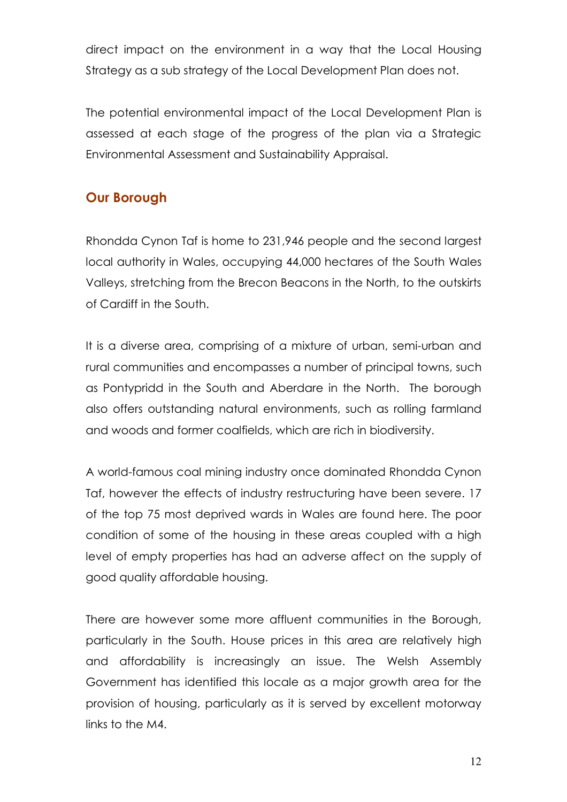direct impact on the environment in a way that the Local Housing Strategy as a sub strategy of the Local Development Plan does not.

The potential environmental impact of the Local Development Plan is assessed at each stage of the progress of the plan via a Strategic Environmental Assessment and Sustainability Appraisal.

# Our Borough

Rhondda Cynon Taf is home to 231,946 people and the second largest local authority in Wales, occupying 44,000 hectares of the South Wales Valleys, stretching from the Brecon Beacons in the North, to the outskirts of Cardiff in the South.

It is a diverse area, comprising of a mixture of urban, semi-urban and rural communities and encompasses a number of principal towns, such as Pontypridd in the South and Aberdare in the North. The borough also offers outstanding natural environments, such as rolling farmland and woods and former coalfields, which are rich in biodiversity.

A world-famous coal mining industry once dominated Rhondda Cynon Taf, however the effects of industry restructuring have been severe. 17 of the top 75 most deprived wards in Wales are found here. The poor condition of some of the housing in these areas coupled with a high level of empty properties has had an adverse affect on the supply of good quality affordable housing.

There are however some more affluent communities in the Borough, particularly in the South. House prices in this area are relatively high and affordability is increasingly an issue. The Welsh Assembly Government has identified this locale as a major growth area for the provision of housing, particularly as it is served by excellent motorway links to the M4.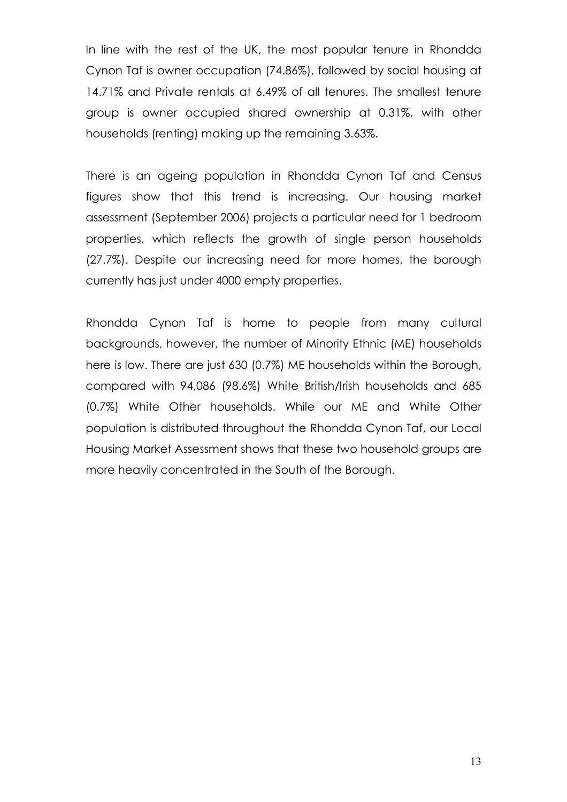In line with the rest of the UK, the most popular tenure in Rhondda Cynon Taf is owner occupation (74.86%), followed by social housing at 14.71% and Private rentals at 6.49% of all tenures. The smallest tenure group is owner occupied shared ownership at 0.31%, with other households (renting) making up the remaining 3.63%.

There is an ageing population in Rhondda Cynon Taf and Census figures show that this trend is increasing. Our housing market assessment (September 2006) projects a particular need for 1 bedroom properties, which reflects the growth of single person households (27.7%). Despite our increasing need for more homes, the borough currently has just under 4000 empty properties.

Rhondda Cynon Taf is home to people from many cultural backgrounds, however, the number of Minority Ethnic (ME) households here is low. There are just 630 (0.7%) ME households within the Borough, compared with 94,086 (98.6%) White British/Irish households and 685 (0.7%) White Other households. While our ME and White Other population is distributed throughout the Rhondda Cynon Taf, our Local Housing Market Assessment shows that these two household groups are more heavily concentrated in the South of the Borough.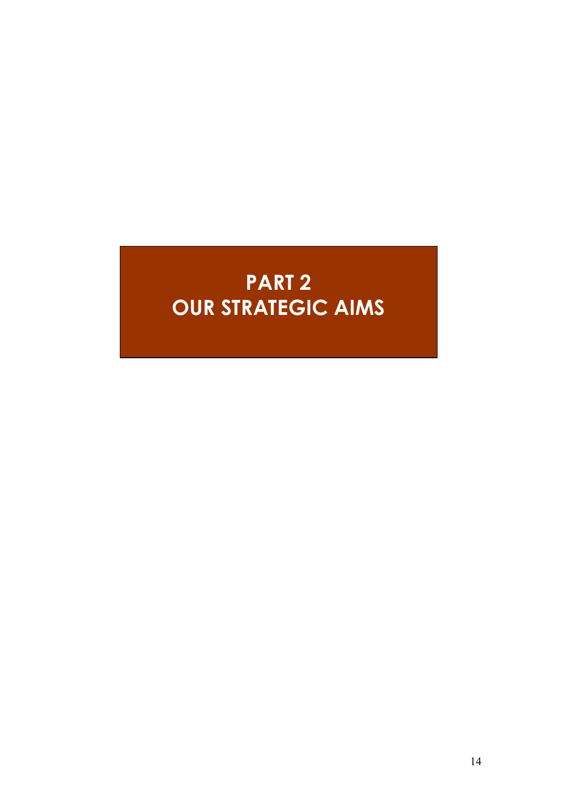# PART 2 OUR STRATEGIC AIMS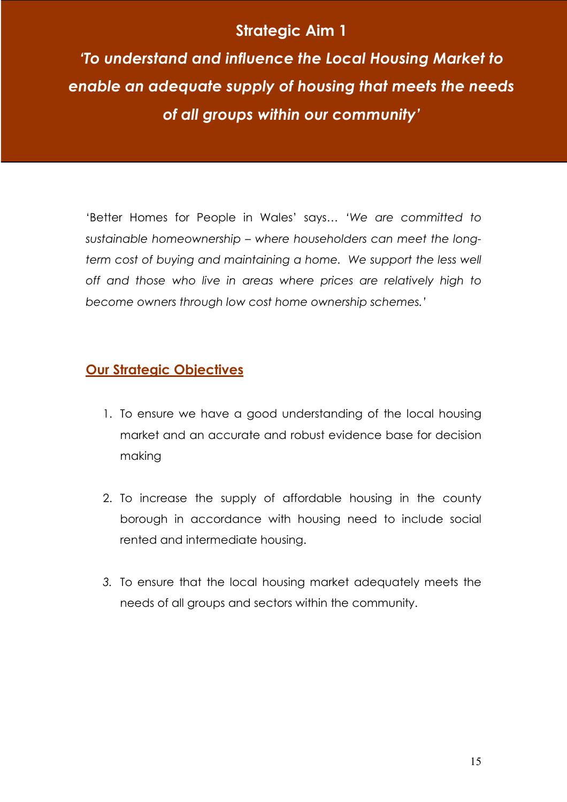# Strategic Aim 1

'To understand and influence the Local Housing Market to enable an adequate supply of housing that meets the needs of all groups within our community'

'Better Homes for People in Wales' says… 'We are committed to sustainable homeownership – where householders can meet the longterm cost of buying and maintaining a home. We support the less well off and those who live in areas where prices are relatively high to become owners through low cost home ownership schemes.'

# Our Strategic Objectives

- 1. To ensure we have a good understanding of the local housing market and an accurate and robust evidence base for decision making
- 2. To increase the supply of affordable housing in the county borough in accordance with housing need to include social rented and intermediate housing.
- 3. To ensure that the local housing market adequately meets the needs of all groups and sectors within the community.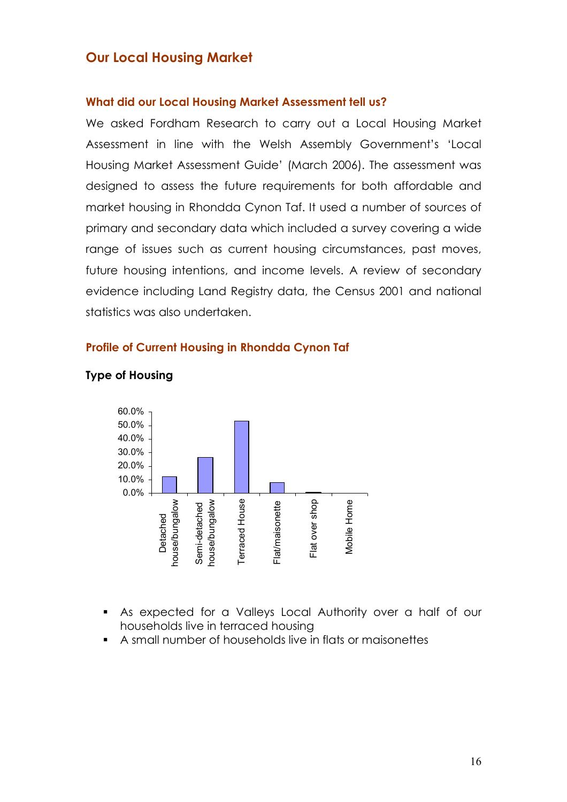# Our Local Housing Market

#### What did our Local Housing Market Assessment tell us?

We asked Fordham Research to carry out a Local Housing Market Assessment in line with the Welsh Assembly Government's 'Local Housing Market Assessment Guide' (March 2006). The assessment was designed to assess the future requirements for both affordable and market housing in Rhondda Cynon Taf. It used a number of sources of primary and secondary data which included a survey covering a wide range of issues such as current housing circumstances, past moves, future housing intentions, and income levels. A review of secondary evidence including Land Registry data, the Census 2001 and national statistics was also undertaken.

#### Profile of Current Housing in Rhondda Cynon Taf



#### Type of Housing

- As expected for a Valleys Local Authority over a half of our households live in terraced housing
- A small number of households live in flats or maisonettes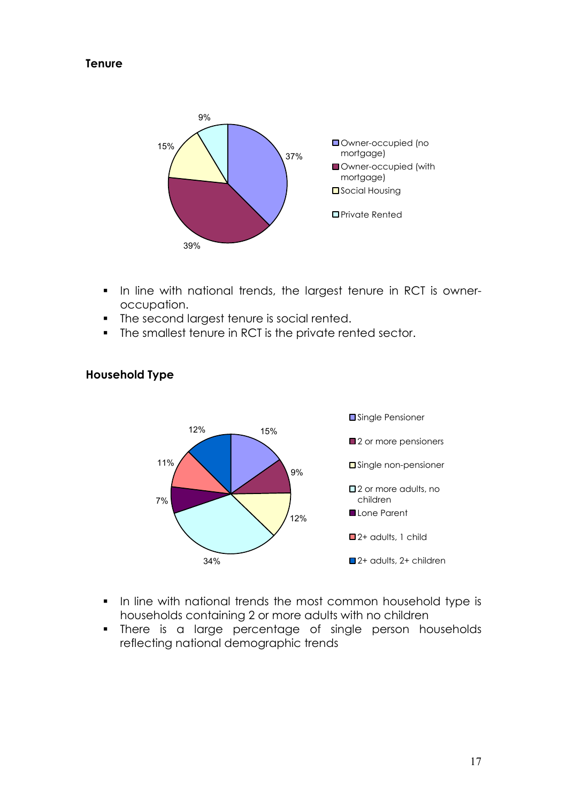#### **Tenure**



- In line with national trends, the largest tenure in RCT is owneroccupation.
- The second largest tenure is social rented.
- The smallest tenure in RCT is the private rented sector.



#### Household Type

- In line with national trends the most common household type is households containing 2 or more adults with no children
- **There is a large percentage of single person households** reflecting national demographic trends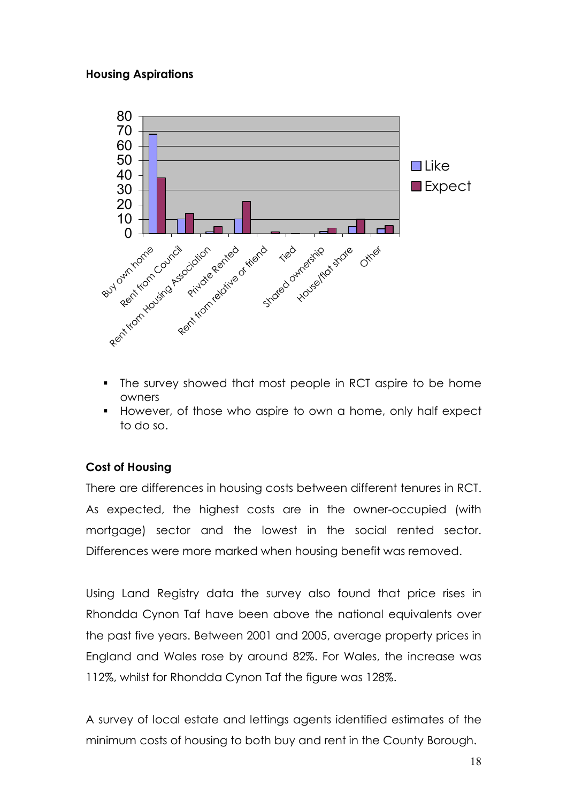#### Housing Aspirations



- The survey showed that most people in RCT aspire to be home owners
- However, of those who aspire to own a home, only half expect to do so.

# Cost of Housing

There are differences in housing costs between different tenures in RCT. As expected, the highest costs are in the owner-occupied (with mortgage) sector and the lowest in the social rented sector. Differences were more marked when housing benefit was removed.

Using Land Registry data the survey also found that price rises in Rhondda Cynon Taf have been above the national equivalents over the past five years. Between 2001 and 2005, average property prices in England and Wales rose by around 82%. For Wales, the increase was 112%, whilst for Rhondda Cynon Taf the figure was 128%.

A survey of local estate and lettings agents identified estimates of the minimum costs of housing to both buy and rent in the County Borough.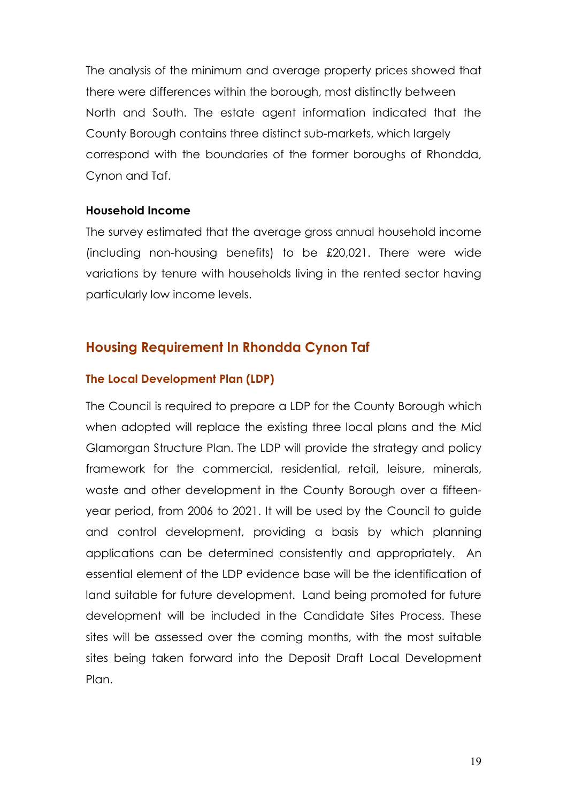The analysis of the minimum and average property prices showed that there were differences within the borough, most distinctly between North and South. The estate agent information indicated that the County Borough contains three distinct sub-markets, which largely correspond with the boundaries of the former boroughs of Rhondda, Cynon and Taf.

#### Household Income

The survey estimated that the average gross annual household income (including non-housing benefits) to be £20,021. There were wide variations by tenure with households living in the rented sector having particularly low income levels.

# Housing Requirement In Rhondda Cynon Taf

#### The Local Development Plan (LDP)

The Council is required to prepare a LDP for the County Borough which when adopted will replace the existing three local plans and the Mid Glamorgan Structure Plan. The LDP will provide the strategy and policy framework for the commercial, residential, retail, leisure, minerals, waste and other development in the County Borough over a fifteenyear period, from 2006 to 2021. It will be used by the Council to guide and control development, providing a basis by which planning applications can be determined consistently and appropriately. An essential element of the LDP evidence base will be the identification of land suitable for future development. Land being promoted for future development will be included in the Candidate Sites Process. These sites will be assessed over the coming months, with the most suitable sites being taken forward into the Deposit Draft Local Development Plan.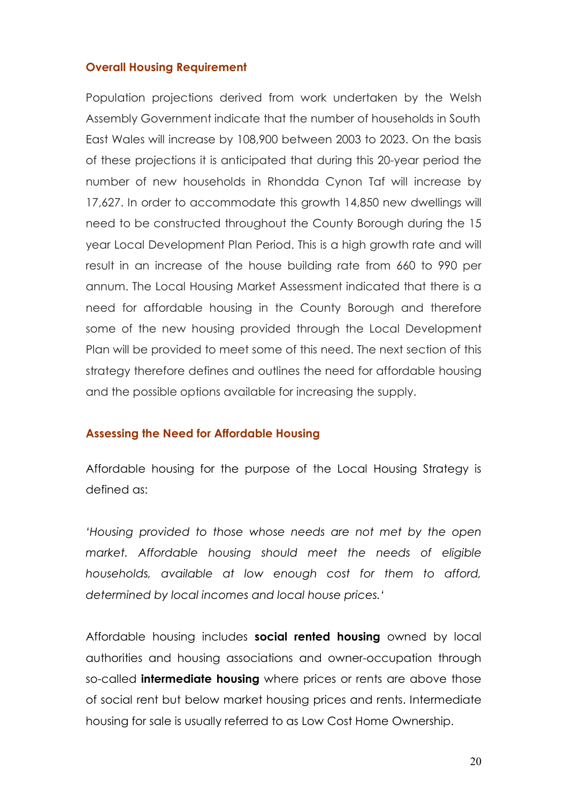#### Overall Housing Requirement

Population projections derived from work undertaken by the Welsh Assembly Government indicate that the number of households in South East Wales will increase by 108,900 between 2003 to 2023. On the basis of these projections it is anticipated that during this 20-year period the number of new households in Rhondda Cynon Taf will increase by 17,627. In order to accommodate this growth 14,850 new dwellings will need to be constructed throughout the County Borough during the 15 year Local Development Plan Period. This is a high growth rate and will result in an increase of the house building rate from 660 to 990 per annum. The Local Housing Market Assessment indicated that there is a need for affordable housing in the County Borough and therefore some of the new housing provided through the Local Development Plan will be provided to meet some of this need. The next section of this strategy therefore defines and outlines the need for affordable housing and the possible options available for increasing the supply.

#### Assessing the Need for Affordable Housing

Affordable housing for the purpose of the Local Housing Strategy is defined as:

'Housing provided to those whose needs are not met by the open market. Affordable housing should meet the needs of eligible households, available at low enough cost for them to afford, determined by local incomes and local house prices.'

Affordable housing includes social rented housing owned by local authorities and housing associations and owner-occupation through so-called **intermediate housing** where prices or rents are above those of social rent but below market housing prices and rents. Intermediate housing for sale is usually referred to as Low Cost Home Ownership.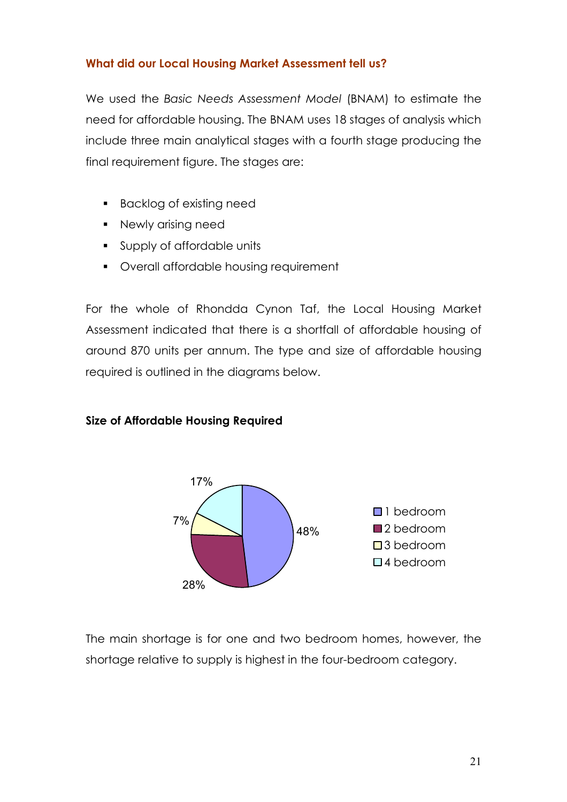#### What did our Local Housing Market Assessment tell us?

We used the Basic Needs Assessment Model (BNAM) to estimate the need for affordable housing. The BNAM uses 18 stages of analysis which include three main analytical stages with a fourth stage producing the final requirement figure. The stages are:

- **Backlog of existing need**
- **Newly arising need**
- Supply of affordable units
- Overall affordable housing requirement

For the whole of Rhondda Cynon Taf, the Local Housing Market Assessment indicated that there is a shortfall of affordable housing of around 870 units per annum. The type and size of affordable housing required is outlined in the diagrams below.

#### Size of Affordable Housing Required



The main shortage is for one and two bedroom homes, however, the shortage relative to supply is highest in the four-bedroom category.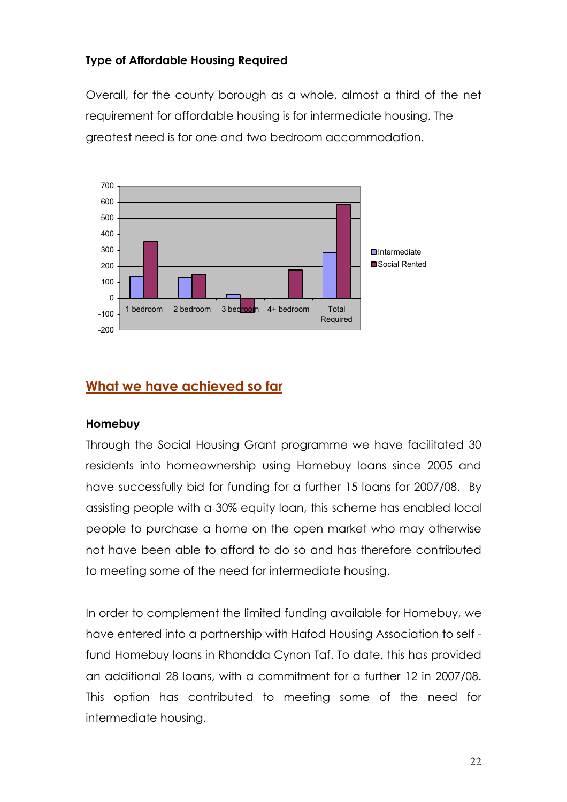# Type of Affordable Housing Required

Overall, for the county borough as a whole, almost a third of the net requirement for affordable housing is for intermediate housing. The greatest need is for one and two bedroom accommodation.



# What we have achieved so far

#### Homebuy

Through the Social Housing Grant programme we have facilitated 30 residents into homeownership using Homebuy loans since 2005 and have successfully bid for funding for a further 15 loans for 2007/08. By assisting people with a 30% equity loan, this scheme has enabled local people to purchase a home on the open market who may otherwise not have been able to afford to do so and has therefore contributed to meeting some of the need for intermediate housing.

In order to complement the limited funding available for Homebuy, we have entered into a partnership with Hafod Housing Association to self fund Homebuy loans in Rhondda Cynon Taf. To date, this has provided an additional 28 loans, with a commitment for a further 12 in 2007/08. This option has contributed to meeting some of the need for intermediate housing.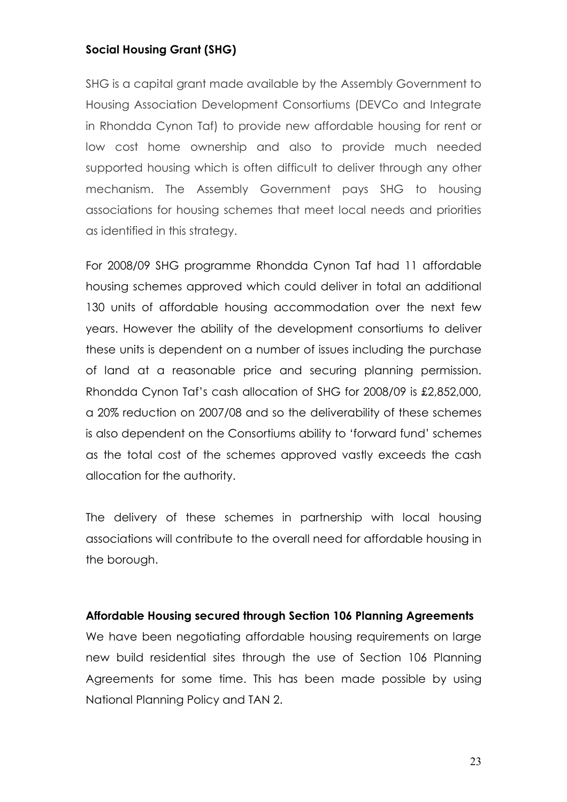#### Social Housing Grant (SHG)

SHG is a capital grant made available by the Assembly Government to Housing Association Development Consortiums (DEVCo and Integrate in Rhondda Cynon Taf) to provide new affordable housing for rent or low cost home ownership and also to provide much needed supported housing which is often difficult to deliver through any other mechanism. The Assembly Government pays SHG to housing associations for housing schemes that meet local needs and priorities as identified in this strategy.

For 2008/09 SHG programme Rhondda Cynon Taf had 11 affordable housing schemes approved which could deliver in total an additional 130 units of affordable housing accommodation over the next few years. However the ability of the development consortiums to deliver these units is dependent on a number of issues including the purchase of land at a reasonable price and securing planning permission. Rhondda Cynon Taf's cash allocation of SHG for 2008/09 is £2,852,000, a 20% reduction on 2007/08 and so the deliverability of these schemes is also dependent on the Consortiums ability to 'forward fund' schemes as the total cost of the schemes approved vastly exceeds the cash allocation for the authority.

The delivery of these schemes in partnership with local housing associations will contribute to the overall need for affordable housing in the borough.

#### Affordable Housing secured through Section 106 Planning Agreements

We have been negotiating affordable housing requirements on large new build residential sites through the use of Section 106 Planning Agreements for some time. This has been made possible by using National Planning Policy and TAN 2.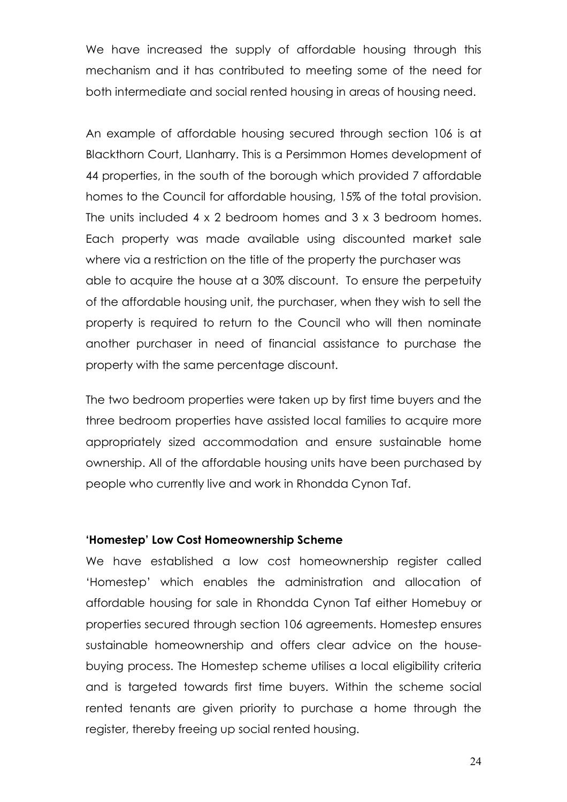We have increased the supply of affordable housing through this mechanism and it has contributed to meeting some of the need for both intermediate and social rented housing in areas of housing need.

An example of affordable housing secured through section 106 is at Blackthorn Court, Llanharry. This is a Persimmon Homes development of 44 properties, in the south of the borough which provided 7 affordable homes to the Council for affordable housing, 15% of the total provision. The units included 4 x 2 bedroom homes and 3 x 3 bedroom homes. Each property was made available using discounted market sale where via a restriction on the title of the property the purchaser was able to acquire the house at a 30% discount. To ensure the perpetuity of the affordable housing unit, the purchaser, when they wish to sell the property is required to return to the Council who will then nominate another purchaser in need of financial assistance to purchase the property with the same percentage discount.

The two bedroom properties were taken up by first time buyers and the three bedroom properties have assisted local families to acquire more appropriately sized accommodation and ensure sustainable home ownership. All of the affordable housing units have been purchased by people who currently live and work in Rhondda Cynon Taf.

#### 'Homestep' Low Cost Homeownership Scheme

We have established a low cost homeownership register called 'Homestep' which enables the administration and allocation of affordable housing for sale in Rhondda Cynon Taf either Homebuy or properties secured through section 106 agreements. Homestep ensures sustainable homeownership and offers clear advice on the housebuying process. The Homestep scheme utilises a local eligibility criteria and is targeted towards first time buyers. Within the scheme social rented tenants are given priority to purchase a home through the register, thereby freeing up social rented housing.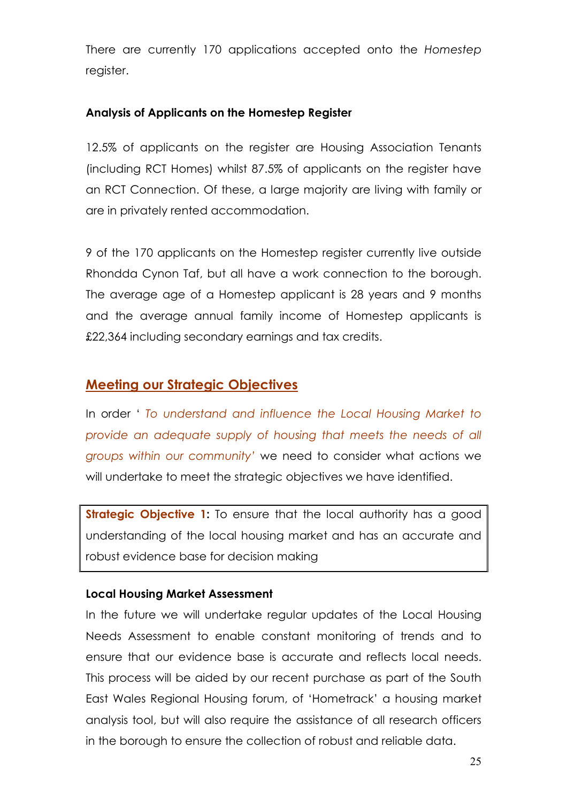There are currently 170 applications accepted onto the Homestep register.

#### Analysis of Applicants on the Homestep Register

12.5% of applicants on the register are Housing Association Tenants (including RCT Homes) whilst 87.5% of applicants on the register have an RCT Connection. Of these, a large majority are living with family or are in privately rented accommodation.

9 of the 170 applicants on the Homestep register currently live outside Rhondda Cynon Taf, but all have a work connection to the borough. The average age of a Homestep applicant is 28 years and 9 months and the average annual family income of Homestep applicants is £22,364 including secondary earnings and tax credits.

# Meeting our Strategic Objectives

In order ' To understand and influence the Local Housing Market to provide an adequate supply of housing that meets the needs of all groups within our community' we need to consider what actions we will undertake to meet the strategic objectives we have identified.

**Strategic Objective 1:** To ensure that the local authority has a good understanding of the local housing market and has an accurate and robust evidence base for decision making

# Local Housing Market Assessment

In the future we will undertake regular updates of the Local Housing Needs Assessment to enable constant monitoring of trends and to ensure that our evidence base is accurate and reflects local needs. This process will be aided by our recent purchase as part of the South East Wales Regional Housing forum, of 'Hometrack' a housing market analysis tool, but will also require the assistance of all research officers in the borough to ensure the collection of robust and reliable data.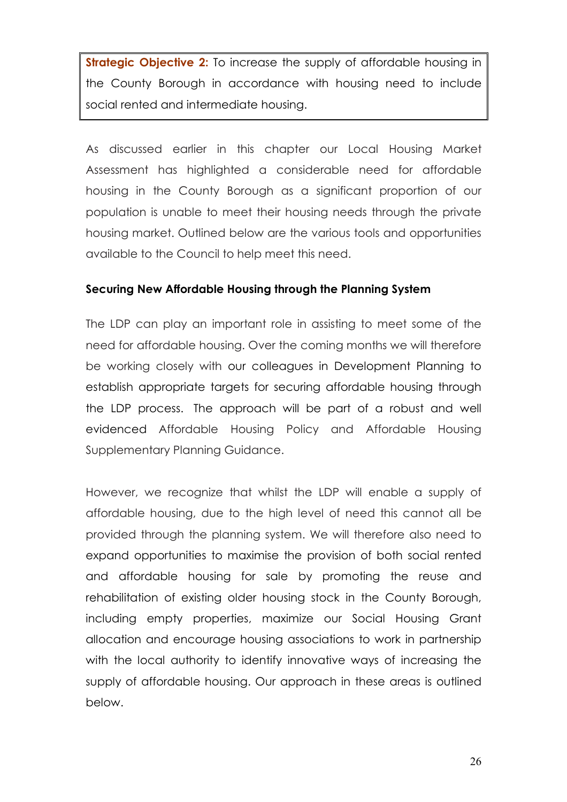**Strategic Objective 2:** To increase the supply of affordable housing in the County Borough in accordance with housing need to include social rented and intermediate housing.

As discussed earlier in this chapter our Local Housing Market Assessment has highlighted a considerable need for affordable housing in the County Borough as a significant proportion of our population is unable to meet their housing needs through the private housing market. Outlined below are the various tools and opportunities available to the Council to help meet this need.

#### Securing New Affordable Housing through the Planning System

The LDP can play an important role in assisting to meet some of the need for affordable housing. Over the coming months we will therefore be working closely with our colleagues in Development Planning to establish appropriate targets for securing affordable housing through the LDP process. The approach will be part of a robust and well evidenced Affordable Housing Policy and Affordable Housing Supplementary Planning Guidance.

However, we recognize that whilst the LDP will enable a supply of affordable housing, due to the high level of need this cannot all be provided through the planning system. We will therefore also need to expand opportunities to maximise the provision of both social rented and affordable housing for sale by promoting the reuse and rehabilitation of existing older housing stock in the County Borough, including empty properties, maximize our Social Housing Grant allocation and encourage housing associations to work in partnership with the local authority to identify innovative ways of increasing the supply of affordable housing. Our approach in these areas is outlined below.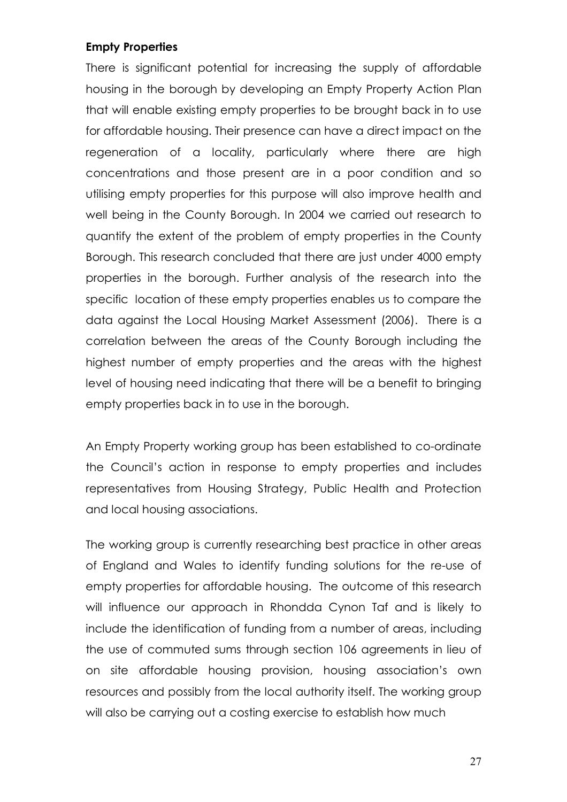#### Empty Properties

There is significant potential for increasing the supply of affordable housing in the borough by developing an Empty Property Action Plan that will enable existing empty properties to be brought back in to use for affordable housing. Their presence can have a direct impact on the regeneration of a locality, particularly where there are high concentrations and those present are in a poor condition and so utilising empty properties for this purpose will also improve health and well being in the County Borough. In 2004 we carried out research to quantify the extent of the problem of empty properties in the County Borough. This research concluded that there are just under 4000 empty properties in the borough. Further analysis of the research into the specific location of these empty properties enables us to compare the data against the Local Housing Market Assessment (2006). There is a correlation between the areas of the County Borough including the highest number of empty properties and the areas with the highest level of housing need indicating that there will be a benefit to bringing empty properties back in to use in the borough.

An Empty Property working group has been established to co-ordinate the Council's action in response to empty properties and includes representatives from Housing Strategy, Public Health and Protection and local housing associations.

The working group is currently researching best practice in other areas of England and Wales to identify funding solutions for the re-use of empty properties for affordable housing. The outcome of this research will influence our approach in Rhondda Cynon Taf and is likely to include the identification of funding from a number of areas, including the use of commuted sums through section 106 agreements in lieu of on site affordable housing provision, housing association's own resources and possibly from the local authority itself. The working group will also be carrying out a costing exercise to establish how much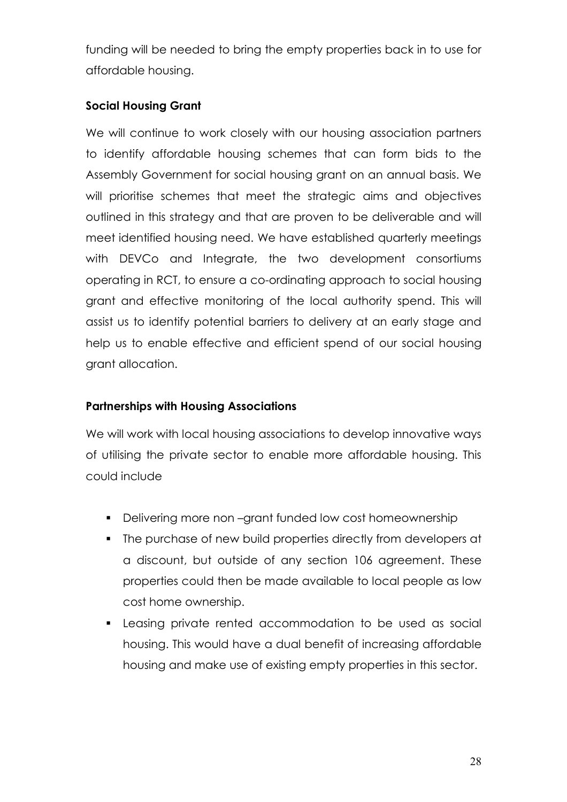funding will be needed to bring the empty properties back in to use for affordable housing.

# Social Housing Grant

We will continue to work closely with our housing association partners to identify affordable housing schemes that can form bids to the Assembly Government for social housing grant on an annual basis. We will prioritise schemes that meet the strategic aims and objectives outlined in this strategy and that are proven to be deliverable and will meet identified housing need. We have established quarterly meetings with DEVCo and Integrate, the two development consortiums operating in RCT, to ensure a co-ordinating approach to social housing grant and effective monitoring of the local authority spend. This will assist us to identify potential barriers to delivery at an early stage and help us to enable effective and efficient spend of our social housing grant allocation.

# Partnerships with Housing Associations

We will work with local housing associations to develop innovative ways of utilising the private sector to enable more affordable housing. This could include

- Delivering more non-grant funded low cost homeownership
- The purchase of new build properties directly from developers at a discount, but outside of any section 106 agreement. These properties could then be made available to local people as low cost home ownership.
- Leasing private rented accommodation to be used as social housing. This would have a dual benefit of increasing affordable housing and make use of existing empty properties in this sector.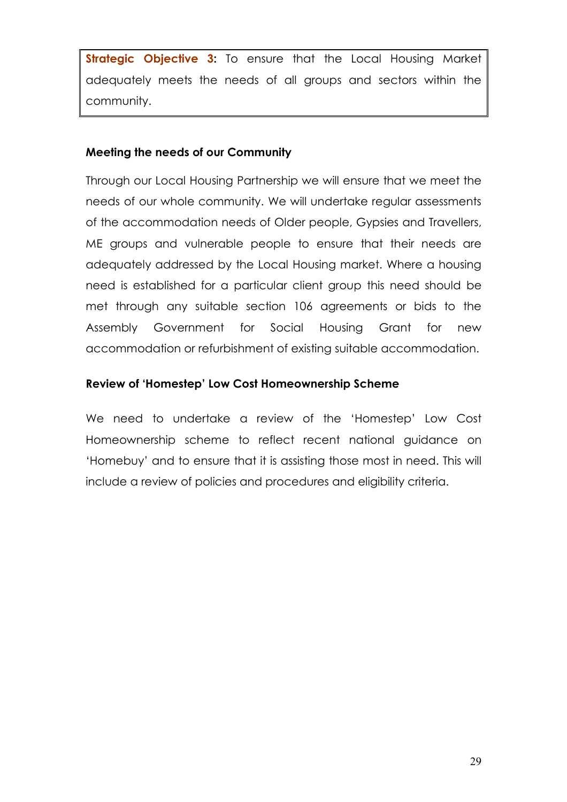**Strategic Objective 3:** To ensure that the Local Housing Market adequately meets the needs of all groups and sectors within the community.

#### Meeting the needs of our Community

Through our Local Housing Partnership we will ensure that we meet the needs of our whole community. We will undertake regular assessments of the accommodation needs of Older people, Gypsies and Travellers, ME groups and vulnerable people to ensure that their needs are adequately addressed by the Local Housing market. Where a housing need is established for a particular client group this need should be met through any suitable section 106 agreements or bids to the Assembly Government for Social Housing Grant for new accommodation or refurbishment of existing suitable accommodation.

# Review of 'Homestep' Low Cost Homeownership Scheme

We need to undertake a review of the 'Homestep' Low Cost Homeownership scheme to reflect recent national guidance on 'Homebuy' and to ensure that it is assisting those most in need. This will include a review of policies and procedures and eligibility criteria.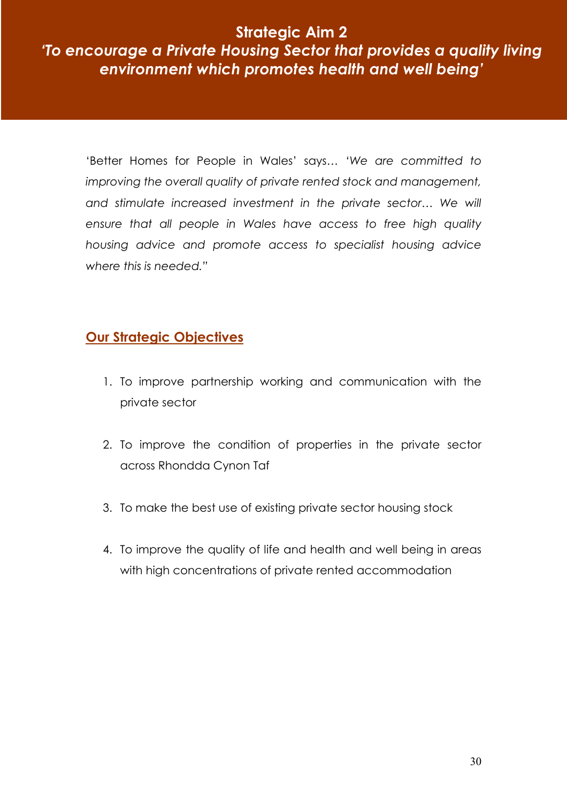Strategic Aim 2

# 'To encourage a Private Housing Sector that provides a quality living environment which promotes health and well being'

'Better Homes for People in Wales' says… 'We are committed to improving the overall quality of private rented stock and management, and stimulate increased investment in the private sector… We will ensure that all people in Wales have access to free high quality housing advice and promote access to specialist housing advice where this is needed."

# Our Strategic Objectives

- 1. To improve partnership working and communication with the private sector
- 2. To improve the condition of properties in the private sector across Rhondda Cynon Taf
- 3. To make the best use of existing private sector housing stock
- 4. To improve the quality of life and health and well being in areas with high concentrations of private rented accommodation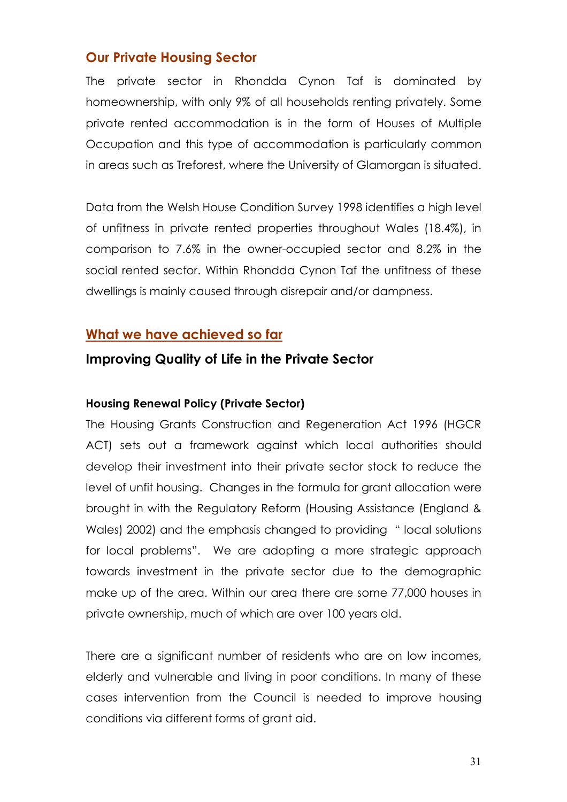# Our Private Housing Sector

The private sector in Rhondda Cynon Taf is dominated by homeownership, with only 9% of all households renting privately. Some private rented accommodation is in the form of Houses of Multiple Occupation and this type of accommodation is particularly common in areas such as Treforest, where the University of Glamorgan is situated.

Data from the Welsh House Condition Survey 1998 identifies a high level of unfitness in private rented properties throughout Wales (18.4%), in comparison to 7.6% in the owner-occupied sector and 8.2% in the social rented sector. Within Rhondda Cynon Taf the unfitness of these dwellings is mainly caused through disrepair and/or dampness.

# What we have achieved so far

# Improving Quality of Life in the Private Sector

#### Housing Renewal Policy (Private Sector)

The Housing Grants Construction and Regeneration Act 1996 (HGCR ACT) sets out a framework against which local authorities should develop their investment into their private sector stock to reduce the level of unfit housing. Changes in the formula for grant allocation were brought in with the Regulatory Reform (Housing Assistance (England & Wales) 2002) and the emphasis changed to providing " local solutions for local problems". We are adopting a more strategic approach towards investment in the private sector due to the demographic make up of the area. Within our area there are some 77,000 houses in private ownership, much of which are over 100 years old.

There are a significant number of residents who are on low incomes, elderly and vulnerable and living in poor conditions. In many of these cases intervention from the Council is needed to improve housing conditions via different forms of grant aid.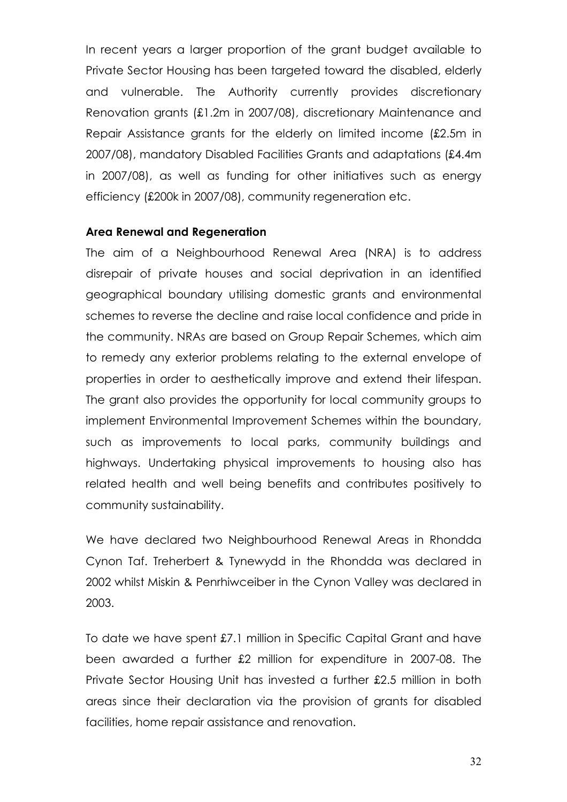In recent years a larger proportion of the grant budget available to Private Sector Housing has been targeted toward the disabled, elderly and vulnerable. The Authority currently provides discretionary Renovation grants (£1.2m in 2007/08), discretionary Maintenance and Repair Assistance grants for the elderly on limited income (£2.5m in 2007/08), mandatory Disabled Facilities Grants and adaptations (£4.4m in 2007/08), as well as funding for other initiatives such as energy efficiency (£200k in 2007/08), community regeneration etc.

#### Area Renewal and Regeneration

The aim of a Neighbourhood Renewal Area (NRA) is to address disrepair of private houses and social deprivation in an identified geographical boundary utilising domestic grants and environmental schemes to reverse the decline and raise local confidence and pride in the community. NRAs are based on Group Repair Schemes, which aim to remedy any exterior problems relating to the external envelope of properties in order to aesthetically improve and extend their lifespan. The grant also provides the opportunity for local community groups to implement Environmental Improvement Schemes within the boundary, such as improvements to local parks, community buildings and highways. Undertaking physical improvements to housing also has related health and well being benefits and contributes positively to community sustainability.

We have declared two Neighbourhood Renewal Areas in Rhondda Cynon Taf. Treherbert & Tynewydd in the Rhondda was declared in 2002 whilst Miskin & Penrhiwceiber in the Cynon Valley was declared in 2003.

To date we have spent £7.1 million in Specific Capital Grant and have been awarded a further £2 million for expenditure in 2007-08. The Private Sector Housing Unit has invested a further £2.5 million in both areas since their declaration via the provision of grants for disabled facilities, home repair assistance and renovation.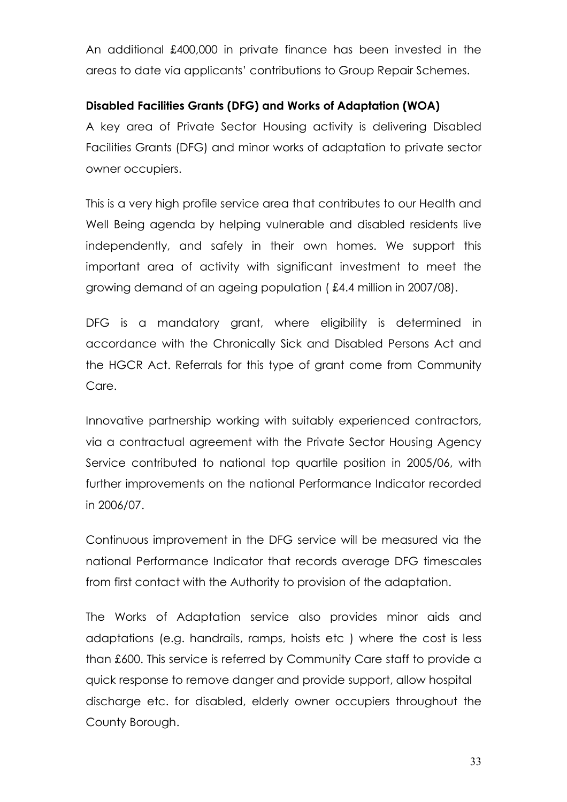An additional £400,000 in private finance has been invested in the areas to date via applicants' contributions to Group Repair Schemes.

### Disabled Facilities Grants (DFG) and Works of Adaptation (WOA)

A key area of Private Sector Housing activity is delivering Disabled Facilities Grants (DFG) and minor works of adaptation to private sector owner occupiers.

This is a very high profile service area that contributes to our Health and Well Being agenda by helping vulnerable and disabled residents live independently, and safely in their own homes. We support this important area of activity with significant investment to meet the growing demand of an ageing population ( £4.4 million in 2007/08).

DFG is a mandatory grant, where eligibility is determined in accordance with the Chronically Sick and Disabled Persons Act and the HGCR Act. Referrals for this type of grant come from Community Care.

Innovative partnership working with suitably experienced contractors, via a contractual agreement with the Private Sector Housing Agency Service contributed to national top quartile position in 2005/06, with further improvements on the national Performance Indicator recorded in 2006/07.

Continuous improvement in the DFG service will be measured via the national Performance Indicator that records average DFG timescales from first contact with the Authority to provision of the adaptation.

The Works of Adaptation service also provides minor aids and adaptations (e.g. handrails, ramps, hoists etc ) where the cost is less than £600. This service is referred by Community Care staff to provide a quick response to remove danger and provide support, allow hospital discharge etc. for disabled, elderly owner occupiers throughout the County Borough.

33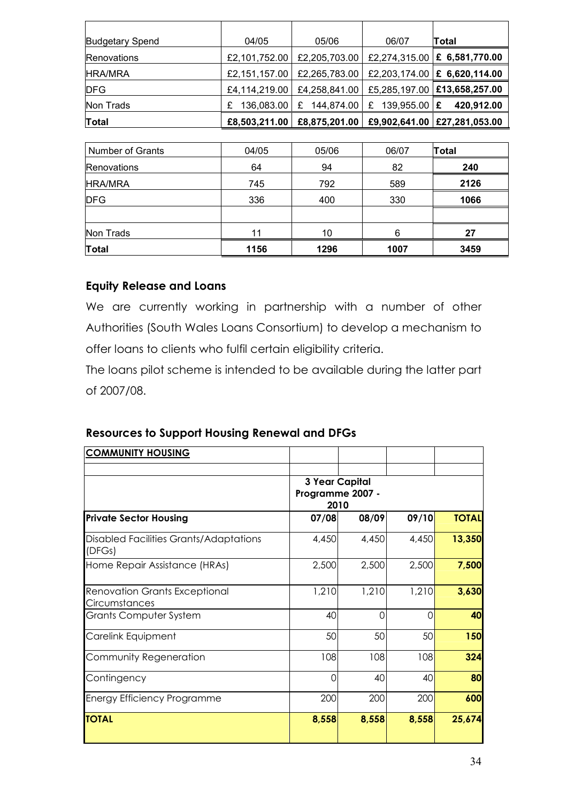| <b>Budgetary Spend</b> | 04/05         | 05/06           | 06/07               | Total                          |
|------------------------|---------------|-----------------|---------------------|--------------------------------|
| Renovations            | £2,101,752.00 | £2,205,703.00   |                     | £2,274,315.00   £ 6,581,770.00 |
| <b>HRA/MRA</b>         | £2,151,157.00 | £2,265,783.00   |                     | £2,203,174.00   £ 6,620,114.00 |
| <b>DFG</b>             | £4,114,219.00 | £4,258,841.00   |                     | £5,285,197.00 £13,658,257.00   |
| Non Trads              | 136,083.00    | 144,874.00<br>£ | 139,955.00   £<br>£ | 420,912.00                     |
| Total                  | £8,503,211.00 | £8,875,201.00   |                     | £9,902,641.00 £27,281,053.00   |

| <b>Number of Grants</b> | 04/05 | 05/06 | 06/07 | <b>Total</b> |
|-------------------------|-------|-------|-------|--------------|
| Renovations             | 64    | 94    | 82    | 240          |
| <b>HRA/MRA</b>          | 745   | 792   | 589   | 2126         |
| <b>IDFG</b>             | 336   | 400   | 330   | 1066         |
|                         |       |       |       |              |
| Non Trads               | 11    | 10    | 6     | 27           |
| Total                   | 1156  | 1296  | 1007  | 3459         |

#### Equity Release and Loans

We are currently working in partnership with a number of other Authorities (South Wales Loans Consortium) to develop a mechanism to offer loans to clients who fulfil certain eligibility criteria.

The loans pilot scheme is intended to be available during the latter part of 2007/08.

#### Resources to Support Housing Renewal and DFGs

| <b>COMMUNITY HOUSING</b>                              |                                                   |       |       |              |
|-------------------------------------------------------|---------------------------------------------------|-------|-------|--------------|
|                                                       | <b>3 Year Capital</b><br>Programme 2007 -<br>2010 |       |       |              |
| <b>Private Sector Housing</b>                         | 07/08                                             | 08/09 | 09/10 | <b>TOTAL</b> |
| Disabled Facilities Grants/Adaptations<br>(DFGs)      | 4,450                                             | 4,450 | 4,450 | 13,350       |
| Home Repair Assistance (HRAs)                         | 2,500                                             | 2,500 | 2,500 | 7,500        |
| <b>Renovation Grants Exceptional</b><br>Circumstances | 1,210                                             | 1,210 | 1,210 | 3,630        |
| <b>Grants Computer System</b>                         | 40                                                | ∩     | ∩     | 40           |
| Carelink Equipment                                    | 50                                                | 50    | 50    | 150          |
| Community Regeneration                                | 108                                               | 108   | 108   | 324          |
| Contingency                                           | 0                                                 | 40    | 40    | 80           |
| <b>Energy Efficiency Programme</b>                    | 200                                               | 200   | 200   | 600          |
| <b>TOTAL</b>                                          | 8,558                                             | 8,558 | 8,558 | 25,674       |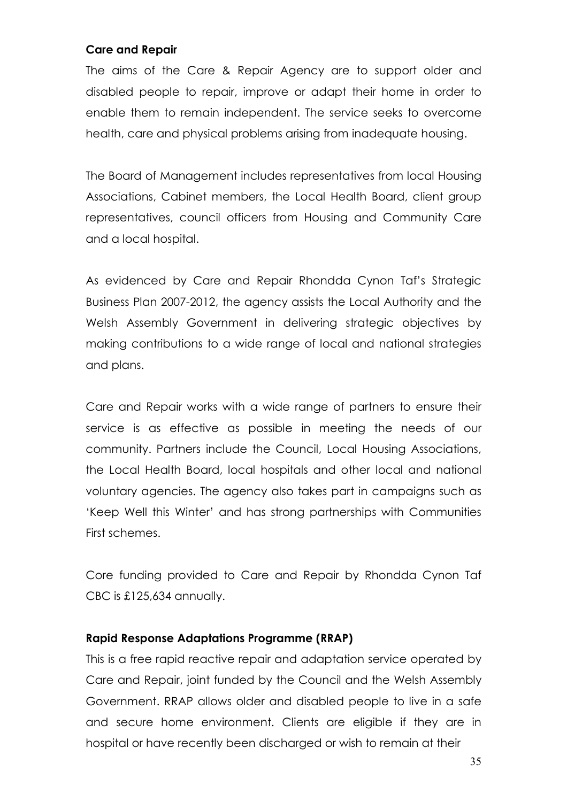#### Care and Repair

The aims of the Care & Repair Agency are to support older and disabled people to repair, improve or adapt their home in order to enable them to remain independent. The service seeks to overcome health, care and physical problems arising from inadequate housing.

The Board of Management includes representatives from local Housing Associations, Cabinet members, the Local Health Board, client group representatives, council officers from Housing and Community Care and a local hospital.

As evidenced by Care and Repair Rhondda Cynon Taf's Strategic Business Plan 2007-2012, the agency assists the Local Authority and the Welsh Assembly Government in delivering strategic objectives by making contributions to a wide range of local and national strategies and plans.

Care and Repair works with a wide range of partners to ensure their service is as effective as possible in meeting the needs of our community. Partners include the Council, Local Housing Associations, the Local Health Board, local hospitals and other local and national voluntary agencies. The agency also takes part in campaigns such as 'Keep Well this Winter' and has strong partnerships with Communities First schemes.

Core funding provided to Care and Repair by Rhondda Cynon Taf CBC is £125,634 annually.

#### Rapid Response Adaptations Programme (RRAP)

This is a free rapid reactive repair and adaptation service operated by Care and Repair, joint funded by the Council and the Welsh Assembly Government. RRAP allows older and disabled people to live in a safe and secure home environment. Clients are eligible if they are in hospital or have recently been discharged or wish to remain at their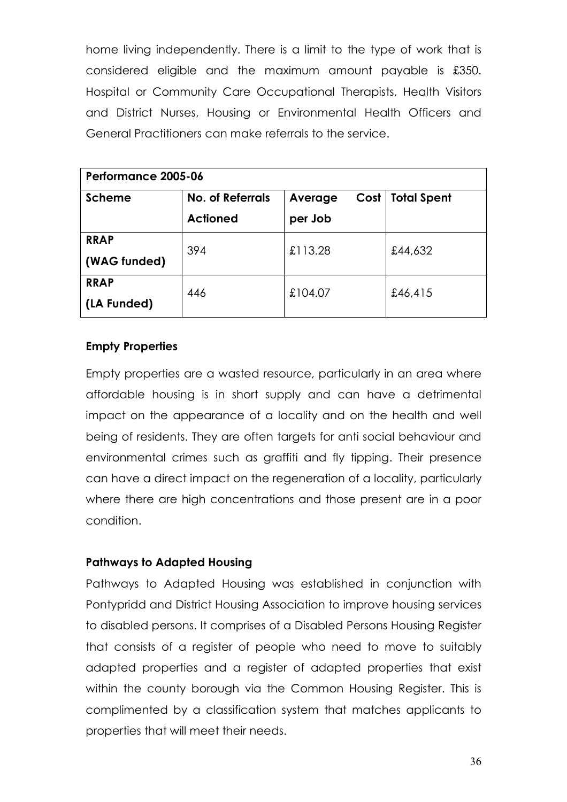home living independently. There is a limit to the type of work that is considered eligible and the maximum amount payable is £350. Hospital or Community Care Occupational Therapists, Health Visitors and District Nurses, Housing or Environmental Health Officers and General Practitioners can make referrals to the service.

| Performance 2005-06         |                                     |                            |                    |  |
|-----------------------------|-------------------------------------|----------------------------|--------------------|--|
| <b>Scheme</b>               | No. of Referrals<br><b>Actioned</b> | Cost<br>Average<br>per Job | <b>Total Spent</b> |  |
| <b>RRAP</b><br>(WAG funded) | 394                                 | £113.28                    | £44,632            |  |
| <b>RRAP</b><br>(LA Funded)  | 446                                 | £104.07                    | £46,415            |  |

# Empty Properties

Empty properties are a wasted resource, particularly in an area where affordable housing is in short supply and can have a detrimental impact on the appearance of a locality and on the health and well being of residents. They are often targets for anti social behaviour and environmental crimes such as graffiti and fly tipping. Their presence can have a direct impact on the regeneration of a locality, particularly where there are high concentrations and those present are in a poor condition.

# Pathways to Adapted Housing

Pathways to Adapted Housing was established in conjunction with Pontypridd and District Housing Association to improve housing services to disabled persons. It comprises of a Disabled Persons Housing Register that consists of a register of people who need to move to suitably adapted properties and a register of adapted properties that exist within the county borough via the Common Housing Register. This is complimented by a classification system that matches applicants to properties that will meet their needs.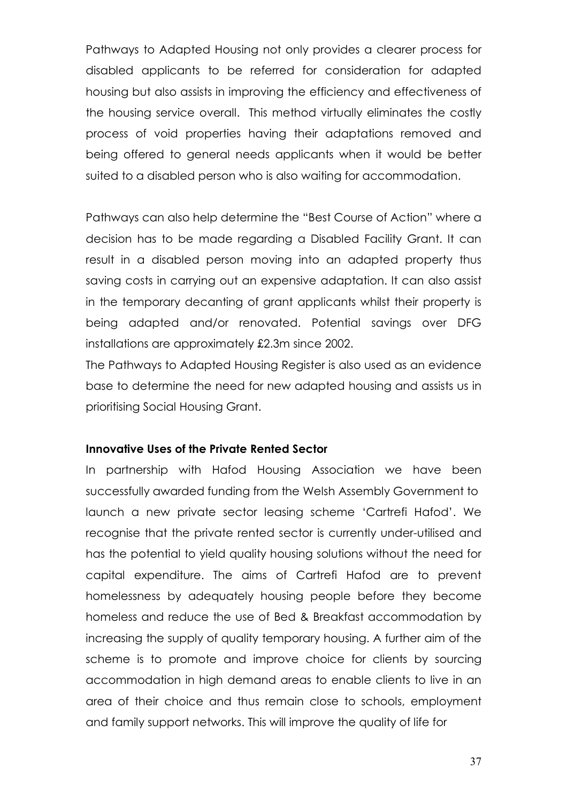Pathways to Adapted Housing not only provides a clearer process for disabled applicants to be referred for consideration for adapted housing but also assists in improving the efficiency and effectiveness of the housing service overall. This method virtually eliminates the costly process of void properties having their adaptations removed and being offered to general needs applicants when it would be better suited to a disabled person who is also waiting for accommodation.

Pathways can also help determine the "Best Course of Action" where a decision has to be made regarding a Disabled Facility Grant. It can result in a disabled person moving into an adapted property thus saving costs in carrying out an expensive adaptation. It can also assist in the temporary decanting of grant applicants whilst their property is being adapted and/or renovated. Potential savings over DFG installations are approximately £2.3m since 2002.

The Pathways to Adapted Housing Register is also used as an evidence base to determine the need for new adapted housing and assists us in prioritising Social Housing Grant.

#### Innovative Uses of the Private Rented Sector

In partnership with Hafod Housing Association we have been successfully awarded funding from the Welsh Assembly Government to launch a new private sector leasing scheme 'Cartrefi Hafod'. We recognise that the private rented sector is currently under-utilised and has the potential to yield quality housing solutions without the need for capital expenditure. The aims of Cartrefi Hafod are to prevent homelessness by adequately housing people before they become homeless and reduce the use of Bed & Breakfast accommodation by increasing the supply of quality temporary housing. A further aim of the scheme is to promote and improve choice for clients by sourcing accommodation in high demand areas to enable clients to live in an area of their choice and thus remain close to schools, employment and family support networks. This will improve the quality of life for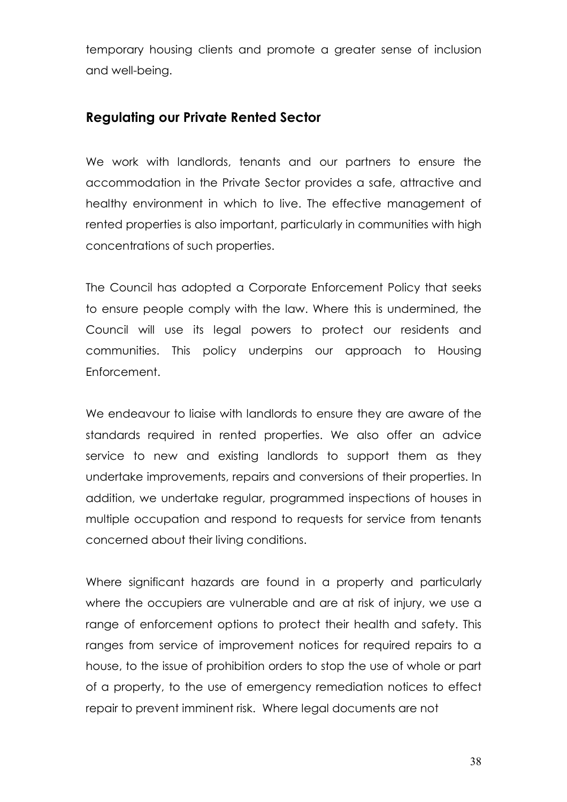temporary housing clients and promote a greater sense of inclusion and well-being.

## Regulating our Private Rented Sector

We work with landlords, tenants and our partners to ensure the accommodation in the Private Sector provides a safe, attractive and healthy environment in which to live. The effective management of rented properties is also important, particularly in communities with high concentrations of such properties.

The Council has adopted a Corporate Enforcement Policy that seeks to ensure people comply with the law. Where this is undermined, the Council will use its legal powers to protect our residents and communities. This policy underpins our approach to Housing Enforcement.

We endeavour to liaise with landlords to ensure they are aware of the standards required in rented properties. We also offer an advice service to new and existing landlords to support them as they undertake improvements, repairs and conversions of their properties. In addition, we undertake regular, programmed inspections of houses in multiple occupation and respond to requests for service from tenants concerned about their living conditions.

Where significant hazards are found in a property and particularly where the occupiers are vulnerable and are at risk of injury, we use a range of enforcement options to protect their health and safety. This ranges from service of improvement notices for required repairs to a house, to the issue of prohibition orders to stop the use of whole or part of a property, to the use of emergency remediation notices to effect repair to prevent imminent risk. Where legal documents are not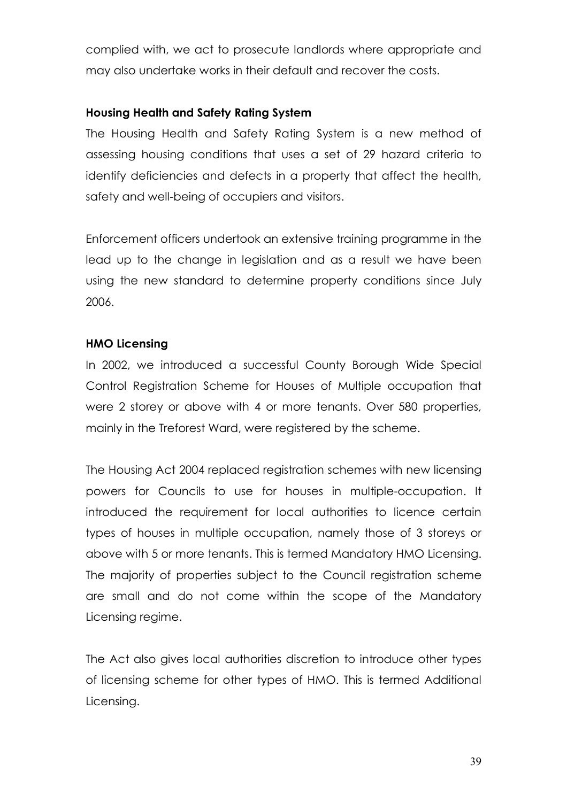complied with, we act to prosecute landlords where appropriate and may also undertake works in their default and recover the costs.

#### Housing Health and Safety Rating System

The Housing Health and Safety Rating System is a new method of assessing housing conditions that uses a set of 29 hazard criteria to identify deficiencies and defects in a property that affect the health, safety and well-being of occupiers and visitors.

Enforcement officers undertook an extensive training programme in the lead up to the change in legislation and as a result we have been using the new standard to determine property conditions since July 2006.

#### HMO Licensing

In 2002, we introduced a successful County Borough Wide Special Control Registration Scheme for Houses of Multiple occupation that were 2 storey or above with 4 or more tenants. Over 580 properties, mainly in the Treforest Ward, were registered by the scheme.

The Housing Act 2004 replaced registration schemes with new licensing powers for Councils to use for houses in multiple-occupation. It introduced the requirement for local authorities to licence certain types of houses in multiple occupation, namely those of 3 storeys or above with 5 or more tenants. This is termed Mandatory HMO Licensing. The majority of properties subject to the Council registration scheme are small and do not come within the scope of the Mandatory Licensing regime.

The Act also gives local authorities discretion to introduce other types of licensing scheme for other types of HMO. This is termed Additional Licensing.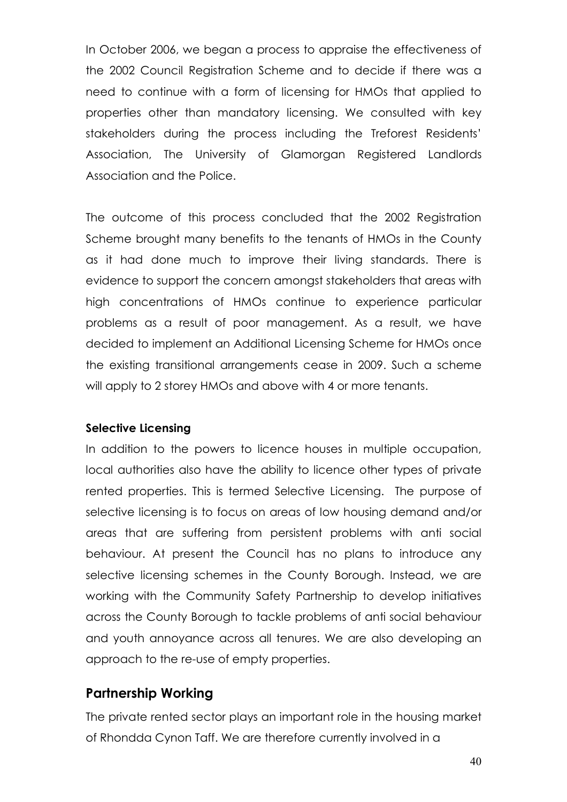In October 2006, we began a process to appraise the effectiveness of the 2002 Council Registration Scheme and to decide if there was a need to continue with a form of licensing for HMOs that applied to properties other than mandatory licensing. We consulted with key stakeholders during the process including the Treforest Residents' Association, The University of Glamorgan Registered Landlords Association and the Police.

The outcome of this process concluded that the 2002 Registration Scheme brought many benefits to the tenants of HMOs in the County as it had done much to improve their living standards. There is evidence to support the concern amongst stakeholders that areas with high concentrations of HMOs continue to experience particular problems as a result of poor management. As a result, we have decided to implement an Additional Licensing Scheme for HMOs once the existing transitional arrangements cease in 2009. Such a scheme will apply to 2 storey HMOs and above with 4 or more tenants.

#### Selective Licensing

In addition to the powers to licence houses in multiple occupation, local authorities also have the ability to licence other types of private rented properties. This is termed Selective Licensing. The purpose of selective licensing is to focus on areas of low housing demand and/or areas that are suffering from persistent problems with anti social behaviour. At present the Council has no plans to introduce any selective licensing schemes in the County Borough. Instead, we are working with the Community Safety Partnership to develop initiatives across the County Borough to tackle problems of anti social behaviour and youth annoyance across all tenures. We are also developing an approach to the re-use of empty properties.

#### Partnership Working

The private rented sector plays an important role in the housing market of Rhondda Cynon Taff. We are therefore currently involved in a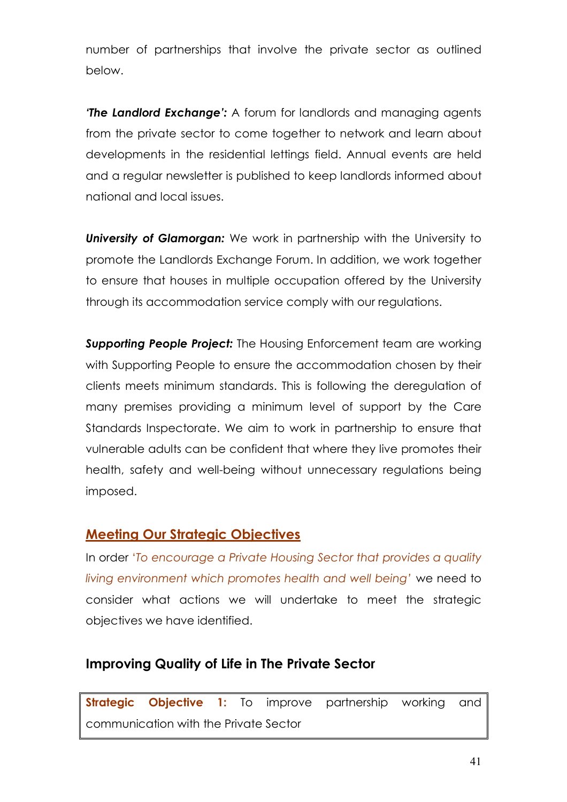number of partnerships that involve the private sector as outlined below.

**The Landlord Exchange**: A forum for landlords and managing agents from the private sector to come together to network and learn about developments in the residential lettings field. Annual events are held and a regular newsletter is published to keep landlords informed about national and local issues.

University of Glamorgan: We work in partnership with the University to promote the Landlords Exchange Forum. In addition, we work together to ensure that houses in multiple occupation offered by the University through its accommodation service comply with our regulations.

**Supporting People Project:** The Housing Enforcement team are working with Supporting People to ensure the accommodation chosen by their clients meets minimum standards. This is following the deregulation of many premises providing a minimum level of support by the Care Standards Inspectorate. We aim to work in partnership to ensure that vulnerable adults can be confident that where they live promotes their health, safety and well-being without unnecessary regulations being imposed.

# Meeting Our Strategic Objectives

In order 'To encourage a Private Housing Sector that provides a quality living environment which promotes health and well being' we need to consider what actions we will undertake to meet the strategic objectives we have identified.

# Improving Quality of Life in The Private Sector

**Strategic Objective 1:** To improve partnership working and communication with the Private Sector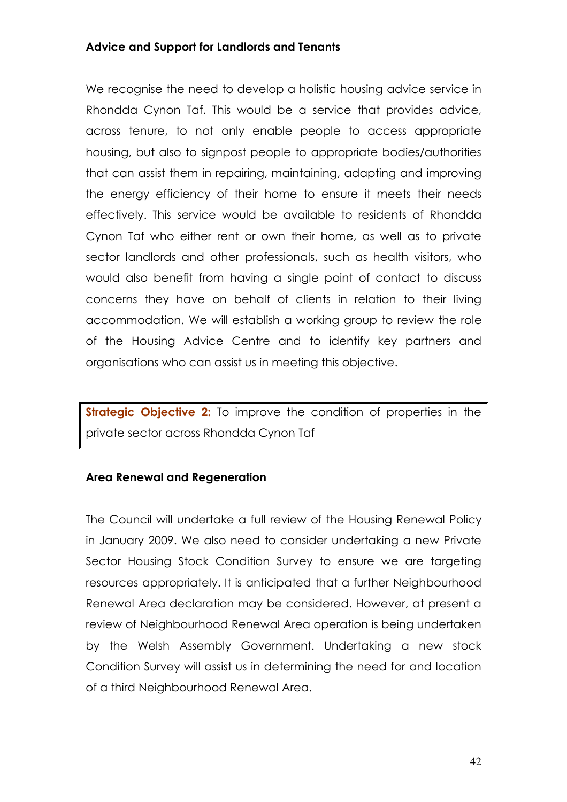#### Advice and Support for Landlords and Tenants

We recognise the need to develop a holistic housing advice service in Rhondda Cynon Taf. This would be a service that provides advice, across tenure, to not only enable people to access appropriate housing, but also to signpost people to appropriate bodies/authorities that can assist them in repairing, maintaining, adapting and improving the energy efficiency of their home to ensure it meets their needs effectively. This service would be available to residents of Rhondda Cynon Taf who either rent or own their home, as well as to private sector landlords and other professionals, such as health visitors, who would also benefit from having a single point of contact to discuss concerns they have on behalf of clients in relation to their living accommodation. We will establish a working group to review the role of the Housing Advice Centre and to identify key partners and organisations who can assist us in meeting this objective.

**Strategic Objective 2:** To improve the condition of properties in the private sector across Rhondda Cynon Taf

#### Area Renewal and Regeneration

The Council will undertake a full review of the Housing Renewal Policy in January 2009. We also need to consider undertaking a new Private Sector Housing Stock Condition Survey to ensure we are targeting resources appropriately. It is anticipated that a further Neighbourhood Renewal Area declaration may be considered. However, at present a review of Neighbourhood Renewal Area operation is being undertaken by the Welsh Assembly Government. Undertaking a new stock Condition Survey will assist us in determining the need for and location of a third Neighbourhood Renewal Area.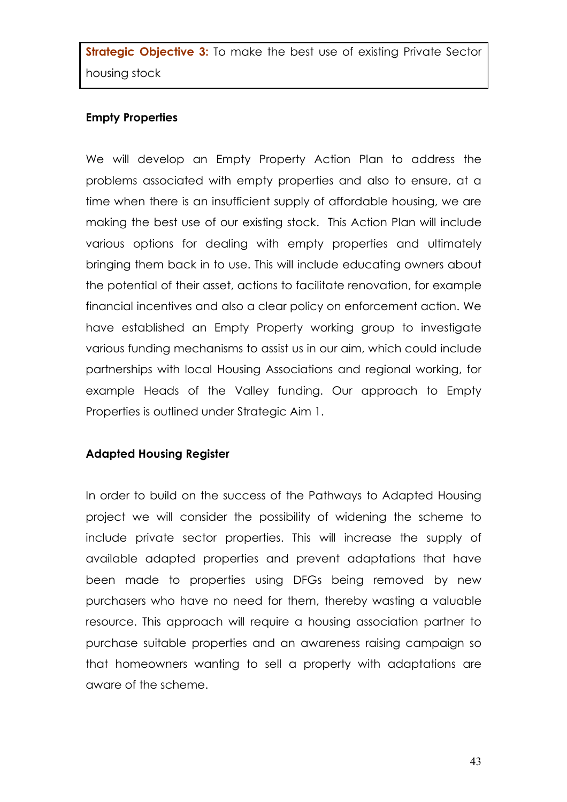**Strategic Objective 3:** To make the best use of existing Private Sector housing stock

#### Empty Properties

We will develop an Empty Property Action Plan to address the problems associated with empty properties and also to ensure, at a time when there is an insufficient supply of affordable housing, we are making the best use of our existing stock. This Action Plan will include various options for dealing with empty properties and ultimately bringing them back in to use. This will include educating owners about the potential of their asset, actions to facilitate renovation, for example financial incentives and also a clear policy on enforcement action. We have established an Empty Property working group to investigate various funding mechanisms to assist us in our aim, which could include partnerships with local Housing Associations and regional working, for example Heads of the Valley funding. Our approach to Empty Properties is outlined under Strategic Aim 1.

#### Adapted Housing Register

In order to build on the success of the Pathways to Adapted Housing project we will consider the possibility of widening the scheme to include private sector properties. This will increase the supply of available adapted properties and prevent adaptations that have been made to properties using DFGs being removed by new purchasers who have no need for them, thereby wasting a valuable resource. This approach will require a housing association partner to purchase suitable properties and an awareness raising campaign so that homeowners wanting to sell a property with adaptations are aware of the scheme.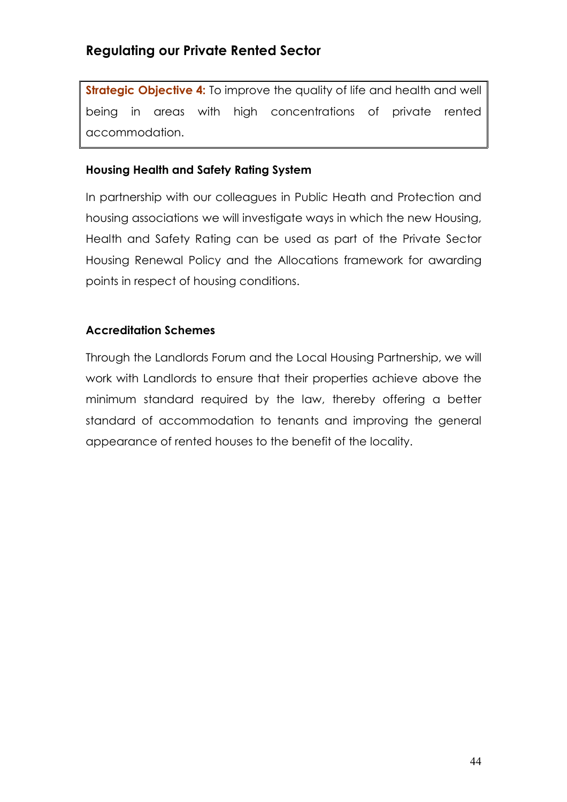# Regulating our Private Rented Sector

Strategic Objective 4: To improve the quality of life and health and well being in areas with high concentrations of private rented accommodation.

#### Housing Health and Safety Rating System

In partnership with our colleagues in Public Heath and Protection and housing associations we will investigate ways in which the new Housing, Health and Safety Rating can be used as part of the Private Sector Housing Renewal Policy and the Allocations framework for awarding points in respect of housing conditions.

#### Accreditation Schemes

Through the Landlords Forum and the Local Housing Partnership, we will work with Landlords to ensure that their properties achieve above the minimum standard required by the law, thereby offering a better standard of accommodation to tenants and improving the general appearance of rented houses to the benefit of the locality.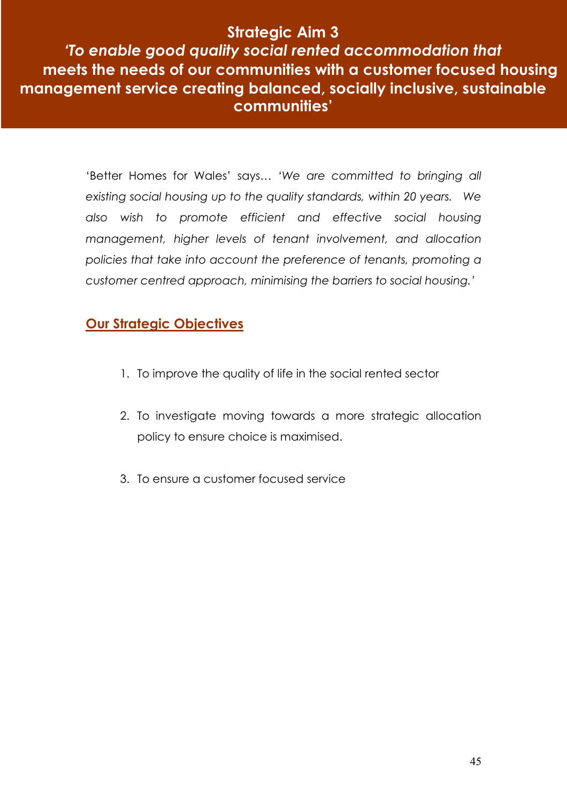# Strategic Aim 3

'To enable good quality social rented accommodation that meets the needs of our communities with a customer focused housing management service creating balanced, socially inclusive, sustainable communities'

> 'Better Homes for Wales' says… 'We are committed to bringing all existing social housing up to the quality standards, within 20 years. We also wish to promote efficient and effective social housing management, higher levels of tenant involvement, and allocation policies that take into account the preference of tenants, promoting a customer centred approach, minimising the barriers to social housing.'

# Our Strategic Objectives

- 1. To improve the quality of life in the social rented sector
- 2. To investigate moving towards a more strategic allocation policy to ensure choice is maximised.
- 3. To ensure a customer focused service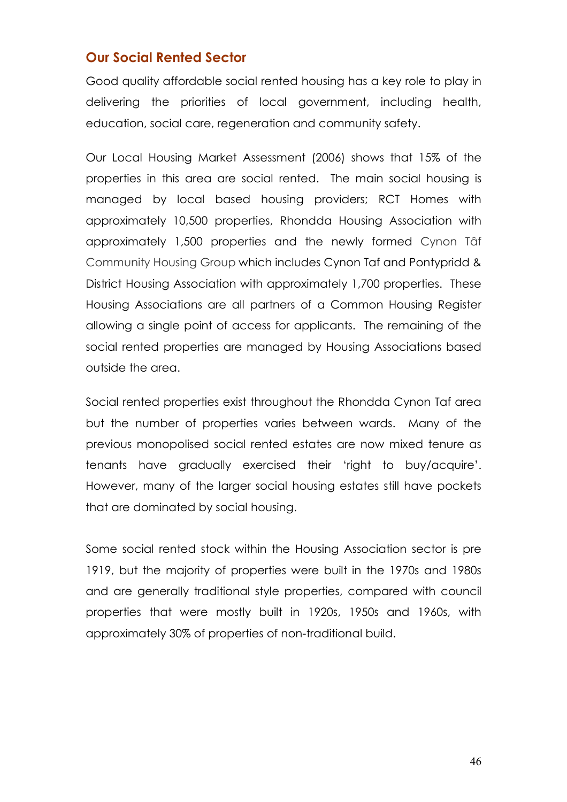## Our Social Rented Sector

Good quality affordable social rented housing has a key role to play in delivering the priorities of local government, including health, education, social care, regeneration and community safety.

Our Local Housing Market Assessment (2006) shows that 15% of the properties in this area are social rented. The main social housing is managed by local based housing providers; RCT Homes with approximately 10,500 properties, Rhondda Housing Association with approximately 1,500 properties and the newly formed Cynon Tâf Community Housing Group which includes Cynon Taf and Pontypridd & District Housing Association with approximately 1,700 properties. These Housing Associations are all partners of a Common Housing Register allowing a single point of access for applicants. The remaining of the social rented properties are managed by Housing Associations based outside the area.

Social rented properties exist throughout the Rhondda Cynon Taf area but the number of properties varies between wards. Many of the previous monopolised social rented estates are now mixed tenure as tenants have gradually exercised their 'right to buy/acquire'. However, many of the larger social housing estates still have pockets that are dominated by social housing.

Some social rented stock within the Housing Association sector is pre 1919, but the majority of properties were built in the 1970s and 1980s and are generally traditional style properties, compared with council properties that were mostly built in 1920s, 1950s and 1960s, with approximately 30% of properties of non-traditional build.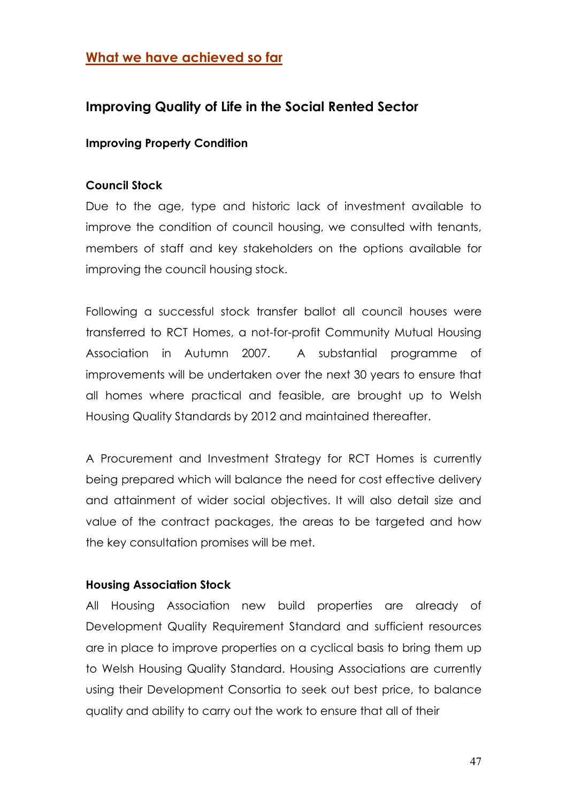# What we have achieved so far

# Improving Quality of Life in the Social Rented Sector

#### Improving Property Condition

#### Council Stock

Due to the age, type and historic lack of investment available to improve the condition of council housing, we consulted with tenants, members of staff and key stakeholders on the options available for improving the council housing stock.

Following a successful stock transfer ballot all council houses were transferred to RCT Homes, a not-for-profit Community Mutual Housing Association in Autumn 2007. A substantial programme of improvements will be undertaken over the next 30 years to ensure that all homes where practical and feasible, are brought up to Welsh Housing Quality Standards by 2012 and maintained thereafter.

A Procurement and Investment Strategy for RCT Homes is currently being prepared which will balance the need for cost effective delivery and attainment of wider social objectives. It will also detail size and value of the contract packages, the areas to be targeted and how the key consultation promises will be met.

#### Housing Association Stock

All Housing Association new build properties are already of Development Quality Requirement Standard and sufficient resources are in place to improve properties on a cyclical basis to bring them up to Welsh Housing Quality Standard. Housing Associations are currently using their Development Consortia to seek out best price, to balance quality and ability to carry out the work to ensure that all of their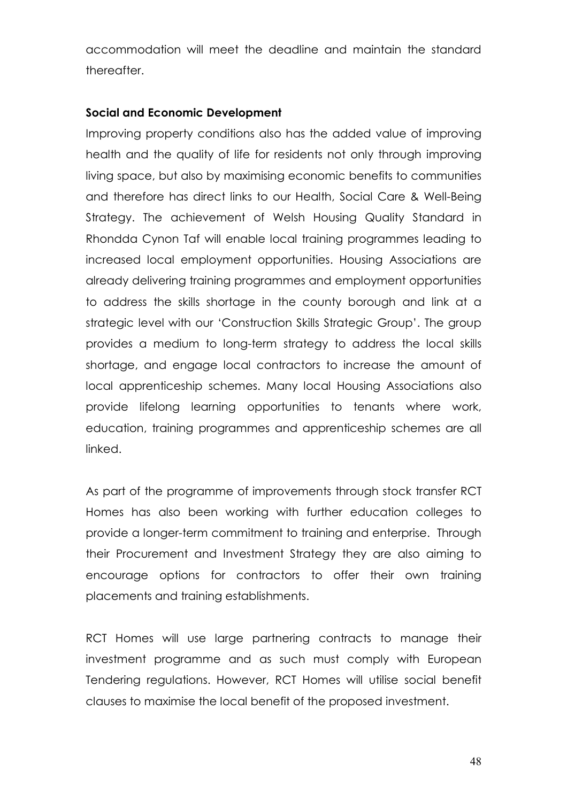accommodation will meet the deadline and maintain the standard thereafter.

#### Social and Economic Development

Improving property conditions also has the added value of improving health and the quality of life for residents not only through improving living space, but also by maximising economic benefits to communities and therefore has direct links to our Health, Social Care & Well-Being Strategy. The achievement of Welsh Housing Quality Standard in Rhondda Cynon Taf will enable local training programmes leading to increased local employment opportunities. Housing Associations are already delivering training programmes and employment opportunities to address the skills shortage in the county borough and link at a strategic level with our 'Construction Skills Strategic Group'. The group provides a medium to long-term strategy to address the local skills shortage, and engage local contractors to increase the amount of local apprenticeship schemes. Many local Housing Associations also provide lifelong learning opportunities to tenants where work, education, training programmes and apprenticeship schemes are all linked.

As part of the programme of improvements through stock transfer RCT Homes has also been working with further education colleges to provide a longer-term commitment to training and enterprise. Through their Procurement and Investment Strategy they are also aiming to encourage options for contractors to offer their own training placements and training establishments.

RCT Homes will use large partnering contracts to manage their investment programme and as such must comply with European Tendering regulations. However, RCT Homes will utilise social benefit clauses to maximise the local benefit of the proposed investment.

48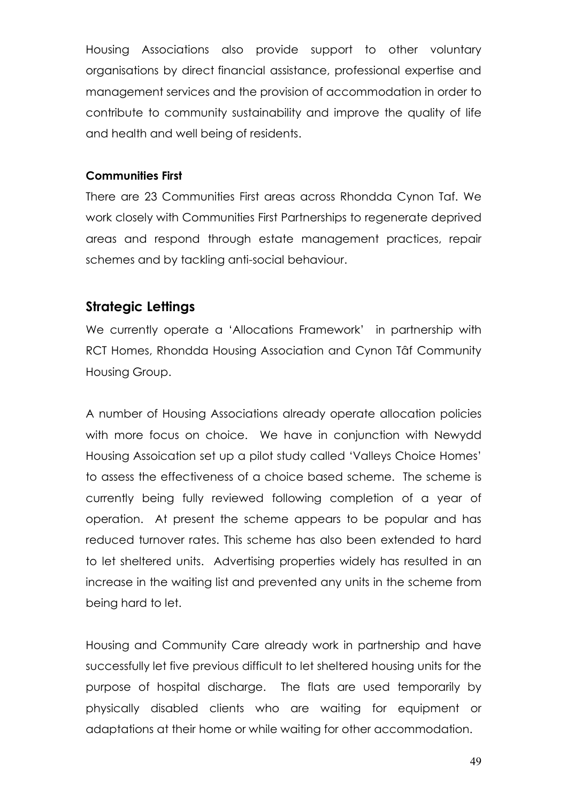Housing Associations also provide support to other voluntary organisations by direct financial assistance, professional expertise and management services and the provision of accommodation in order to contribute to community sustainability and improve the quality of life and health and well being of residents.

#### Communities First

There are 23 Communities First areas across Rhondda Cynon Taf. We work closely with Communities First Partnerships to regenerate deprived areas and respond through estate management practices, repair schemes and by tackling anti-social behaviour.

#### Strategic Lettings

We currently operate a 'Allocations Framework' in partnership with RCT Homes, Rhondda Housing Association and Cynon Tâf Community Housing Group.

A number of Housing Associations already operate allocation policies with more focus on choice. We have in conjunction with Newydd Housing Assoication set up a pilot study called 'Valleys Choice Homes' to assess the effectiveness of a choice based scheme. The scheme is currently being fully reviewed following completion of a year of operation. At present the scheme appears to be popular and has reduced turnover rates. This scheme has also been extended to hard to let sheltered units. Advertising properties widely has resulted in an increase in the waiting list and prevented any units in the scheme from being hard to let.

Housing and Community Care already work in partnership and have successfully let five previous difficult to let sheltered housing units for the purpose of hospital discharge. The flats are used temporarily by physically disabled clients who are waiting for equipment or adaptations at their home or while waiting for other accommodation.

49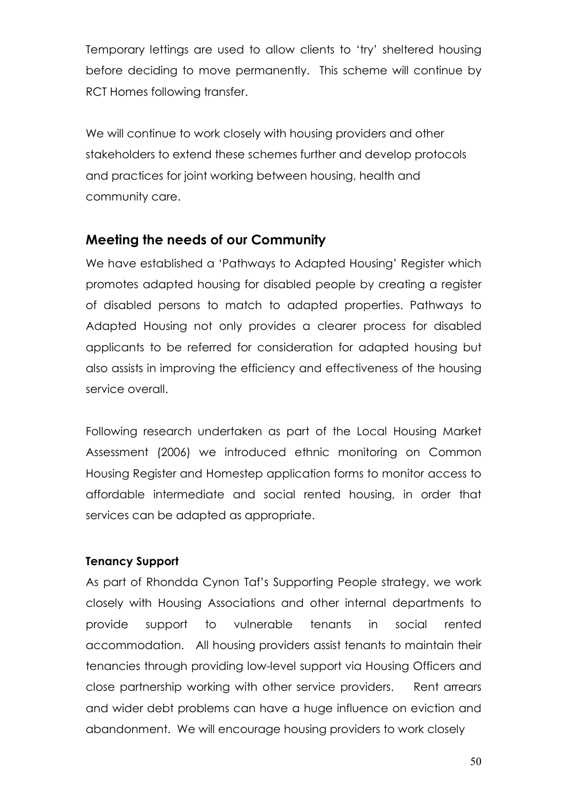Temporary lettings are used to allow clients to 'try' sheltered housing before deciding to move permanently. This scheme will continue by RCT Homes following transfer.

We will continue to work closely with housing providers and other stakeholders to extend these schemes further and develop protocols and practices for joint working between housing, health and community care.

## Meeting the needs of our Community

We have established a 'Pathways to Adapted Housing' Register which promotes adapted housing for disabled people by creating a register of disabled persons to match to adapted properties. Pathways to Adapted Housing not only provides a clearer process for disabled applicants to be referred for consideration for adapted housing but also assists in improving the efficiency and effectiveness of the housing service overall.

Following research undertaken as part of the Local Housing Market Assessment (2006) we introduced ethnic monitoring on Common Housing Register and Homestep application forms to monitor access to affordable intermediate and social rented housing, in order that services can be adapted as appropriate.

#### Tenancy Support

As part of Rhondda Cynon Taf's Supporting People strategy, we work closely with Housing Associations and other internal departments to provide support to vulnerable tenants in social rented accommodation. All housing providers assist tenants to maintain their tenancies through providing low-level support via Housing Officers and close partnership working with other service providers. Rent arrears and wider debt problems can have a huge influence on eviction and abandonment. We will encourage housing providers to work closely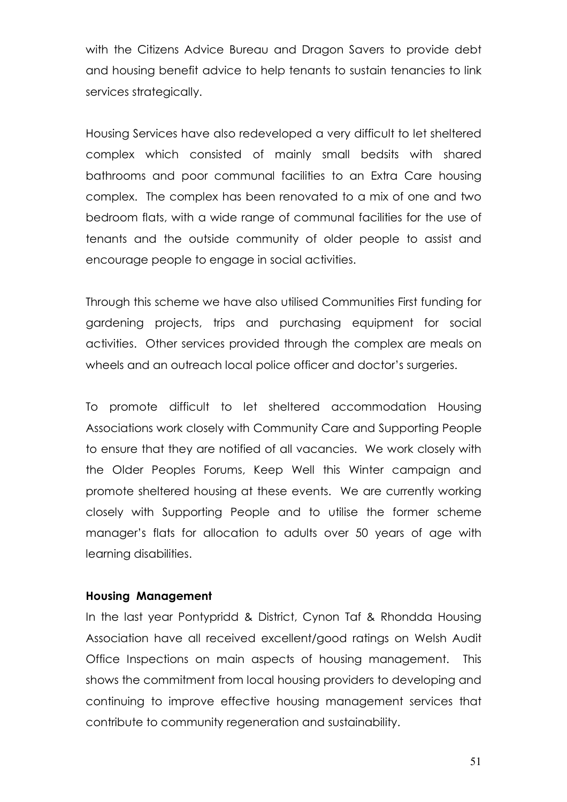with the Citizens Advice Bureau and Dragon Savers to provide debt and housing benefit advice to help tenants to sustain tenancies to link services strategically.

Housing Services have also redeveloped a very difficult to let sheltered complex which consisted of mainly small bedsits with shared bathrooms and poor communal facilities to an Extra Care housing complex. The complex has been renovated to a mix of one and two bedroom flats, with a wide range of communal facilities for the use of tenants and the outside community of older people to assist and encourage people to engage in social activities.

Through this scheme we have also utilised Communities First funding for gardening projects, trips and purchasing equipment for social activities. Other services provided through the complex are meals on wheels and an outreach local police officer and doctor's surgeries.

To promote difficult to let sheltered accommodation Housing Associations work closely with Community Care and Supporting People to ensure that they are notified of all vacancies. We work closely with the Older Peoples Forums, Keep Well this Winter campaign and promote sheltered housing at these events. We are currently working closely with Supporting People and to utilise the former scheme manager's flats for allocation to adults over 50 years of age with learning disabilities.

#### Housing Management

In the last year Pontypridd & District, Cynon Taf & Rhondda Housing Association have all received excellent/good ratings on Welsh Audit Office Inspections on main aspects of housing management. This shows the commitment from local housing providers to developing and continuing to improve effective housing management services that contribute to community regeneration and sustainability.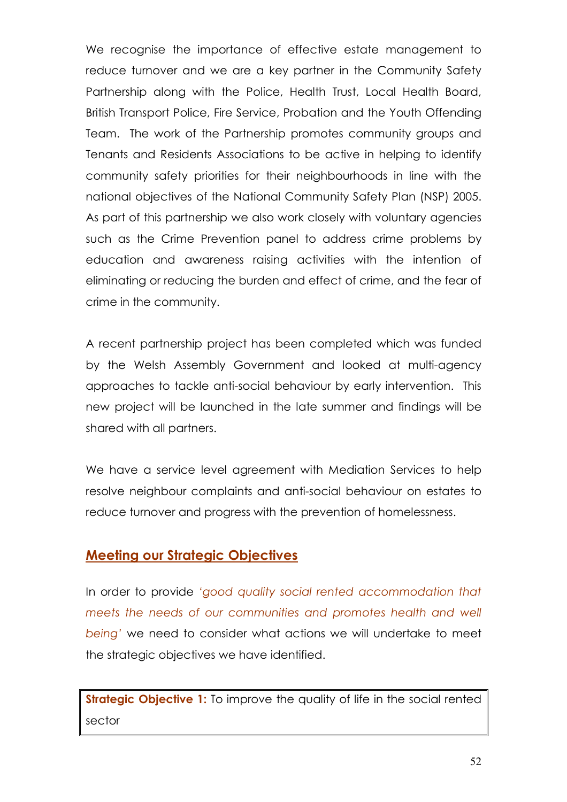We recognise the importance of effective estate management to reduce turnover and we are a key partner in the Community Safety Partnership along with the Police, Health Trust, Local Health Board, British Transport Police, Fire Service, Probation and the Youth Offending Team. The work of the Partnership promotes community groups and Tenants and Residents Associations to be active in helping to identify community safety priorities for their neighbourhoods in line with the national objectives of the National Community Safety Plan (NSP) 2005. As part of this partnership we also work closely with voluntary agencies such as the Crime Prevention panel to address crime problems by education and awareness raising activities with the intention of eliminating or reducing the burden and effect of crime, and the fear of crime in the community.

A recent partnership project has been completed which was funded by the Welsh Assembly Government and looked at multi-agency approaches to tackle anti-social behaviour by early intervention. This new project will be launched in the late summer and findings will be shared with all partners.

We have a service level agreement with Mediation Services to help resolve neighbour complaints and anti-social behaviour on estates to reduce turnover and progress with the prevention of homelessness.

# Meeting our Strategic Objectives

In order to provide 'good quality social rented accommodation that meets the needs of our communities and promotes health and well being' we need to consider what actions we will undertake to meet the strategic objectives we have identified.

Strategic Objective 1: To improve the quality of life in the social rented sector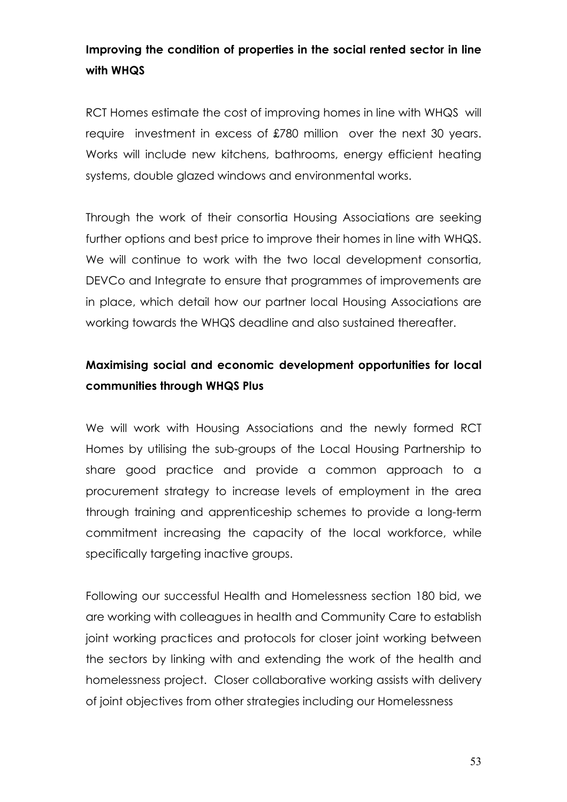# Improving the condition of properties in the social rented sector in line with WHQS

RCT Homes estimate the cost of improving homes in line with WHQS will require investment in excess of £780 million over the next 30 years. Works will include new kitchens, bathrooms, energy efficient heating systems, double glazed windows and environmental works.

Through the work of their consortia Housing Associations are seeking further options and best price to improve their homes in line with WHQS. We will continue to work with the two local development consortia, DEVCo and Integrate to ensure that programmes of improvements are in place, which detail how our partner local Housing Associations are working towards the WHQS deadline and also sustained thereafter.

# Maximising social and economic development opportunities for local communities through WHQS Plus

We will work with Housing Associations and the newly formed RCT Homes by utilising the sub-groups of the Local Housing Partnership to share good practice and provide a common approach to a procurement strategy to increase levels of employment in the area through training and apprenticeship schemes to provide a long-term commitment increasing the capacity of the local workforce, while specifically targeting inactive groups.

Following our successful Health and Homelessness section 180 bid, we are working with colleagues in health and Community Care to establish joint working practices and protocols for closer joint working between the sectors by linking with and extending the work of the health and homelessness project. Closer collaborative working assists with delivery of joint objectives from other strategies including our Homelessness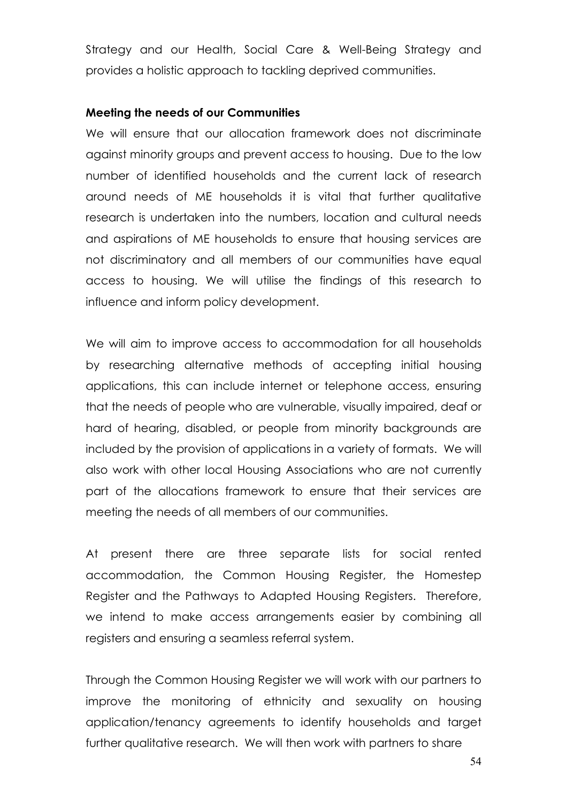Strategy and our Health, Social Care & Well-Being Strategy and provides a holistic approach to tackling deprived communities.

#### Meeting the needs of our Communities

We will ensure that our allocation framework does not discriminate against minority groups and prevent access to housing. Due to the low number of identified households and the current lack of research around needs of ME households it is vital that further qualitative research is undertaken into the numbers, location and cultural needs and aspirations of ME households to ensure that housing services are not discriminatory and all members of our communities have equal access to housing. We will utilise the findings of this research to influence and inform policy development.

We will aim to improve access to accommodation for all households by researching alternative methods of accepting initial housing applications, this can include internet or telephone access, ensuring that the needs of people who are vulnerable, visually impaired, deaf or hard of hearing, disabled, or people from minority backgrounds are included by the provision of applications in a variety of formats. We will also work with other local Housing Associations who are not currently part of the allocations framework to ensure that their services are meeting the needs of all members of our communities.

At present there are three separate lists for social rented accommodation, the Common Housing Register, the Homestep Register and the Pathways to Adapted Housing Registers. Therefore, we intend to make access arrangements easier by combining all registers and ensuring a seamless referral system.

Through the Common Housing Register we will work with our partners to improve the monitoring of ethnicity and sexuality on housing application/tenancy agreements to identify households and target further qualitative research. We will then work with partners to share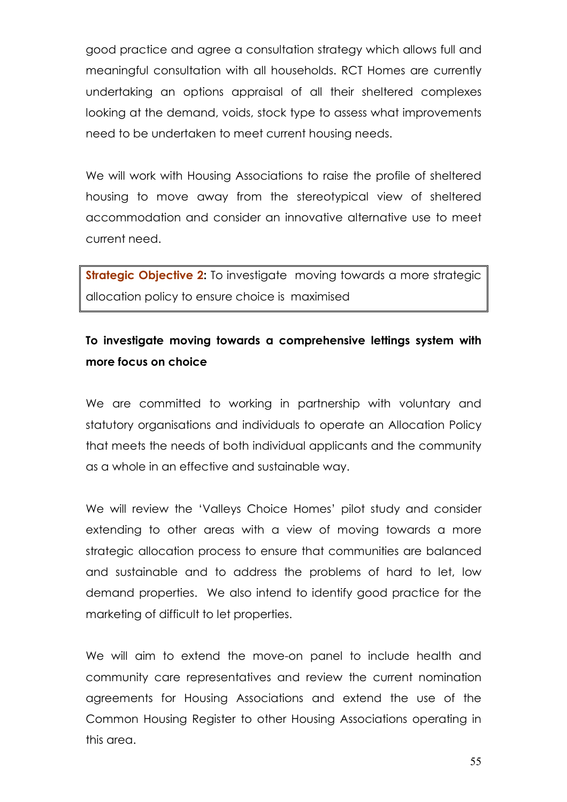good practice and agree a consultation strategy which allows full and meaningful consultation with all households. RCT Homes are currently undertaking an options appraisal of all their sheltered complexes looking at the demand, voids, stock type to assess what improvements need to be undertaken to meet current housing needs.

We will work with Housing Associations to raise the profile of sheltered housing to move away from the stereotypical view of sheltered accommodation and consider an innovative alternative use to meet current need.

Strategic Objective 2: To investigate moving towards a more strategic allocation policy to ensure choice is maximised

# To investigate moving towards a comprehensive lettings system with more focus on choice

We are committed to working in partnership with voluntary and statutory organisations and individuals to operate an Allocation Policy that meets the needs of both individual applicants and the community as a whole in an effective and sustainable way.

We will review the 'Valleys Choice Homes' pilot study and consider extending to other areas with a view of moving towards a more strategic allocation process to ensure that communities are balanced and sustainable and to address the problems of hard to let, low demand properties. We also intend to identify good practice for the marketing of difficult to let properties.

We will aim to extend the move-on panel to include health and community care representatives and review the current nomination agreements for Housing Associations and extend the use of the Common Housing Register to other Housing Associations operating in this area.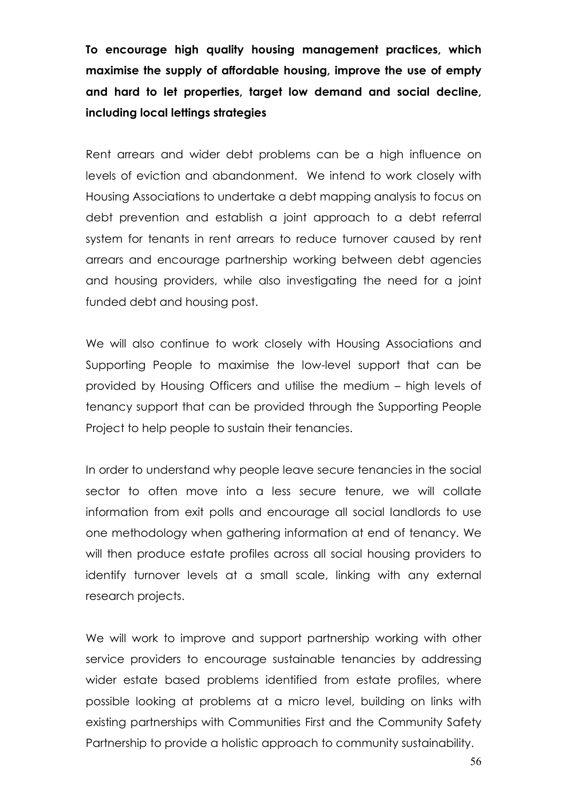To encourage high quality housing management practices, which maximise the supply of affordable housing, improve the use of empty and hard to let properties, target low demand and social decline, including local lettings strategies

Rent arrears and wider debt problems can be a high influence on levels of eviction and abandonment. We intend to work closely with Housing Associations to undertake a debt mapping analysis to focus on debt prevention and establish a joint approach to a debt referral system for tenants in rent arrears to reduce turnover caused by rent arrears and encourage partnership working between debt agencies and housing providers, while also investigating the need for a joint funded debt and housing post.

We will also continue to work closely with Housing Associations and Supporting People to maximise the low-level support that can be provided by Housing Officers and utilise the medium – high levels of tenancy support that can be provided through the Supporting People Project to help people to sustain their tenancies.

In order to understand why people leave secure tenancies in the social sector to often move into a less secure tenure, we will collate information from exit polls and encourage all social landlords to use one methodology when gathering information at end of tenancy. We will then produce estate profiles across all social housing providers to identify turnover levels at a small scale, linking with any external research projects.

We will work to improve and support partnership working with other service providers to encourage sustainable tenancies by addressing wider estate based problems identified from estate profiles, where possible looking at problems at a micro level, building on links with existing partnerships with Communities First and the Community Safety Partnership to provide a holistic approach to community sustainability.

56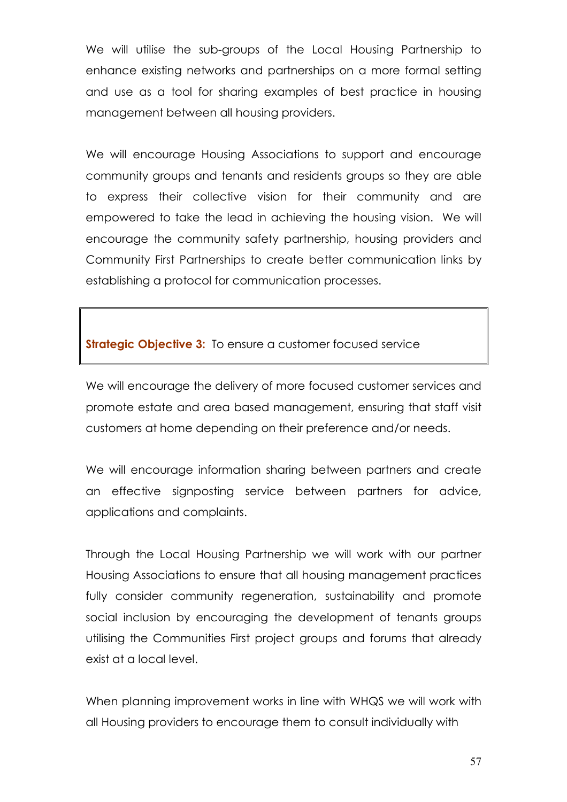We will utilise the sub-groups of the Local Housing Partnership to enhance existing networks and partnerships on a more formal setting and use as a tool for sharing examples of best practice in housing management between all housing providers.

We will encourage Housing Associations to support and encourage community groups and tenants and residents groups so they are able to express their collective vision for their community and are empowered to take the lead in achieving the housing vision. We will encourage the community safety partnership, housing providers and Community First Partnerships to create better communication links by establishing a protocol for communication processes.

**Strategic Objective 3:** To ensure a customer focused service

We will encourage the delivery of more focused customer services and promote estate and area based management, ensuring that staff visit customers at home depending on their preference and/or needs.

We will encourage information sharing between partners and create an effective signposting service between partners for advice, applications and complaints.

Through the Local Housing Partnership we will work with our partner Housing Associations to ensure that all housing management practices fully consider community regeneration, sustainability and promote social inclusion by encouraging the development of tenants groups utilising the Communities First project groups and forums that already exist at a local level.

When planning improvement works in line with WHQS we will work with all Housing providers to encourage them to consult individually with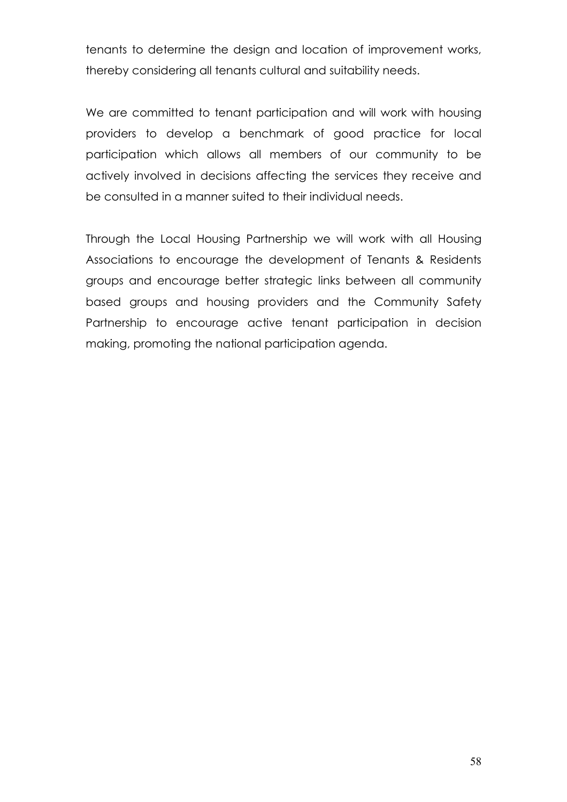tenants to determine the design and location of improvement works, thereby considering all tenants cultural and suitability needs.

We are committed to tenant participation and will work with housing providers to develop a benchmark of good practice for local participation which allows all members of our community to be actively involved in decisions affecting the services they receive and be consulted in a manner suited to their individual needs.

Through the Local Housing Partnership we will work with all Housing Associations to encourage the development of Tenants & Residents groups and encourage better strategic links between all community based groups and housing providers and the Community Safety Partnership to encourage active tenant participation in decision making, promoting the national participation agenda.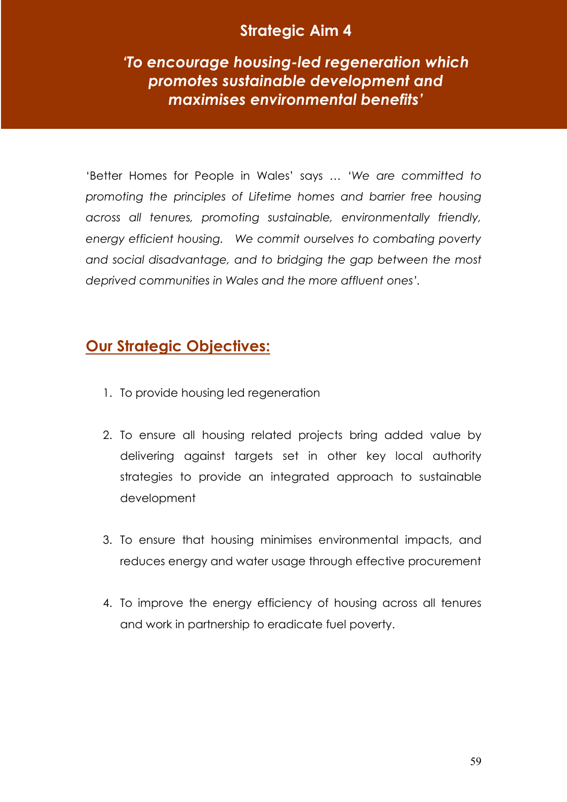# Strategic Aim 4

'To encourage housing-led regeneration which promotes sustainable development and maximises environmental benefits'

'Better Homes for People in Wales' says … 'We are committed to promoting the principles of Lifetime homes and barrier free housing across all tenures, promoting sustainable, environmentally friendly, energy efficient housing. We commit ourselves to combating poverty and social disadvantage, and to bridging the gap between the most deprived communities in Wales and the more affluent ones'.

# Our Strategic Objectives:

- 1. To provide housing led regeneration
- 2. To ensure all housing related projects bring added value by delivering against targets set in other key local authority strategies to provide an integrated approach to sustainable development
- 3. To ensure that housing minimises environmental impacts, and reduces energy and water usage through effective procurement
- 4. To improve the energy efficiency of housing across all tenures and work in partnership to eradicate fuel poverty.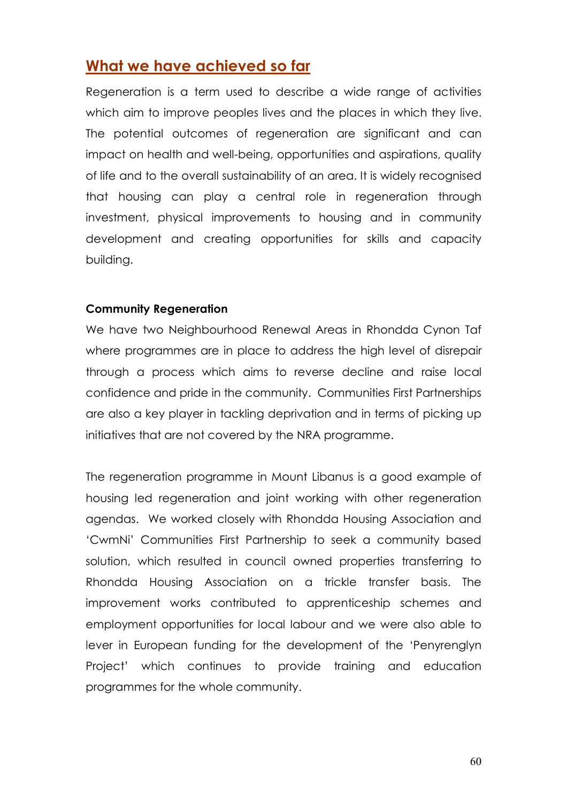# What we have achieved so far

Regeneration is a term used to describe a wide range of activities which aim to improve peoples lives and the places in which they live. The potential outcomes of regeneration are significant and can impact on health and well-being, opportunities and aspirations, quality of life and to the overall sustainability of an area. It is widely recognised that housing can play a central role in regeneration through investment, physical improvements to housing and in community development and creating opportunities for skills and capacity building.

#### Community Regeneration

We have two Neighbourhood Renewal Areas in Rhondda Cynon Taf where programmes are in place to address the high level of disrepair through a process which aims to reverse decline and raise local confidence and pride in the community. Communities First Partnerships are also a key player in tackling deprivation and in terms of picking up initiatives that are not covered by the NRA programme.

The regeneration programme in Mount Libanus is a good example of housing led regeneration and joint working with other regeneration agendas. We worked closely with Rhondda Housing Association and 'CwmNi' Communities First Partnership to seek a community based solution, which resulted in council owned properties transferring to Rhondda Housing Association on a trickle transfer basis. The improvement works contributed to apprenticeship schemes and employment opportunities for local labour and we were also able to lever in European funding for the development of the 'Penyrenglyn Project' which continues to provide training and education programmes for the whole community.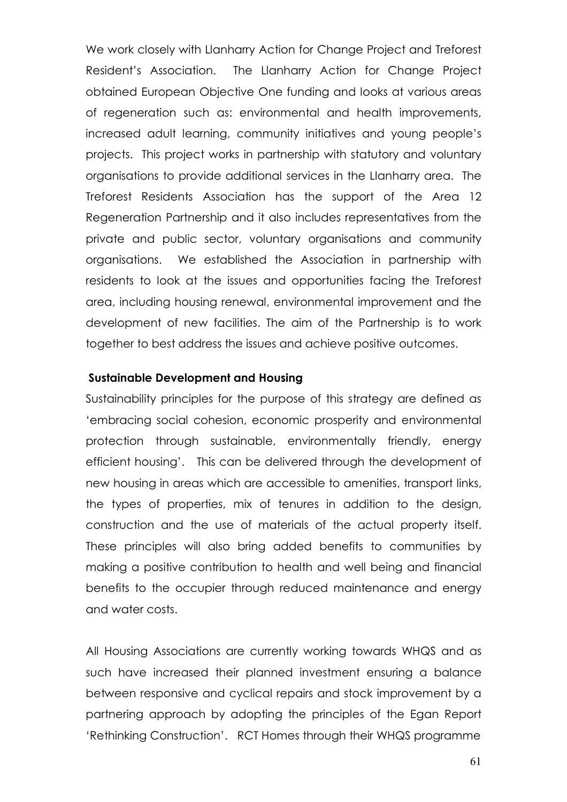We work closely with Llanharry Action for Change Project and Treforest Resident's Association. The Llanharry Action for Change Project obtained European Objective One funding and looks at various areas of regeneration such as: environmental and health improvements, increased adult learning, community initiatives and young people's projects. This project works in partnership with statutory and voluntary organisations to provide additional services in the Llanharry area. The Treforest Residents Association has the support of the Area 12 Regeneration Partnership and it also includes representatives from the private and public sector, voluntary organisations and community organisations. We established the Association in partnership with residents to look at the issues and opportunities facing the Treforest area, including housing renewal, environmental improvement and the development of new facilities. The aim of the Partnership is to work together to best address the issues and achieve positive outcomes.

#### Sustainable Development and Housing

Sustainability principles for the purpose of this strategy are defined as 'embracing social cohesion, economic prosperity and environmental protection through sustainable, environmentally friendly, energy efficient housing'. This can be delivered through the development of new housing in areas which are accessible to amenities, transport links, the types of properties, mix of tenures in addition to the design, construction and the use of materials of the actual property itself. These principles will also bring added benefits to communities by making a positive contribution to health and well being and financial benefits to the occupier through reduced maintenance and energy and water costs.

All Housing Associations are currently working towards WHQS and as such have increased their planned investment ensuring a balance between responsive and cyclical repairs and stock improvement by a partnering approach by adopting the principles of the Egan Report 'Rethinking Construction'. RCT Homes through their WHQS programme

61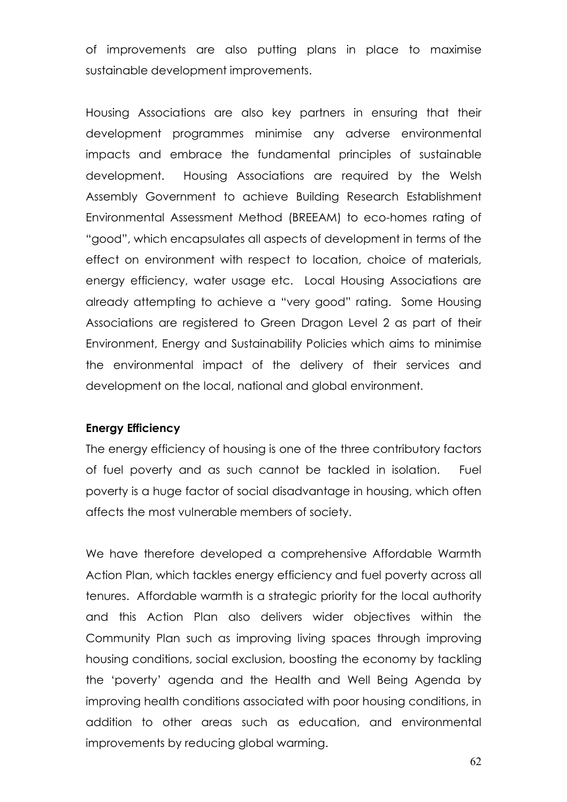of improvements are also putting plans in place to maximise sustainable development improvements.

Housing Associations are also key partners in ensuring that their development programmes minimise any adverse environmental impacts and embrace the fundamental principles of sustainable development. Housing Associations are required by the Welsh Assembly Government to achieve Building Research Establishment Environmental Assessment Method (BREEAM) to eco-homes rating of "good", which encapsulates all aspects of development in terms of the effect on environment with respect to location, choice of materials, energy efficiency, water usage etc. Local Housing Associations are already attempting to achieve a "very good" rating. Some Housing Associations are registered to Green Dragon Level 2 as part of their Environment, Energy and Sustainability Policies which aims to minimise the environmental impact of the delivery of their services and development on the local, national and global environment.

#### Energy Efficiency

The energy efficiency of housing is one of the three contributory factors of fuel poverty and as such cannot be tackled in isolation. Fuel poverty is a huge factor of social disadvantage in housing, which often affects the most vulnerable members of society.

We have therefore developed a comprehensive Affordable Warmth Action Plan, which tackles energy efficiency and fuel poverty across all tenures. Affordable warmth is a strategic priority for the local authority and this Action Plan also delivers wider objectives within the Community Plan such as improving living spaces through improving housing conditions, social exclusion, boosting the economy by tackling the 'poverty' agenda and the Health and Well Being Agenda by improving health conditions associated with poor housing conditions, in addition to other areas such as education, and environmental improvements by reducing global warming.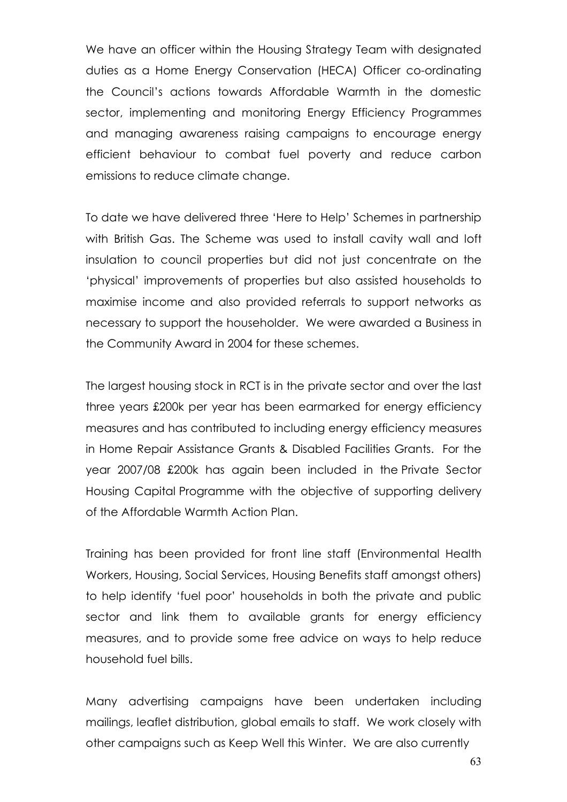We have an officer within the Housing Strategy Team with designated duties as a Home Energy Conservation (HECA) Officer co-ordinating the Council's actions towards Affordable Warmth in the domestic sector, implementing and monitoring Energy Efficiency Programmes and managing awareness raising campaigns to encourage energy efficient behaviour to combat fuel poverty and reduce carbon emissions to reduce climate change.

To date we have delivered three 'Here to Help' Schemes in partnership with British Gas. The Scheme was used to install cavity wall and loft insulation to council properties but did not just concentrate on the 'physical' improvements of properties but also assisted households to maximise income and also provided referrals to support networks as necessary to support the householder. We were awarded a Business in the Community Award in 2004 for these schemes.

The largest housing stock in RCT is in the private sector and over the last three years £200k per year has been earmarked for energy efficiency measures and has contributed to including energy efficiency measures in Home Repair Assistance Grants & Disabled Facilities Grants. For the year 2007/08 £200k has again been included in the Private Sector Housing Capital Programme with the objective of supporting delivery of the Affordable Warmth Action Plan.

Training has been provided for front line staff (Environmental Health Workers, Housing, Social Services, Housing Benefits staff amongst others) to help identify 'fuel poor' households in both the private and public sector and link them to available grants for energy efficiency measures, and to provide some free advice on ways to help reduce household fuel bills.

Many advertising campaigns have been undertaken including mailings, leaflet distribution, global emails to staff. We work closely with other campaigns such as Keep Well this Winter. We are also currently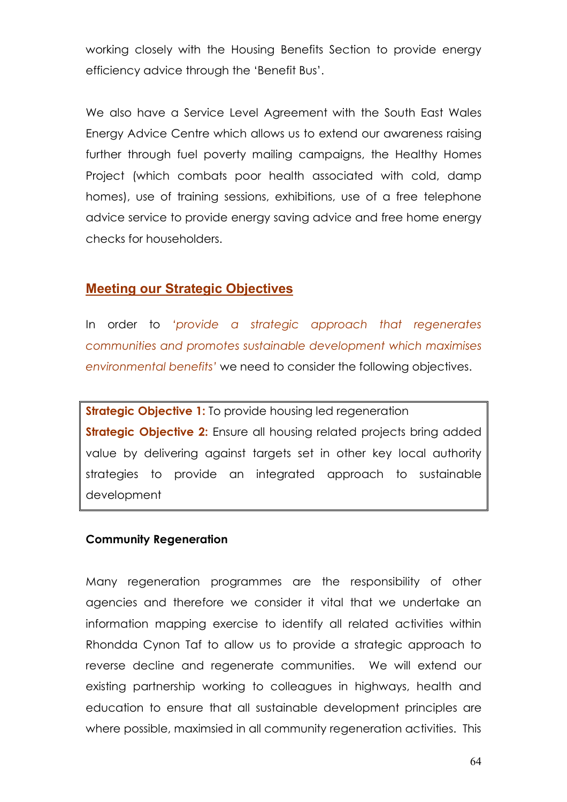working closely with the Housing Benefits Section to provide energy efficiency advice through the 'Benefit Bus'.

We also have a Service Level Agreement with the South East Wales Energy Advice Centre which allows us to extend our awareness raising further through fuel poverty mailing campaigns, the Healthy Homes Project (which combats poor health associated with cold, damp homes), use of training sessions, exhibitions, use of a free telephone advice service to provide energy saving advice and free home energy checks for householders.

#### Meeting our Strategic Objectives

In order to 'provide a strategic approach that regenerates communities and promotes sustainable development which maximises environmental benefits' we need to consider the following objectives.

**Strategic Objective 1:** To provide housing led regeneration **Strategic Objective 2:** Ensure all housing related projects bring added value by delivering against targets set in other key local authority strategies to provide an integrated approach to sustainable development

#### Community Regeneration

Many regeneration programmes are the responsibility of other agencies and therefore we consider it vital that we undertake an information mapping exercise to identify all related activities within Rhondda Cynon Taf to allow us to provide a strategic approach to reverse decline and regenerate communities. We will extend our existing partnership working to colleagues in highways, health and education to ensure that all sustainable development principles are where possible, maximsied in all community regeneration activities. This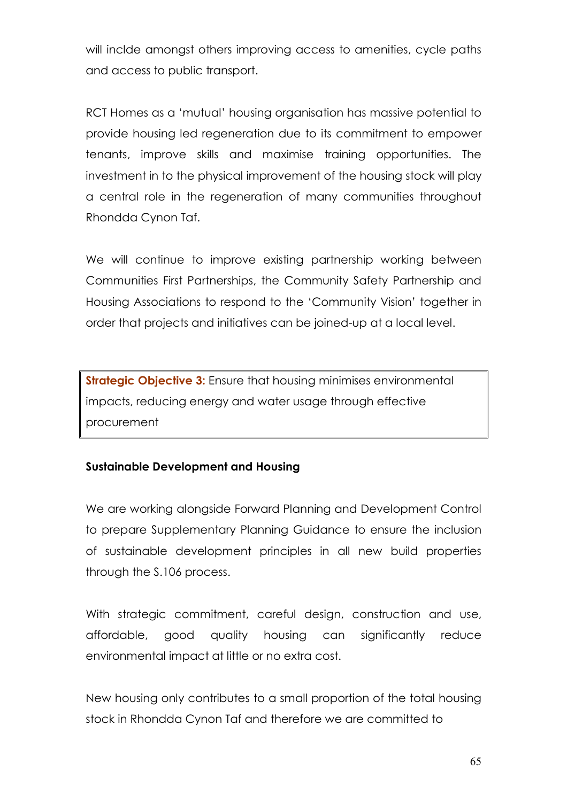will inclde amongst others improving access to amenities, cycle paths and access to public transport.

RCT Homes as a 'mutual' housing organisation has massive potential to provide housing led regeneration due to its commitment to empower tenants, improve skills and maximise training opportunities. The investment in to the physical improvement of the housing stock will play a central role in the regeneration of many communities throughout Rhondda Cynon Taf.

We will continue to improve existing partnership working between Communities First Partnerships, the Community Safety Partnership and Housing Associations to respond to the 'Community Vision' together in order that projects and initiatives can be joined-up at a local level.

**Strategic Objective 3:** Ensure that housing minimises environmental impacts, reducing energy and water usage through effective procurement

#### Sustainable Development and Housing

We are working alongside Forward Planning and Development Control to prepare Supplementary Planning Guidance to ensure the inclusion of sustainable development principles in all new build properties through the S.106 process.

With strategic commitment, careful design, construction and use, affordable, good quality housing can significantly reduce environmental impact at little or no extra cost.

New housing only contributes to a small proportion of the total housing stock in Rhondda Cynon Taf and therefore we are committed to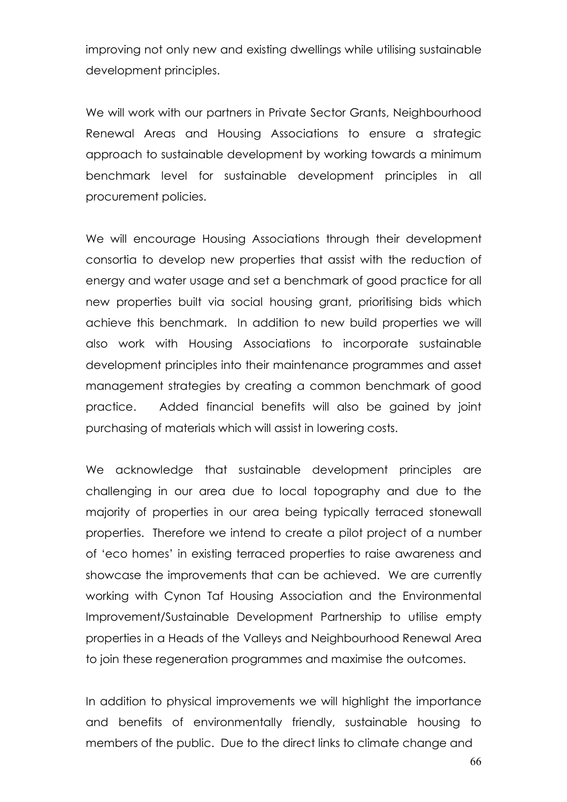improving not only new and existing dwellings while utilising sustainable development principles.

We will work with our partners in Private Sector Grants, Neighbourhood Renewal Areas and Housing Associations to ensure a strategic approach to sustainable development by working towards a minimum benchmark level for sustainable development principles in all procurement policies.

We will encourage Housing Associations through their development consortia to develop new properties that assist with the reduction of energy and water usage and set a benchmark of good practice for all new properties built via social housing grant, prioritising bids which achieve this benchmark. In addition to new build properties we will also work with Housing Associations to incorporate sustainable development principles into their maintenance programmes and asset management strategies by creating a common benchmark of good practice. Added financial benefits will also be gained by joint purchasing of materials which will assist in lowering costs.

We acknowledge that sustainable development principles are challenging in our area due to local topography and due to the majority of properties in our area being typically terraced stonewall properties. Therefore we intend to create a pilot project of a number of 'eco homes' in existing terraced properties to raise awareness and showcase the improvements that can be achieved. We are currently working with Cynon Taf Housing Association and the Environmental Improvement/Sustainable Development Partnership to utilise empty properties in a Heads of the Valleys and Neighbourhood Renewal Area to join these regeneration programmes and maximise the outcomes.

In addition to physical improvements we will highlight the importance and benefits of environmentally friendly, sustainable housing to members of the public. Due to the direct links to climate change and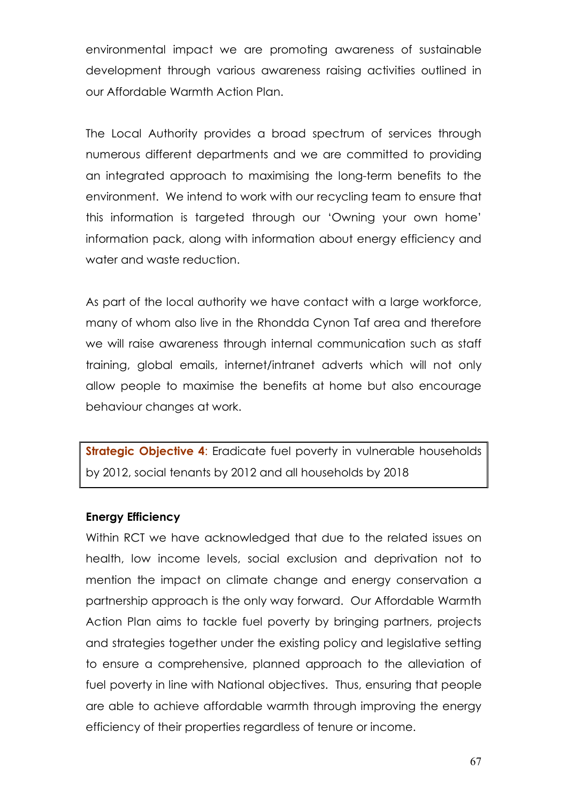environmental impact we are promoting awareness of sustainable development through various awareness raising activities outlined in our Affordable Warmth Action Plan.

The Local Authority provides a broad spectrum of services through numerous different departments and we are committed to providing an integrated approach to maximising the long-term benefits to the environment. We intend to work with our recycling team to ensure that this information is targeted through our 'Owning your own home' information pack, along with information about energy efficiency and water and waste reduction.

As part of the local authority we have contact with a large workforce, many of whom also live in the Rhondda Cynon Taf area and therefore we will raise awareness through internal communication such as staff training, global emails, internet/intranet adverts which will not only allow people to maximise the benefits at home but also encourage behaviour changes at work.

**Strategic Objective 4:** Eradicate fuel poverty in vulnerable households by 2012, social tenants by 2012 and all households by 2018

#### Energy Efficiency

Within RCT we have acknowledged that due to the related issues on health, low income levels, social exclusion and deprivation not to mention the impact on climate change and energy conservation a partnership approach is the only way forward. Our Affordable Warmth Action Plan aims to tackle fuel poverty by bringing partners, projects and strategies together under the existing policy and legislative setting to ensure a comprehensive, planned approach to the alleviation of fuel poverty in line with National objectives. Thus, ensuring that people are able to achieve affordable warmth through improving the energy efficiency of their properties regardless of tenure or income.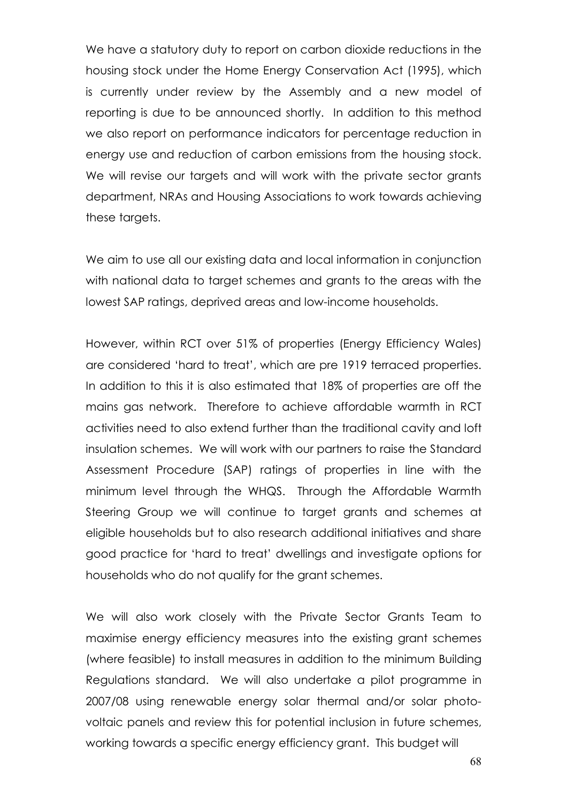We have a statutory duty to report on carbon dioxide reductions in the housing stock under the Home Energy Conservation Act (1995), which is currently under review by the Assembly and a new model of reporting is due to be announced shortly. In addition to this method we also report on performance indicators for percentage reduction in energy use and reduction of carbon emissions from the housing stock. We will revise our targets and will work with the private sector grants department, NRAs and Housing Associations to work towards achieving these targets.

We aim to use all our existing data and local information in conjunction with national data to target schemes and grants to the areas with the lowest SAP ratings, deprived areas and low-income households.

However, within RCT over 51% of properties (Energy Efficiency Wales) are considered 'hard to treat', which are pre 1919 terraced properties. In addition to this it is also estimated that 18% of properties are off the mains gas network. Therefore to achieve affordable warmth in RCT activities need to also extend further than the traditional cavity and loft insulation schemes. We will work with our partners to raise the Standard Assessment Procedure (SAP) ratings of properties in line with the minimum level through the WHQS. Through the Affordable Warmth Steering Group we will continue to target grants and schemes at eligible households but to also research additional initiatives and share good practice for 'hard to treat' dwellings and investigate options for households who do not qualify for the grant schemes.

We will also work closely with the Private Sector Grants Team to maximise energy efficiency measures into the existing grant schemes (where feasible) to install measures in addition to the minimum Building Regulations standard. We will also undertake a pilot programme in 2007/08 using renewable energy solar thermal and/or solar photovoltaic panels and review this for potential inclusion in future schemes, working towards a specific energy efficiency grant. This budget will

68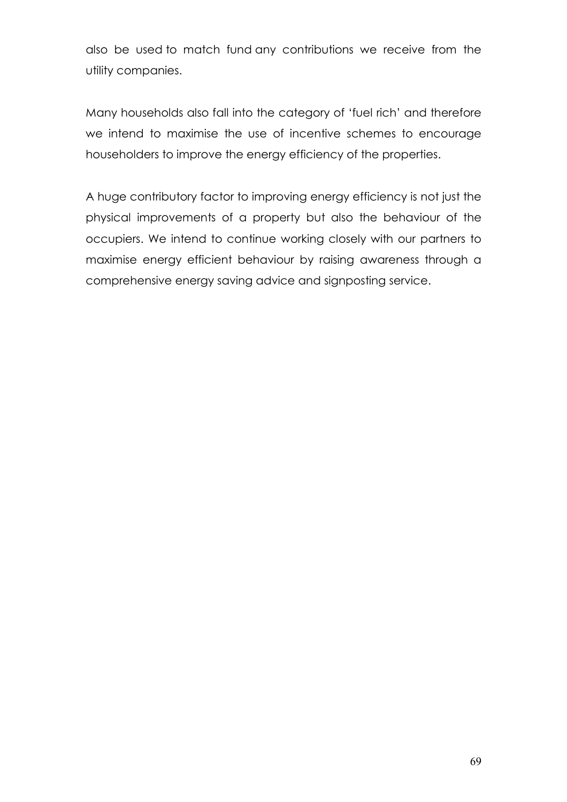also be used to match fund any contributions we receive from the utility companies.

Many households also fall into the category of 'fuel rich' and therefore we intend to maximise the use of incentive schemes to encourage householders to improve the energy efficiency of the properties.

A huge contributory factor to improving energy efficiency is not just the physical improvements of a property but also the behaviour of the occupiers. We intend to continue working closely with our partners to maximise energy efficient behaviour by raising awareness through a comprehensive energy saving advice and signposting service.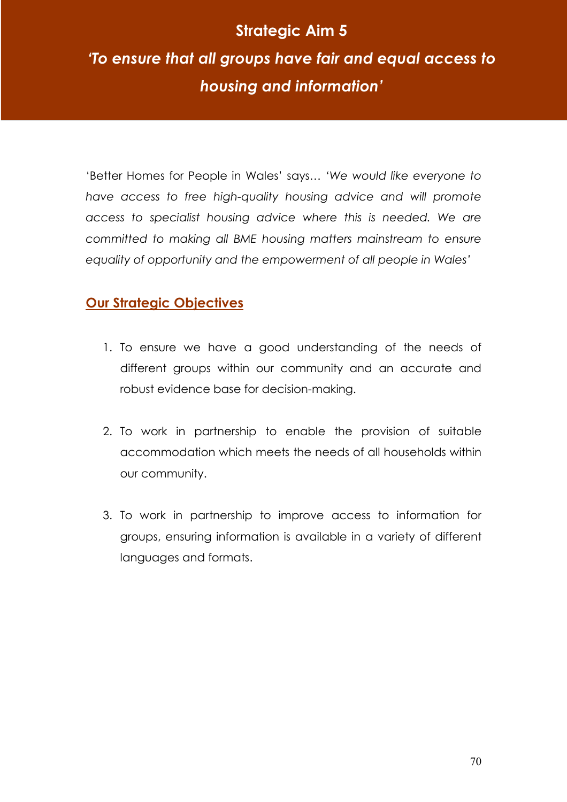# Strategic Aim 5

# 'To ensure that all groups have fair and equal access to housing and information'

'Better Homes for People in Wales' says… 'We would like everyone to have access to free high-quality housing advice and will promote access to specialist housing advice where this is needed. We are committed to making all BME housing matters mainstream to ensure equality of opportunity and the empowerment of all people in Wales'

# **Our Strategic Objectives**

- 1. To ensure we have a good understanding of the needs of different groups within our community and an accurate and robust evidence base for decision-making.
- 2. To work in partnership to enable the provision of suitable accommodation which meets the needs of all households within our community.
- 3. To work in partnership to improve access to information for groups, ensuring information is available in a variety of different languages and formats.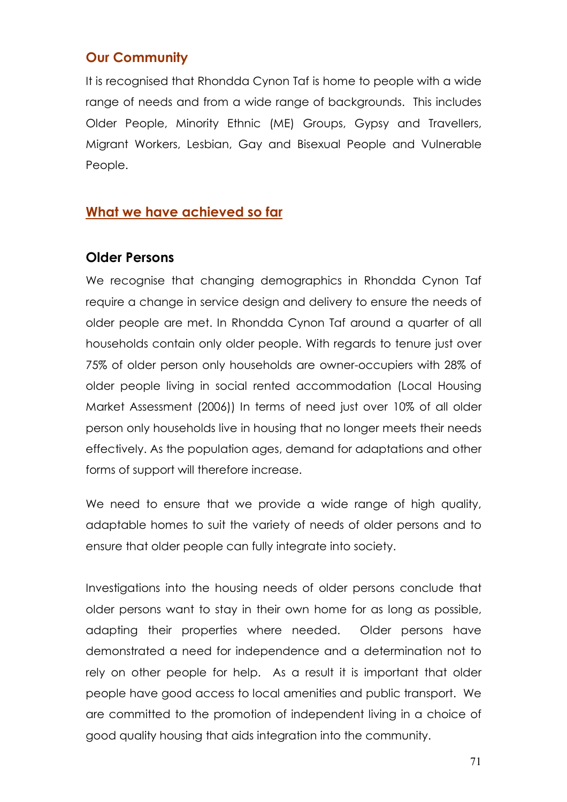# Our Community

It is recognised that Rhondda Cynon Taf is home to people with a wide range of needs and from a wide range of backgrounds. This includes Older People, Minority Ethnic (ME) Groups, Gypsy and Travellers, Migrant Workers, Lesbian, Gay and Bisexual People and Vulnerable People.

# What we have achieved so far

# Older Persons

We recognise that changing demographics in Rhondda Cynon Taf require a change in service design and delivery to ensure the needs of older people are met. In Rhondda Cynon Taf around a quarter of all households contain only older people. With regards to tenure just over 75% of older person only households are owner-occupiers with 28% of older people living in social rented accommodation (Local Housing Market Assessment (2006)) In terms of need just over 10% of all older person only households live in housing that no longer meets their needs effectively. As the population ages, demand for adaptations and other forms of support will therefore increase.

We need to ensure that we provide a wide range of high quality, adaptable homes to suit the variety of needs of older persons and to ensure that older people can fully integrate into society.

Investigations into the housing needs of older persons conclude that older persons want to stay in their own home for as long as possible, adapting their properties where needed. Older persons have demonstrated a need for independence and a determination not to rely on other people for help. As a result it is important that older people have good access to local amenities and public transport. We are committed to the promotion of independent living in a choice of good quality housing that aids integration into the community.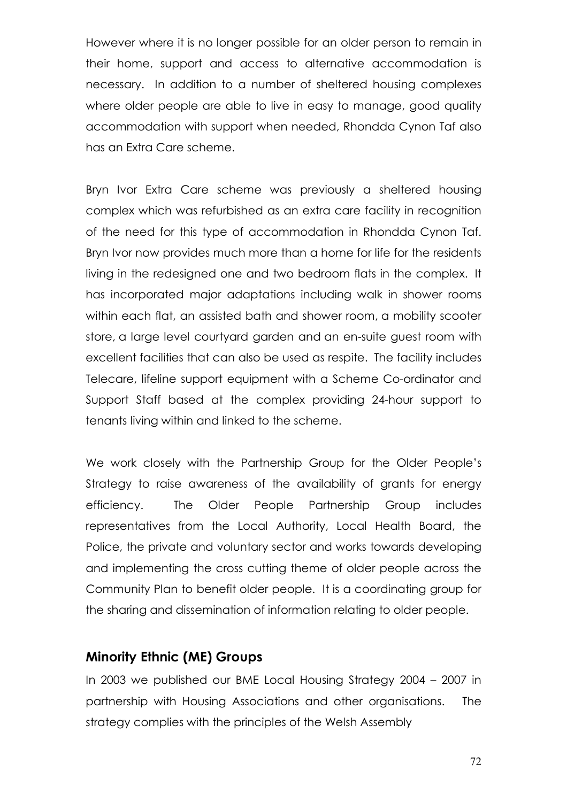However where it is no longer possible for an older person to remain in their home, support and access to alternative accommodation is necessary. In addition to a number of sheltered housing complexes where older people are able to live in easy to manage, good quality accommodation with support when needed, Rhondda Cynon Taf also has an Extra Care scheme.

Bryn Ivor Extra Care scheme was previously a sheltered housing complex which was refurbished as an extra care facility in recognition of the need for this type of accommodation in Rhondda Cynon Taf. Bryn Ivor now provides much more than a home for life for the residents living in the redesigned one and two bedroom flats in the complex. It has incorporated major adaptations including walk in shower rooms within each flat, an assisted bath and shower room, a mobility scooter store, a large level courtyard garden and an en-suite guest room with excellent facilities that can also be used as respite. The facility includes Telecare, lifeline support equipment with a Scheme Co-ordinator and Support Staff based at the complex providing 24-hour support to tenants living within and linked to the scheme.

We work closely with the Partnership Group for the Older People's Strategy to raise awareness of the availability of grants for energy efficiency. The Older People Partnership Group includes representatives from the Local Authority, Local Health Board, the Police, the private and voluntary sector and works towards developing and implementing the cross cutting theme of older people across the Community Plan to benefit older people. It is a coordinating group for the sharing and dissemination of information relating to older people.

# Minority Ethnic (ME) Groups

In 2003 we published our BME Local Housing Strategy 2004 – 2007 in partnership with Housing Associations and other organisations. The strategy complies with the principles of the Welsh Assembly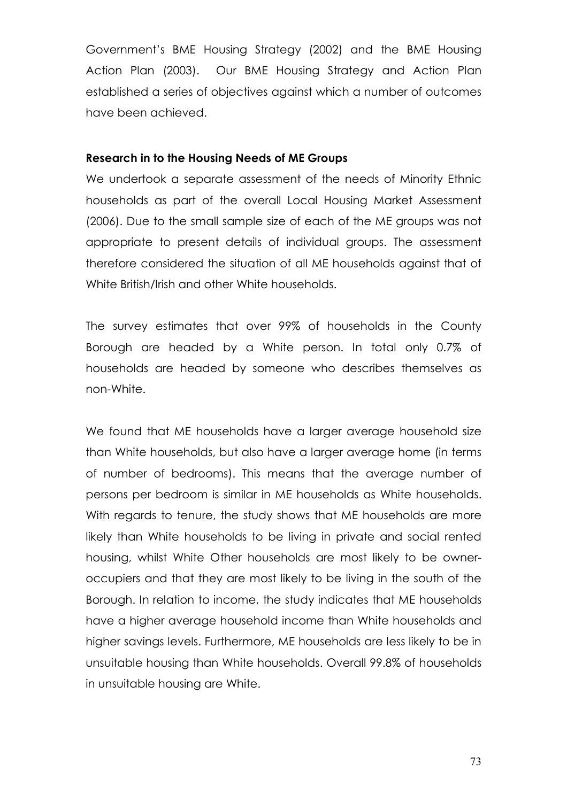Government's BME Housing Strategy (2002) and the BME Housing Action Plan (2003). Our BME Housing Strategy and Action Plan established a series of objectives against which a number of outcomes have been achieved.

#### Research in to the Housing Needs of ME Groups

We undertook a separate assessment of the needs of Minority Ethnic households as part of the overall Local Housing Market Assessment (2006). Due to the small sample size of each of the ME groups was not appropriate to present details of individual groups. The assessment therefore considered the situation of all ME households against that of White British/Irish and other White households.

The survey estimates that over 99% of households in the County Borough are headed by a White person. In total only 0.7% of households are headed by someone who describes themselves as non-White.

We found that ME households have a larger average household size than White households, but also have a larger average home (in terms of number of bedrooms). This means that the average number of persons per bedroom is similar in ME households as White households. With regards to tenure, the study shows that ME households are more likely than White households to be living in private and social rented housing, whilst White Other households are most likely to be owneroccupiers and that they are most likely to be living in the south of the Borough. In relation to income, the study indicates that ME households have a higher average household income than White households and higher savings levels. Furthermore, ME households are less likely to be in unsuitable housing than White households. Overall 99.8% of households in unsuitable housing are White.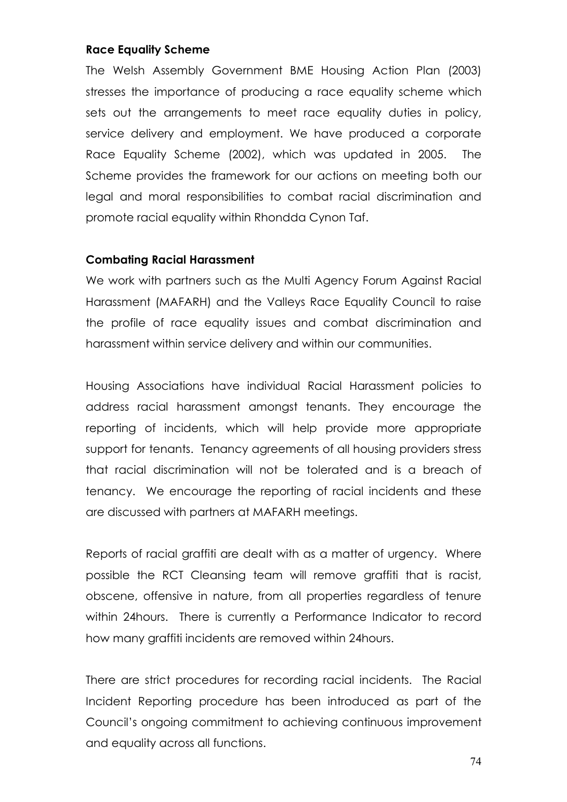#### Race Equality Scheme

The Welsh Assembly Government BME Housing Action Plan (2003) stresses the importance of producing a race equality scheme which sets out the arrangements to meet race equality duties in policy, service delivery and employment. We have produced a corporate Race Equality Scheme (2002), which was updated in 2005. The Scheme provides the framework for our actions on meeting both our legal and moral responsibilities to combat racial discrimination and promote racial equality within Rhondda Cynon Taf.

#### Combating Racial Harassment

We work with partners such as the Multi Agency Forum Against Racial Harassment (MAFARH) and the Valleys Race Equality Council to raise the profile of race equality issues and combat discrimination and harassment within service delivery and within our communities.

Housing Associations have individual Racial Harassment policies to address racial harassment amongst tenants. They encourage the reporting of incidents, which will help provide more appropriate support for tenants. Tenancy agreements of all housing providers stress that racial discrimination will not be tolerated and is a breach of tenancy. We encourage the reporting of racial incidents and these are discussed with partners at MAFARH meetings.

Reports of racial graffiti are dealt with as a matter of urgency. Where possible the RCT Cleansing team will remove graffiti that is racist, obscene, offensive in nature, from all properties regardless of tenure within 24hours. There is currently a Performance Indicator to record how many graffiti incidents are removed within 24hours.

There are strict procedures for recording racial incidents. The Racial Incident Reporting procedure has been introduced as part of the Council's ongoing commitment to achieving continuous improvement and equality across all functions.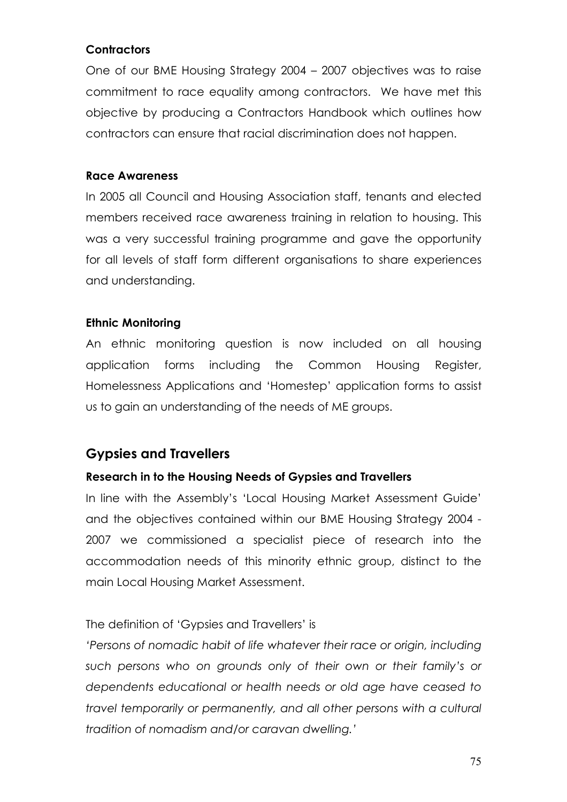# **Contractors**

One of our BME Housing Strategy 2004 – 2007 objectives was to raise commitment to race equality among contractors. We have met this objective by producing a Contractors Handbook which outlines how contractors can ensure that racial discrimination does not happen.

# Race Awareness

In 2005 all Council and Housing Association staff, tenants and elected members received race awareness training in relation to housing. This was a very successful training programme and gave the opportunity for all levels of staff form different organisations to share experiences and understanding.

# Ethnic Monitoring

An ethnic monitoring question is now included on all housing application forms including the Common Housing Register, Homelessness Applications and 'Homestep' application forms to assist us to gain an understanding of the needs of ME groups.

# Gypsies and Travellers

# Research in to the Housing Needs of Gypsies and Travellers

In line with the Assembly's 'Local Housing Market Assessment Guide' and the objectives contained within our BME Housing Strategy 2004 - 2007 we commissioned a specialist piece of research into the accommodation needs of this minority ethnic group, distinct to the main Local Housing Market Assessment.

# The definition of 'Gypsies and Travellers' is

'Persons of nomadic habit of life whatever their race or origin, including such persons who on grounds only of their own or their family's or dependents educational or health needs or old age have ceased to travel temporarily or permanently, and all other persons with a cultural tradition of nomadism and/or caravan dwelling.'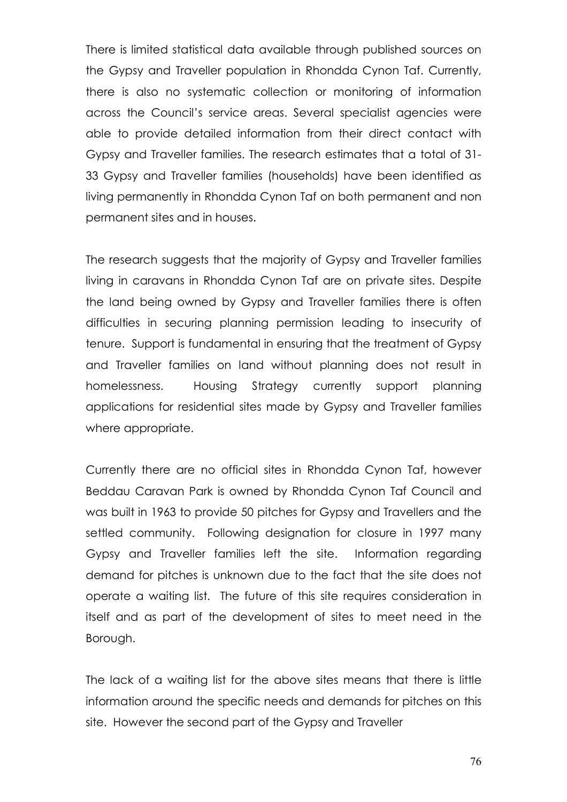There is limited statistical data available through published sources on the Gypsy and Traveller population in Rhondda Cynon Taf. Currently, there is also no systematic collection or monitoring of information across the Council's service areas. Several specialist agencies were able to provide detailed information from their direct contact with Gypsy and Traveller families. The research estimates that a total of 31- 33 Gypsy and Traveller families (households) have been identified as living permanently in Rhondda Cynon Taf on both permanent and non permanent sites and in houses.

The research suggests that the majority of Gypsy and Traveller families living in caravans in Rhondda Cynon Taf are on private sites. Despite the land being owned by Gypsy and Traveller families there is often difficulties in securing planning permission leading to insecurity of tenure. Support is fundamental in ensuring that the treatment of Gypsy and Traveller families on land without planning does not result in homelessness. Housing Strategy currently support planning applications for residential sites made by Gypsy and Traveller families where appropriate.

Currently there are no official sites in Rhondda Cynon Taf, however Beddau Caravan Park is owned by Rhondda Cynon Taf Council and was built in 1963 to provide 50 pitches for Gypsy and Travellers and the settled community. Following designation for closure in 1997 many Gypsy and Traveller families left the site. Information regarding demand for pitches is unknown due to the fact that the site does not operate a waiting list. The future of this site requires consideration in itself and as part of the development of sites to meet need in the Borough.

The lack of a waiting list for the above sites means that there is little information around the specific needs and demands for pitches on this site. However the second part of the Gypsy and Traveller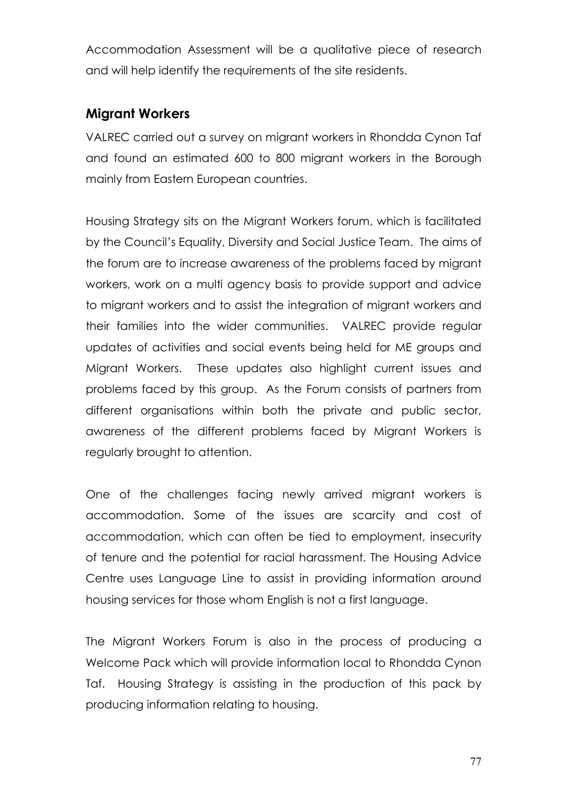Accommodation Assessment will be a qualitative piece of research and will help identify the requirements of the site residents.

# Migrant Workers

VALREC carried out a survey on migrant workers in Rhondda Cynon Taf and found an estimated 600 to 800 migrant workers in the Borough mainly from Eastern European countries.

Housing Strategy sits on the Migrant Workers forum, which is facilitated by the Council's Equality, Diversity and Social Justice Team. The aims of the forum are to increase awareness of the problems faced by migrant workers, work on a multi agency basis to provide support and advice to migrant workers and to assist the integration of migrant workers and their families into the wider communities. VALREC provide regular updates of activities and social events being held for ME groups and Migrant Workers. These updates also highlight current issues and problems faced by this group. As the Forum consists of partners from different organisations within both the private and public sector, awareness of the different problems faced by Migrant Workers is regularly brought to attention.

One of the challenges facing newly arrived migrant workers is accommodation. Some of the issues are scarcity and cost of accommodation, which can often be tied to employment, insecurity of tenure and the potential for racial harassment. The Housing Advice Centre uses Language Line to assist in providing information around housing services for those whom English is not a first language.

The Migrant Workers Forum is also in the process of producing a Welcome Pack which will provide information local to Rhondda Cynon Taf. Housing Strategy is assisting in the production of this pack by producing information relating to housing.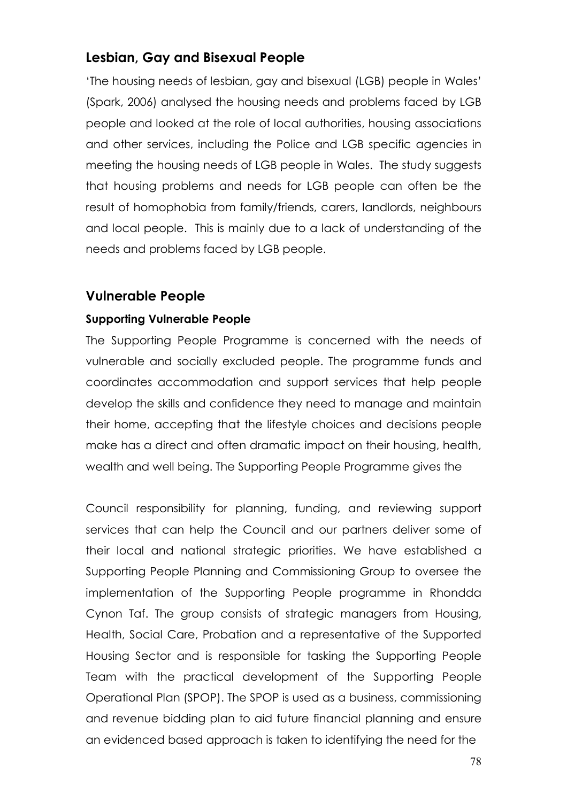# Lesbian, Gay and Bisexual People

'The housing needs of lesbian, gay and bisexual (LGB) people in Wales' (Spark, 2006) analysed the housing needs and problems faced by LGB people and looked at the role of local authorities, housing associations and other services, including the Police and LGB specific agencies in meeting the housing needs of LGB people in Wales. The study suggests that housing problems and needs for LGB people can often be the result of homophobia from family/friends, carers, landlords, neighbours and local people. This is mainly due to a lack of understanding of the needs and problems faced by LGB people.

# Vulnerable People

# Supporting Vulnerable People

The Supporting People Programme is concerned with the needs of vulnerable and socially excluded people. The programme funds and coordinates accommodation and support services that help people develop the skills and confidence they need to manage and maintain their home, accepting that the lifestyle choices and decisions people make has a direct and often dramatic impact on their housing, health, wealth and well being. The Supporting People Programme gives the

Council responsibility for planning, funding, and reviewing support services that can help the Council and our partners deliver some of their local and national strategic priorities. We have established a Supporting People Planning and Commissioning Group to oversee the implementation of the Supporting People programme in Rhondda Cynon Taf. The group consists of strategic managers from Housing, Health, Social Care, Probation and a representative of the Supported Housing Sector and is responsible for tasking the Supporting People Team with the practical development of the Supporting People Operational Plan (SPOP). The SPOP is used as a business, commissioning and revenue bidding plan to aid future financial planning and ensure an evidenced based approach is taken to identifying the need for the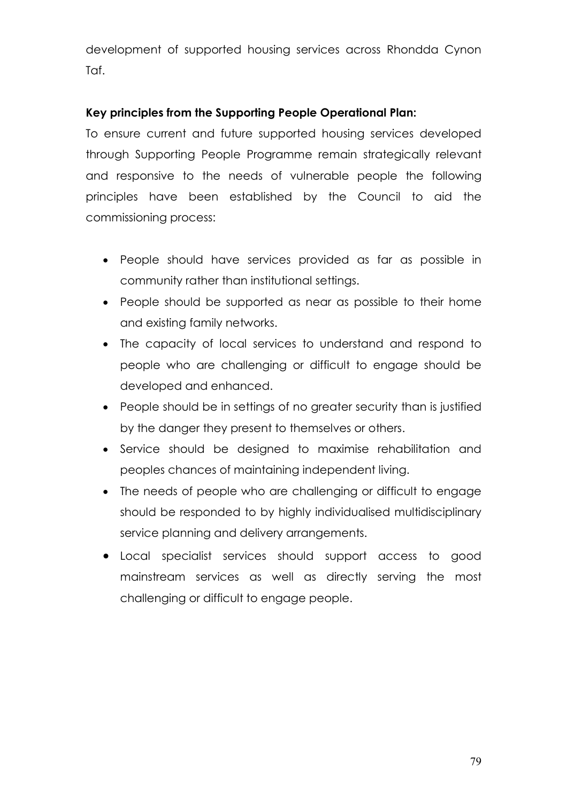development of supported housing services across Rhondda Cynon Taf.

# Key principles from the Supporting People Operational Plan:

To ensure current and future supported housing services developed through Supporting People Programme remain strategically relevant and responsive to the needs of vulnerable people the following principles have been established by the Council to aid the commissioning process:

- People should have services provided as far as possible in community rather than institutional settings.
- People should be supported as near as possible to their home and existing family networks.
- The capacity of local services to understand and respond to people who are challenging or difficult to engage should be developed and enhanced.
- People should be in settings of no greater security than is justified by the danger they present to themselves or others.
- Service should be designed to maximise rehabilitation and peoples chances of maintaining independent living.
- The needs of people who are challenging or difficult to engage should be responded to by highly individualised multidisciplinary service planning and delivery arrangements.
- Local specialist services should support access to good mainstream services as well as directly serving the most challenging or difficult to engage people.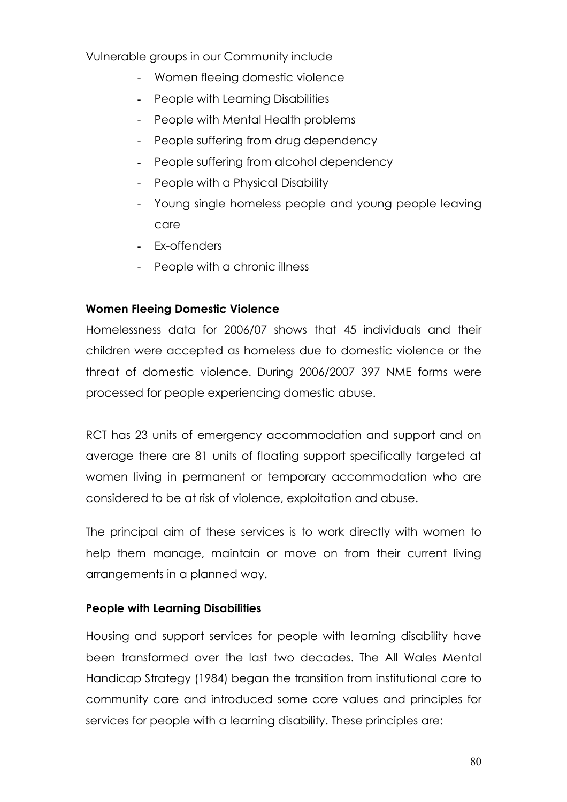Vulnerable groups in our Community include

- Women fleeing domestic violence
- People with Learning Disabilities
- People with Mental Health problems
- People suffering from drug dependency
- People suffering from alcohol dependency
- People with a Physical Disability
- Young single homeless people and young people leaving care
- Ex-offenders
- People with a chronic illness

# Women Fleeing Domestic Violence

Homelessness data for 2006/07 shows that 45 individuals and their children were accepted as homeless due to domestic violence or the threat of domestic violence. During 2006/2007 397 NME forms were processed for people experiencing domestic abuse.

RCT has 23 units of emergency accommodation and support and on average there are 81 units of floating support specifically targeted at women living in permanent or temporary accommodation who are considered to be at risk of violence, exploitation and abuse.

The principal aim of these services is to work directly with women to help them manage, maintain or move on from their current living arrangements in a planned way.

# People with Learning Disabilities

Housing and support services for people with learning disability have been transformed over the last two decades. The All Wales Mental Handicap Strategy (1984) began the transition from institutional care to community care and introduced some core values and principles for services for people with a learning disability. These principles are: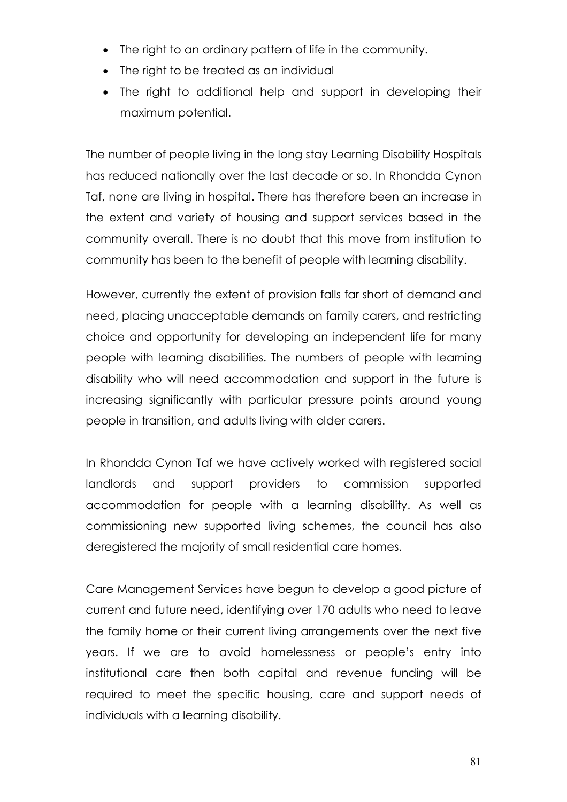- The right to an ordinary pattern of life in the community.
- The right to be treated as an individual
- The right to additional help and support in developing their maximum potential.

The number of people living in the long stay Learning Disability Hospitals has reduced nationally over the last decade or so. In Rhondda Cynon Taf, none are living in hospital. There has therefore been an increase in the extent and variety of housing and support services based in the community overall. There is no doubt that this move from institution to community has been to the benefit of people with learning disability.

However, currently the extent of provision falls far short of demand and need, placing unacceptable demands on family carers, and restricting choice and opportunity for developing an independent life for many people with learning disabilities. The numbers of people with learning disability who will need accommodation and support in the future is increasing significantly with particular pressure points around young people in transition, and adults living with older carers.

In Rhondda Cynon Taf we have actively worked with registered social landlords and support providers to commission supported accommodation for people with a learning disability. As well as commissioning new supported living schemes, the council has also deregistered the majority of small residential care homes.

Care Management Services have begun to develop a good picture of current and future need, identifying over 170 adults who need to leave the family home or their current living arrangements over the next five years. If we are to avoid homelessness or people's entry into institutional care then both capital and revenue funding will be required to meet the specific housing, care and support needs of individuals with a learning disability.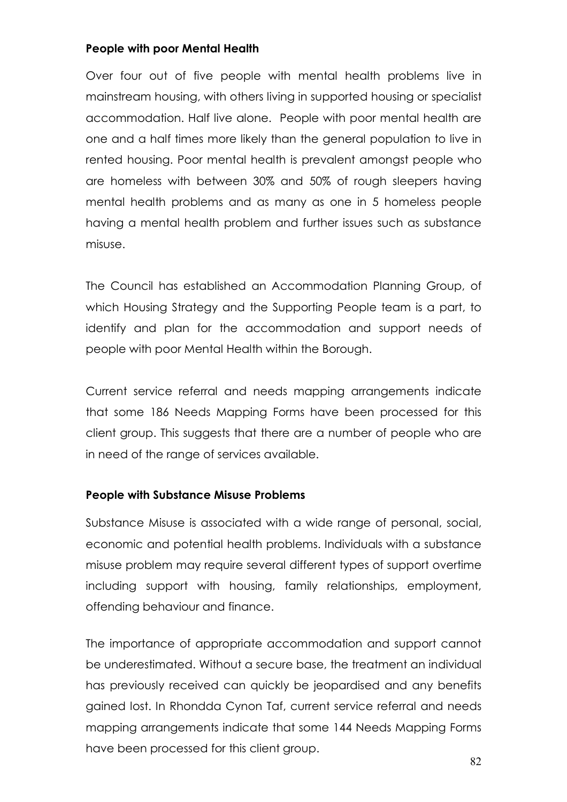# People with poor Mental Health

Over four out of five people with mental health problems live in mainstream housing, with others living in supported housing or specialist accommodation. Half live alone. People with poor mental health are one and a half times more likely than the general population to live in rented housing. Poor mental health is prevalent amongst people who are homeless with between 30% and 50% of rough sleepers having mental health problems and as many as one in 5 homeless people having a mental health problem and further issues such as substance misuse.

The Council has established an Accommodation Planning Group, of which Housing Strategy and the Supporting People team is a part, to identify and plan for the accommodation and support needs of people with poor Mental Health within the Borough.

Current service referral and needs mapping arrangements indicate that some 186 Needs Mapping Forms have been processed for this client group. This suggests that there are a number of people who are in need of the range of services available.

#### People with Substance Misuse Problems

Substance Misuse is associated with a wide range of personal, social, economic and potential health problems. Individuals with a substance misuse problem may require several different types of support overtime including support with housing, family relationships, employment, offending behaviour and finance.

The importance of appropriate accommodation and support cannot be underestimated. Without a secure base, the treatment an individual has previously received can quickly be jeopardised and any benefits gained lost. In Rhondda Cynon Taf, current service referral and needs mapping arrangements indicate that some 144 Needs Mapping Forms have been processed for this client group.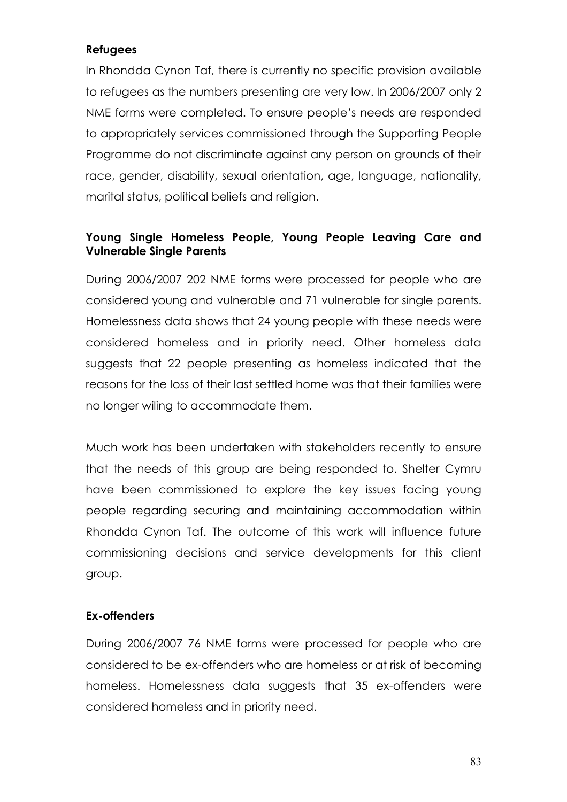### Refugees

In Rhondda Cynon Taf, there is currently no specific provision available to refugees as the numbers presenting are very low. In 2006/2007 only 2 NME forms were completed. To ensure people's needs are responded to appropriately services commissioned through the Supporting People Programme do not discriminate against any person on grounds of their race, gender, disability, sexual orientation, age, language, nationality, marital status, political beliefs and religion.

# Young Single Homeless People, Young People Leaving Care and Vulnerable Single Parents

During 2006/2007 202 NME forms were processed for people who are considered young and vulnerable and 71 vulnerable for single parents. Homelessness data shows that 24 young people with these needs were considered homeless and in priority need. Other homeless data suggests that 22 people presenting as homeless indicated that the reasons for the loss of their last settled home was that their families were no longer wiling to accommodate them.

Much work has been undertaken with stakeholders recently to ensure that the needs of this group are being responded to. Shelter Cymru have been commissioned to explore the key issues facing young people regarding securing and maintaining accommodation within Rhondda Cynon Taf. The outcome of this work will influence future commissioning decisions and service developments for this client group.

#### Ex-offenders

During 2006/2007 76 NME forms were processed for people who are considered to be ex-offenders who are homeless or at risk of becoming homeless. Homelessness data suggests that 35 ex-offenders were considered homeless and in priority need.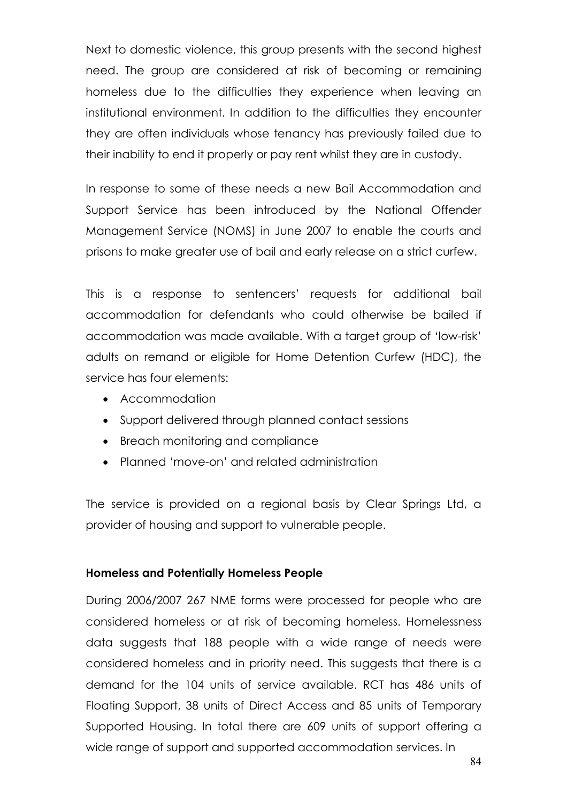Next to domestic violence, this group presents with the second highest need. The group are considered at risk of becoming or remaining homeless due to the difficulties they experience when leaving an institutional environment. In addition to the difficulties they encounter they are often individuals whose tenancy has previously failed due to their inability to end it properly or pay rent whilst they are in custody.

In response to some of these needs a new Bail Accommodation and Support Service has been introduced by the National Offender Management Service (NOMS) in June 2007 to enable the courts and prisons to make greater use of bail and early release on a strict curfew.

This is a response to sentencers' requests for additional bail accommodation for defendants who could otherwise be bailed if accommodation was made available. With a target group of 'low-risk' adults on remand or eligible for Home Detention Curfew (HDC), the service has four elements:

- Accommodation
- Support delivered through planned contact sessions
- Breach monitoring and compliance
- Planned 'move-on' and related administration

The service is provided on a regional basis by Clear Springs Ltd, a provider of housing and support to vulnerable people.

#### Homeless and Potentially Homeless People

During 2006/2007 267 NME forms were processed for people who are considered homeless or at risk of becoming homeless. Homelessness data suggests that 188 people with a wide range of needs were considered homeless and in priority need. This suggests that there is a demand for the 104 units of service available. RCT has 486 units of Floating Support, 38 units of Direct Access and 85 units of Temporary Supported Housing. In total there are 609 units of support offering a wide range of support and supported accommodation services. In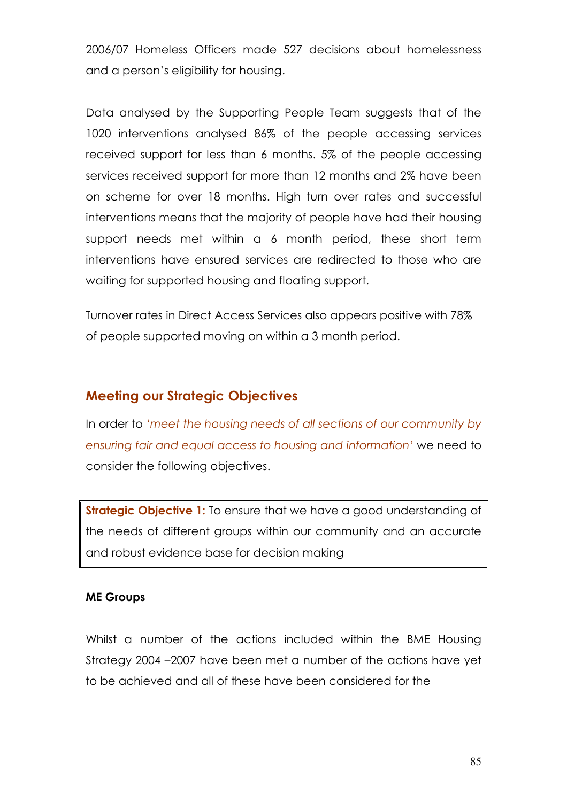2006/07 Homeless Officers made 527 decisions about homelessness and a person's eligibility for housing.

Data analysed by the Supporting People Team suggests that of the 1020 interventions analysed 86% of the people accessing services received support for less than 6 months. 5% of the people accessing services received support for more than 12 months and 2% have been on scheme for over 18 months. High turn over rates and successful interventions means that the majority of people have had their housing support needs met within a 6 month period, these short term interventions have ensured services are redirected to those who are waiting for supported housing and floating support.

Turnover rates in Direct Access Services also appears positive with 78% of people supported moving on within a 3 month period.

# Meeting our Strategic Objectives

In order to 'meet the housing needs of all sections of our community by ensuring fair and equal access to housing and information' we need to consider the following objectives.

**Strategic Objective 1:** To ensure that we have a good understanding of the needs of different groups within our community and an accurate and robust evidence base for decision making

#### ME Groups

Whilst a number of the actions included within the BME Housing Strategy 2004 –2007 have been met a number of the actions have yet to be achieved and all of these have been considered for the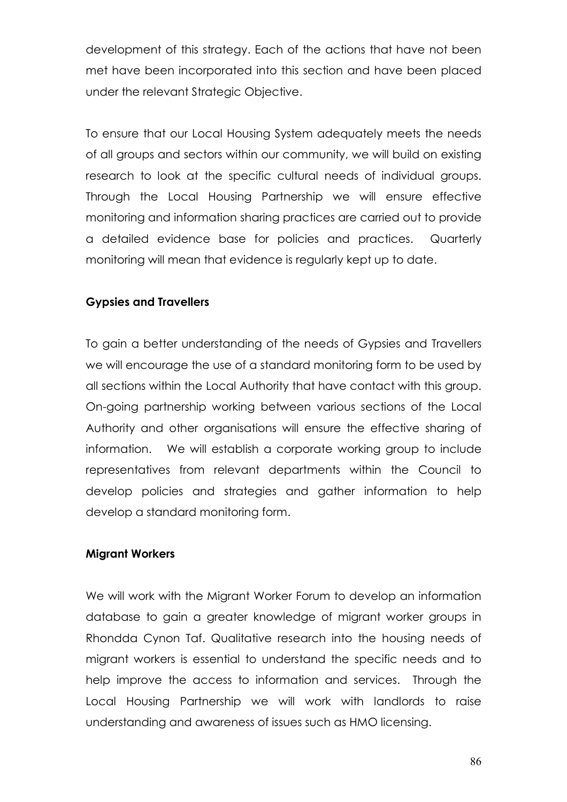development of this strategy. Each of the actions that have not been met have been incorporated into this section and have been placed under the relevant Strategic Objective.

To ensure that our Local Housing System adequately meets the needs of all groups and sectors within our community, we will build on existing research to look at the specific cultural needs of individual groups. Through the Local Housing Partnership we will ensure effective monitoring and information sharing practices are carried out to provide a detailed evidence base for policies and practices. Quarterly monitoring will mean that evidence is regularly kept up to date.

#### Gypsies and Travellers

To gain a better understanding of the needs of Gypsies and Travellers we will encourage the use of a standard monitoring form to be used by all sections within the Local Authority that have contact with this group. On-going partnership working between various sections of the Local Authority and other organisations will ensure the effective sharing of information. We will establish a corporate working group to include representatives from relevant departments within the Council to develop policies and strategies and gather information to help develop a standard monitoring form.

#### Migrant Workers

We will work with the Migrant Worker Forum to develop an information database to gain a greater knowledge of migrant worker groups in Rhondda Cynon Taf. Qualitative research into the housing needs of migrant workers is essential to understand the specific needs and to help improve the access to information and services. Through the Local Housing Partnership we will work with landlords to raise understanding and awareness of issues such as HMO licensing.

86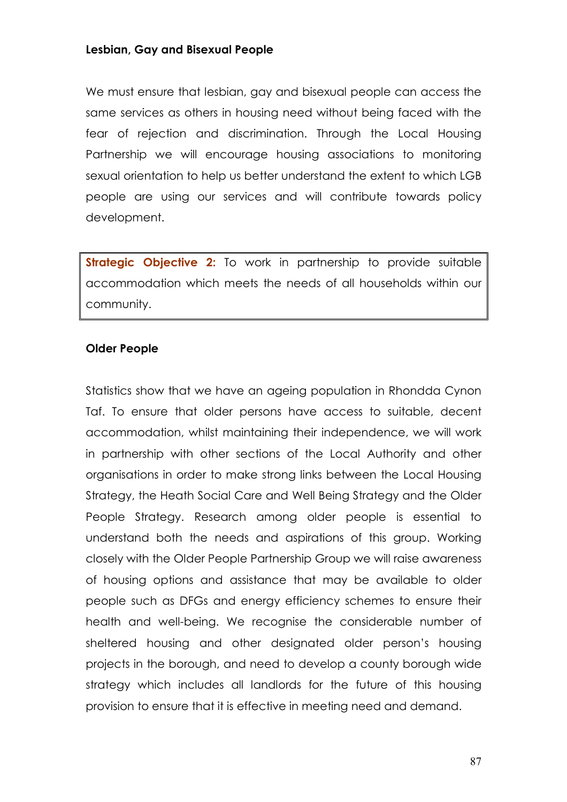#### Lesbian, Gay and Bisexual People

We must ensure that lesbian, gay and bisexual people can access the same services as others in housing need without being faced with the fear of rejection and discrimination. Through the Local Housing Partnership we will encourage housing associations to monitoring sexual orientation to help us better understand the extent to which LGB people are using our services and will contribute towards policy development.

Strategic Objective 2: To work in partnership to provide suitable accommodation which meets the needs of all households within our community.

#### Older People

Statistics show that we have an ageing population in Rhondda Cynon Taf. To ensure that older persons have access to suitable, decent accommodation, whilst maintaining their independence, we will work in partnership with other sections of the Local Authority and other organisations in order to make strong links between the Local Housing Strategy, the Heath Social Care and Well Being Strategy and the Older People Strategy. Research among older people is essential to understand both the needs and aspirations of this group. Working closely with the Older People Partnership Group we will raise awareness of housing options and assistance that may be available to older people such as DFGs and energy efficiency schemes to ensure their health and well-being. We recognise the considerable number of sheltered housing and other designated older person's housing projects in the borough, and need to develop a county borough wide strategy which includes all landlords for the future of this housing provision to ensure that it is effective in meeting need and demand.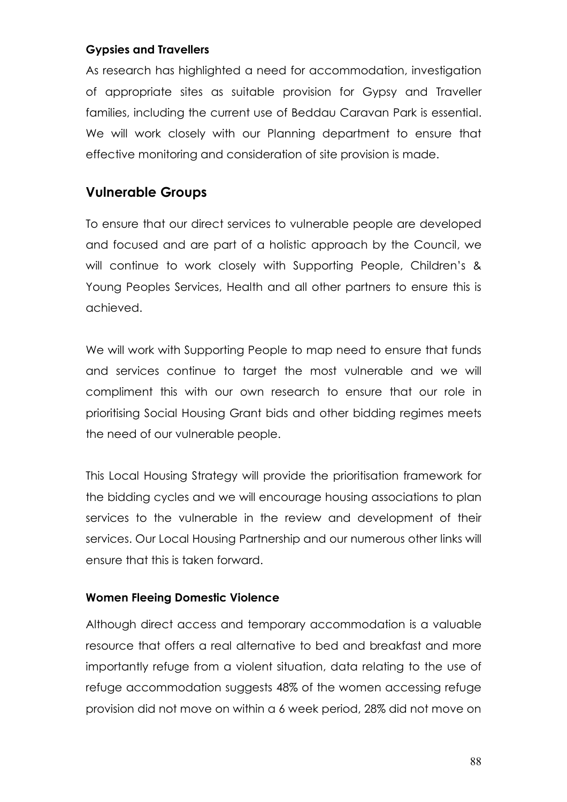# Gypsies and Travellers

As research has highlighted a need for accommodation, investigation of appropriate sites as suitable provision for Gypsy and Traveller families, including the current use of Beddau Caravan Park is essential. We will work closely with our Planning department to ensure that effective monitoring and consideration of site provision is made.

# Vulnerable Groups

To ensure that our direct services to vulnerable people are developed and focused and are part of a holistic approach by the Council, we will continue to work closely with Supporting People, Children's & Young Peoples Services, Health and all other partners to ensure this is achieved.

We will work with Supporting People to map need to ensure that funds and services continue to target the most vulnerable and we will compliment this with our own research to ensure that our role in prioritising Social Housing Grant bids and other bidding regimes meets the need of our vulnerable people.

This Local Housing Strategy will provide the prioritisation framework for the bidding cycles and we will encourage housing associations to plan services to the vulnerable in the review and development of their services. Our Local Housing Partnership and our numerous other links will ensure that this is taken forward.

# Women Fleeing Domestic Violence

Although direct access and temporary accommodation is a valuable resource that offers a real alternative to bed and breakfast and more importantly refuge from a violent situation, data relating to the use of refuge accommodation suggests 48% of the women accessing refuge provision did not move on within a 6 week period, 28% did not move on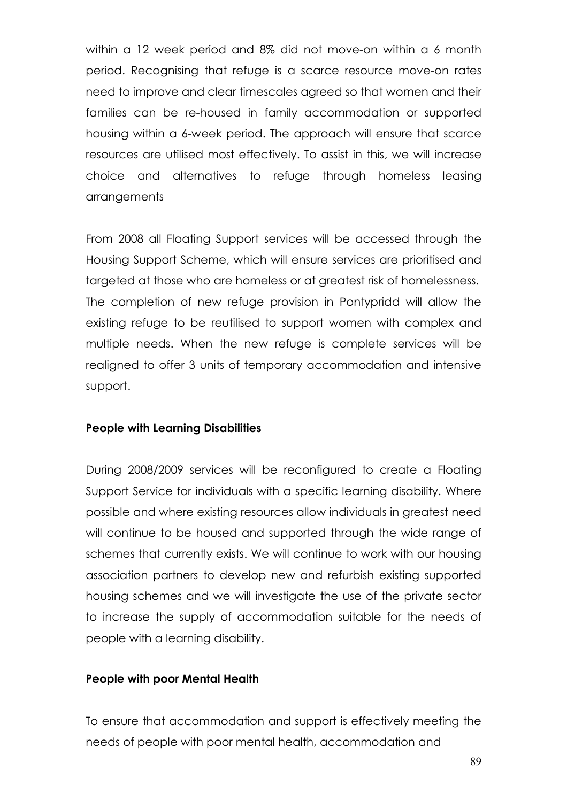within a 12 week period and 8% did not move-on within a 6 month period. Recognising that refuge is a scarce resource move-on rates need to improve and clear timescales agreed so that women and their families can be re-housed in family accommodation or supported housing within a 6-week period. The approach will ensure that scarce resources are utilised most effectively. To assist in this, we will increase choice and alternatives to refuge through homeless leasing arrangements

From 2008 all Floating Support services will be accessed through the Housing Support Scheme, which will ensure services are prioritised and targeted at those who are homeless or at greatest risk of homelessness. The completion of new refuge provision in Pontypridd will allow the existing refuge to be reutilised to support women with complex and multiple needs. When the new refuge is complete services will be realigned to offer 3 units of temporary accommodation and intensive support.

#### People with Learning Disabilities

During 2008/2009 services will be reconfigured to create a Floating Support Service for individuals with a specific learning disability. Where possible and where existing resources allow individuals in greatest need will continue to be housed and supported through the wide range of schemes that currently exists. We will continue to work with our housing association partners to develop new and refurbish existing supported housing schemes and we will investigate the use of the private sector to increase the supply of accommodation suitable for the needs of people with a learning disability.

#### People with poor Mental Health

To ensure that accommodation and support is effectively meeting the needs of people with poor mental health, accommodation and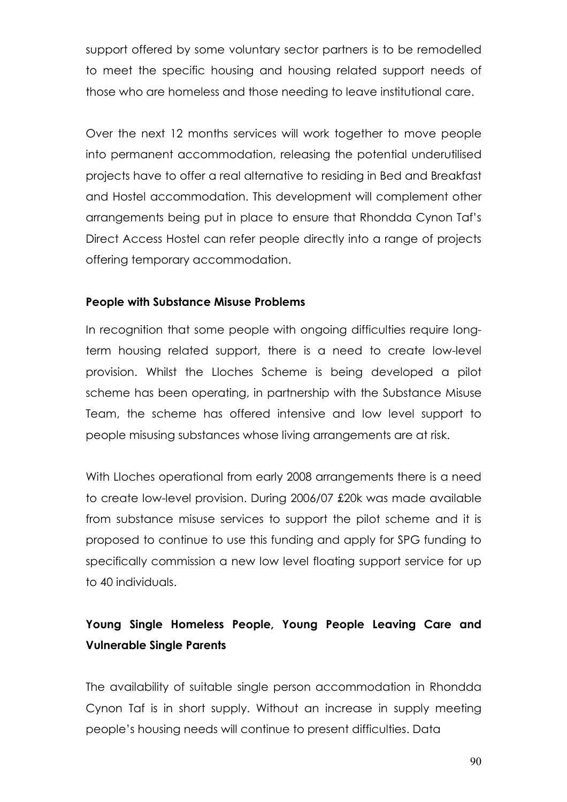support offered by some voluntary sector partners is to be remodelled to meet the specific housing and housing related support needs of those who are homeless and those needing to leave institutional care.

Over the next 12 months services will work together to move people into permanent accommodation, releasing the potential underutilised projects have to offer a real alternative to residing in Bed and Breakfast and Hostel accommodation. This development will complement other arrangements being put in place to ensure that Rhondda Cynon Taf's Direct Access Hostel can refer people directly into a range of projects offering temporary accommodation.

#### People with Substance Misuse Problems

In recognition that some people with ongoing difficulties require longterm housing related support, there is a need to create low-level provision. Whilst the Lloches Scheme is being developed a pilot scheme has been operating, in partnership with the Substance Misuse Team, the scheme has offered intensive and low level support to people misusing substances whose living arrangements are at risk.

With Lloches operational from early 2008 arrangements there is a need to create low-level provision. During 2006/07 £20k was made available from substance misuse services to support the pilot scheme and it is proposed to continue to use this funding and apply for SPG funding to specifically commission a new low level floating support service for up to 40 individuals.

# Young Single Homeless People, Young People Leaving Care and Vulnerable Single Parents

The availability of suitable single person accommodation in Rhondda Cynon Taf is in short supply. Without an increase in supply meeting people's housing needs will continue to present difficulties. Data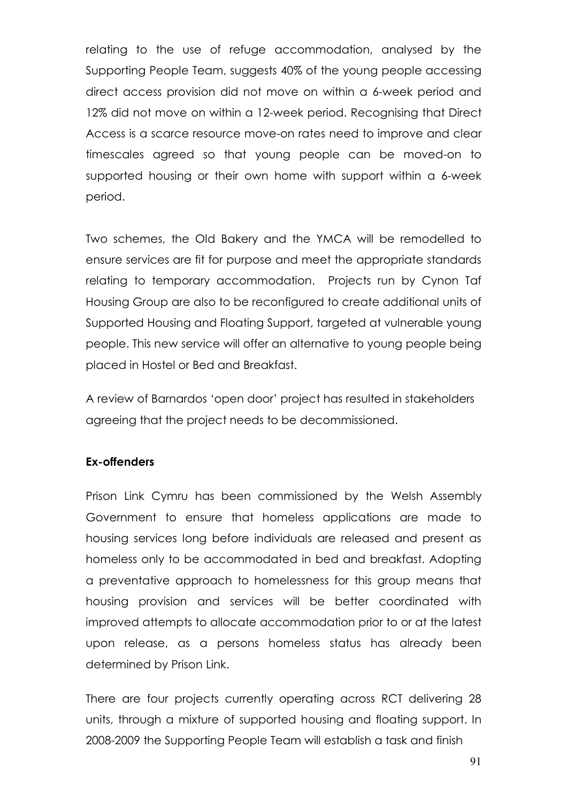relating to the use of refuge accommodation, analysed by the Supporting People Team, suggests 40% of the young people accessing direct access provision did not move on within a 6-week period and 12% did not move on within a 12-week period. Recognising that Direct Access is a scarce resource move-on rates need to improve and clear timescales agreed so that young people can be moved-on to supported housing or their own home with support within a 6-week period.

Two schemes, the Old Bakery and the YMCA will be remodelled to ensure services are fit for purpose and meet the appropriate standards relating to temporary accommodation. Projects run by Cynon Taf Housing Group are also to be reconfigured to create additional units of Supported Housing and Floating Support, targeted at vulnerable young people. This new service will offer an alternative to young people being placed in Hostel or Bed and Breakfast.

A review of Barnardos 'open door' project has resulted in stakeholders agreeing that the project needs to be decommissioned.

#### Ex-offenders

Prison Link Cymru has been commissioned by the Welsh Assembly Government to ensure that homeless applications are made to housing services long before individuals are released and present as homeless only to be accommodated in bed and breakfast. Adopting a preventative approach to homelessness for this group means that housing provision and services will be better coordinated with improved attempts to allocate accommodation prior to or at the latest upon release, as a persons homeless status has already been determined by Prison Link.

There are four projects currently operating across RCT delivering 28 units, through a mixture of supported housing and floating support. In 2008-2009 the Supporting People Team will establish a task and finish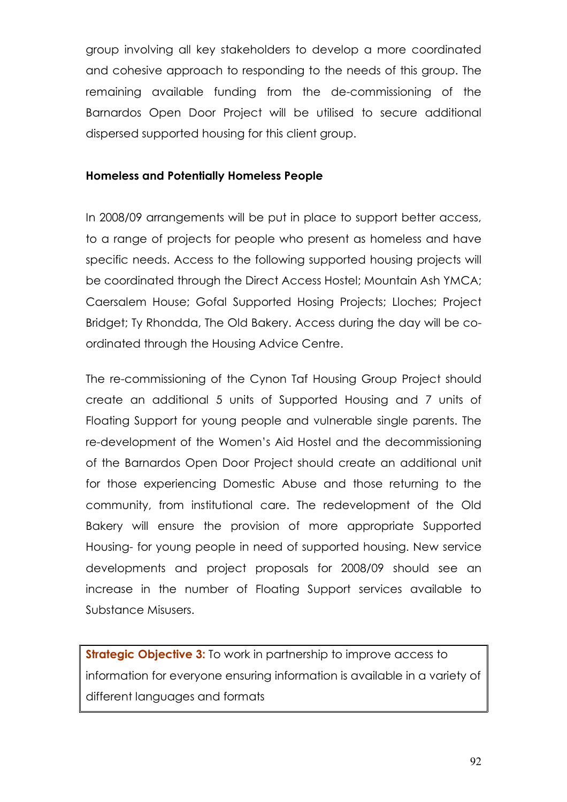group involving all key stakeholders to develop a more coordinated and cohesive approach to responding to the needs of this group. The remaining available funding from the de-commissioning of the Barnardos Open Door Project will be utilised to secure additional dispersed supported housing for this client group.

#### Homeless and Potentially Homeless People

In 2008/09 arrangements will be put in place to support better access, to a range of projects for people who present as homeless and have specific needs. Access to the following supported housing projects will be coordinated through the Direct Access Hostel; Mountain Ash YMCA; Caersalem House; Gofal Supported Hosing Projects; Lloches; Project Bridget; Ty Rhondda, The Old Bakery. Access during the day will be coordinated through the Housing Advice Centre.

The re-commissioning of the Cynon Taf Housing Group Project should create an additional 5 units of Supported Housing and 7 units of Floating Support for young people and vulnerable single parents. The re-development of the Women's Aid Hostel and the decommissioning of the Barnardos Open Door Project should create an additional unit for those experiencing Domestic Abuse and those returning to the community, from institutional care. The redevelopment of the Old Bakery will ensure the provision of more appropriate Supported Housing- for young people in need of supported housing. New service developments and project proposals for 2008/09 should see an increase in the number of Floating Support services available to Substance Misusers.

**Strategic Objective 3:** To work in partnership to improve access to information for everyone ensuring information is available in a variety of different languages and formats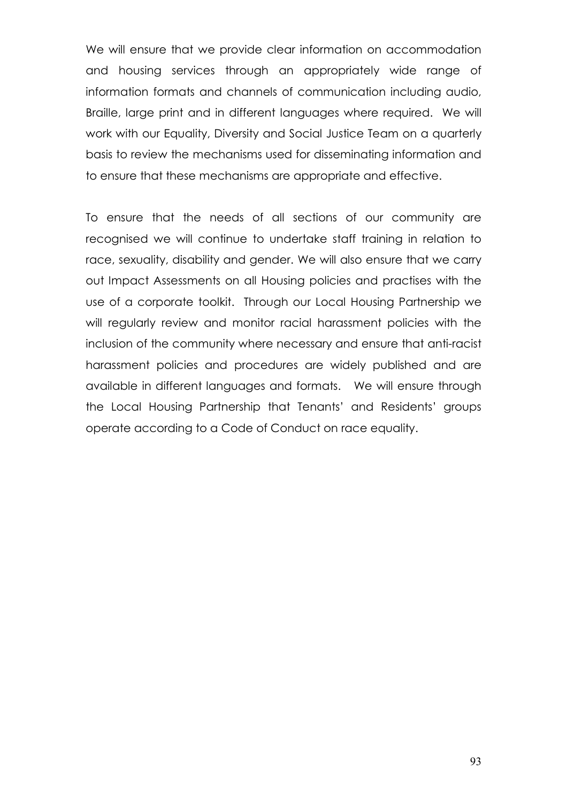We will ensure that we provide clear information on accommodation and housing services through an appropriately wide range of information formats and channels of communication including audio, Braille, large print and in different languages where required. We will work with our Equality, Diversity and Social Justice Team on a quarterly basis to review the mechanisms used for disseminating information and to ensure that these mechanisms are appropriate and effective.

To ensure that the needs of all sections of our community are recognised we will continue to undertake staff training in relation to race, sexuality, disability and gender. We will also ensure that we carry out Impact Assessments on all Housing policies and practises with the use of a corporate toolkit. Through our Local Housing Partnership we will regularly review and monitor racial harassment policies with the inclusion of the community where necessary and ensure that anti-racist harassment policies and procedures are widely published and are available in different languages and formats. We will ensure through the Local Housing Partnership that Tenants' and Residents' groups operate according to a Code of Conduct on race equality.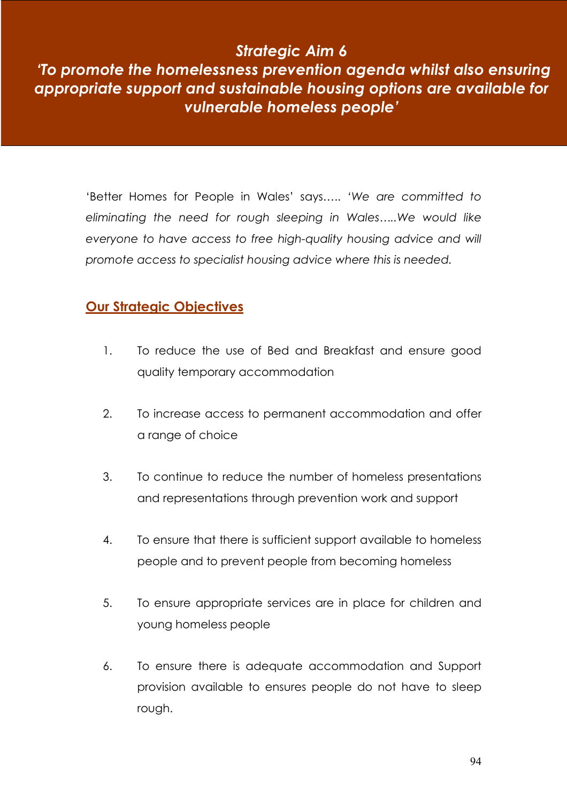# Strategic Aim 6

# 'To promote the homelessness prevention agenda whilst also ensuring appropriate support and sustainable housing options are available for vulnerable homeless people'

'Better Homes for People in Wales' says….. 'We are committed to eliminating the need for rough sleeping in Wales…..We would like everyone to have access to free high-quality housing advice and will promote access to specialist housing advice where this is needed.

# Our Strategic Objectives

- 1. To reduce the use of Bed and Breakfast and ensure good quality temporary accommodation
- 2. To increase access to permanent accommodation and offer a range of choice
- 3. To continue to reduce the number of homeless presentations and representations through prevention work and support
- 4. To ensure that there is sufficient support available to homeless people and to prevent people from becoming homeless
- 5. To ensure appropriate services are in place for children and young homeless people
- 6. To ensure there is adequate accommodation and Support provision available to ensures people do not have to sleep rough.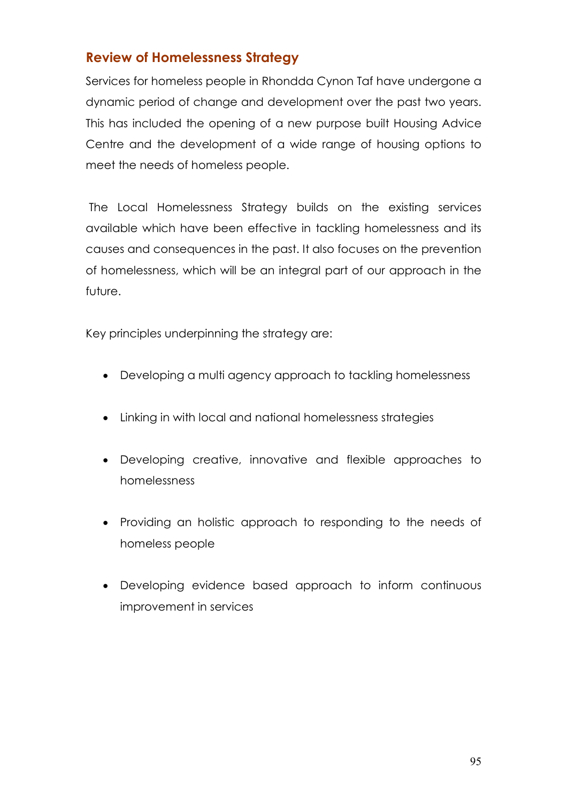# Review of Homelessness Strategy

Services for homeless people in Rhondda Cynon Taf have undergone a dynamic period of change and development over the past two years. This has included the opening of a new purpose built Housing Advice Centre and the development of a wide range of housing options to meet the needs of homeless people.

 The Local Homelessness Strategy builds on the existing services available which have been effective in tackling homelessness and its causes and consequences in the past. It also focuses on the prevention of homelessness, which will be an integral part of our approach in the future.

Key principles underpinning the strategy are:

- Developing a multi agency approach to tackling homelessness
- Linking in with local and national homelessness strategies
- Developing creative, innovative and flexible approaches to homelessness
- Providing an holistic approach to responding to the needs of homeless people
- Developing evidence based approach to inform continuous improvement in services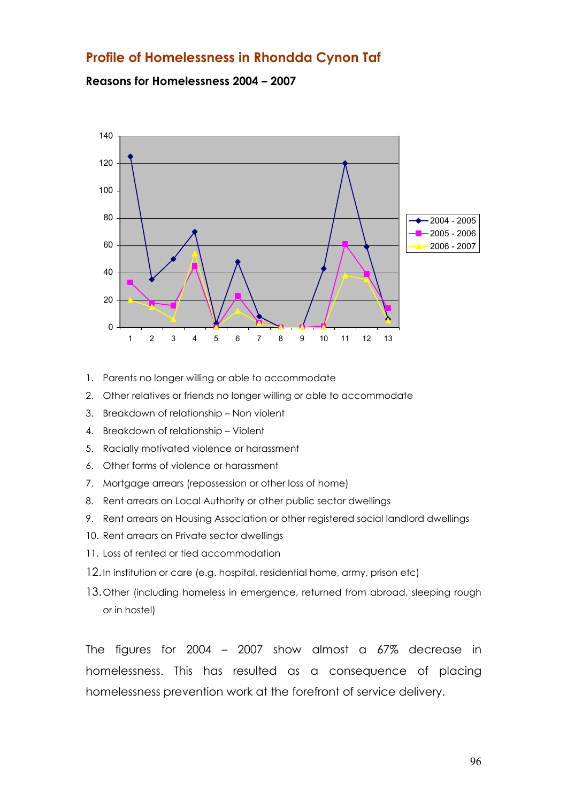# Profile of Homelessness in Rhondda Cynon Taf

#### Reasons for Homelessness 2004 – 2007



- 1. Parents no longer willing or able to accommodate
- 2. Other relatives or friends no longer willing or able to accommodate
- 3. Breakdown of relationship Non violent
- 4. Breakdown of relationship Violent
- 5. Racially motivated violence or harassment
- 6. Other forms of violence or harassment
- 7. Mortgage arrears (repossession or other loss of home)
- 8. Rent arrears on Local Authority or other public sector dwellings
- 9. Rent arrears on Housing Association or other registered social landlord dwellings
- 10. Rent arrears on Private sector dwellings
- 11. Loss of rented or tied accommodation
- 12. In institution or care (e.g. hospital, residential home, army, prison etc)
- 13. Other (including homeless in emergence, returned from abroad, sleeping rough or in hostel)

The figures for 2004 – 2007 show almost a 67% decrease in homelessness. This has resulted as a consequence of placing homelessness prevention work at the forefront of service delivery.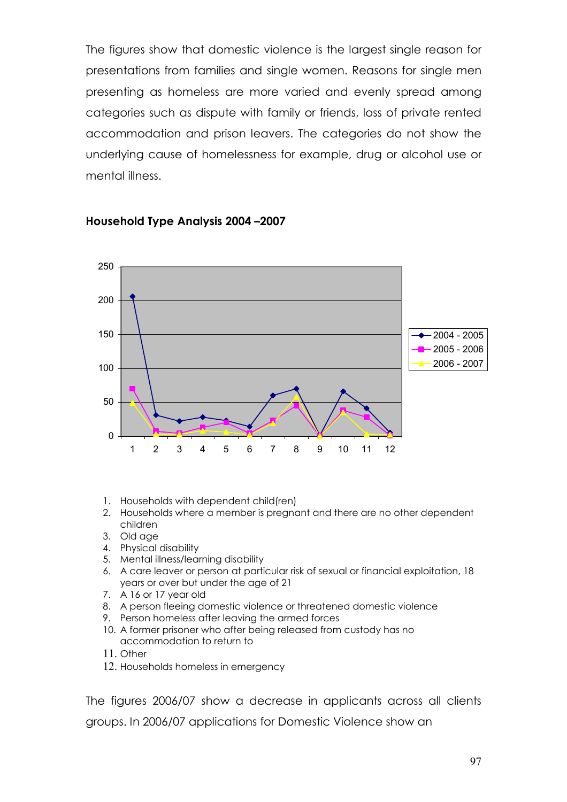The figures show that domestic violence is the largest single reason for presentations from families and single women. Reasons for single men presenting as homeless are more varied and evenly spread among categories such as dispute with family or friends, loss of private rented accommodation and prison leavers. The categories do not show the underlying cause of homelessness for example, drug or alcohol use or mental illness.



#### Household Type Analysis 2004 –2007

- 1. Households with dependent child(ren)
- 2. Households where a member is pregnant and there are no other dependent children
- 3. Old age
- 4. Physical disability
- 5. Mental illness/learning disability
- 6. A care leaver or person at particular risk of sexual or financial exploitation, 18 years or over but under the age of 21
- 7. A 16 or 17 year old
- 8. A person fleeing domestic violence or threatened domestic violence
- 9. Person homeless after leaving the armed forces
- 10. A former prisoner who after being released from custody has no accommodation to return to
- 11. Other
- 12. Households homeless in emergency

The figures 2006/07 show a decrease in applicants across all clients groups. In 2006/07 applications for Domestic Violence show an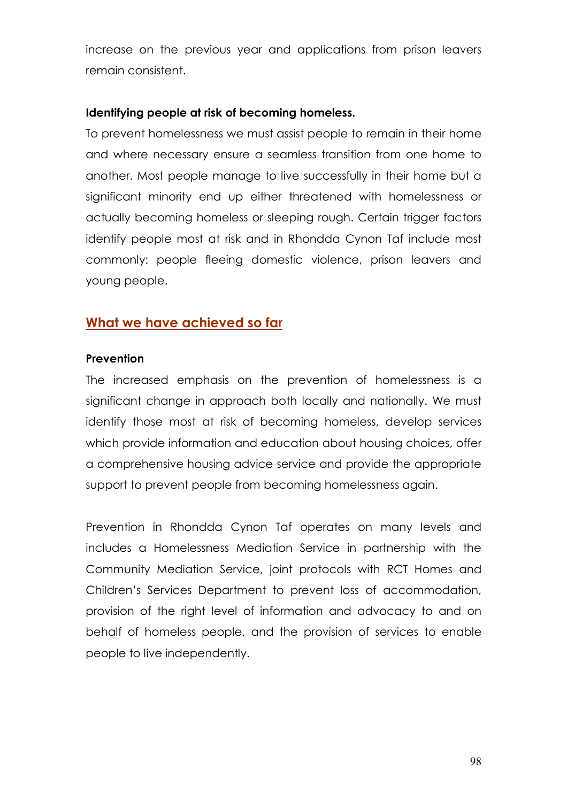increase on the previous year and applications from prison leavers remain consistent.

#### Identifying people at risk of becoming homeless.

To prevent homelessness we must assist people to remain in their home and where necessary ensure a seamless transition from one home to another. Most people manage to live successfully in their home but a significant minority end up either threatened with homelessness or actually becoming homeless or sleeping rough. Certain trigger factors identify people most at risk and in Rhondda Cynon Taf include most commonly: people fleeing domestic violence, prison leavers and young people.

# What we have achieved so far

#### **Prevention**

The increased emphasis on the prevention of homelessness is a significant change in approach both locally and nationally. We must identify those most at risk of becoming homeless, develop services which provide information and education about housing choices, offer a comprehensive housing advice service and provide the appropriate support to prevent people from becoming homelessness again.

Prevention in Rhondda Cynon Taf operates on many levels and includes a Homelessness Mediation Service in partnership with the Community Mediation Service, joint protocols with RCT Homes and Children's Services Department to prevent loss of accommodation, provision of the right level of information and advocacy to and on behalf of homeless people, and the provision of services to enable people to live independently.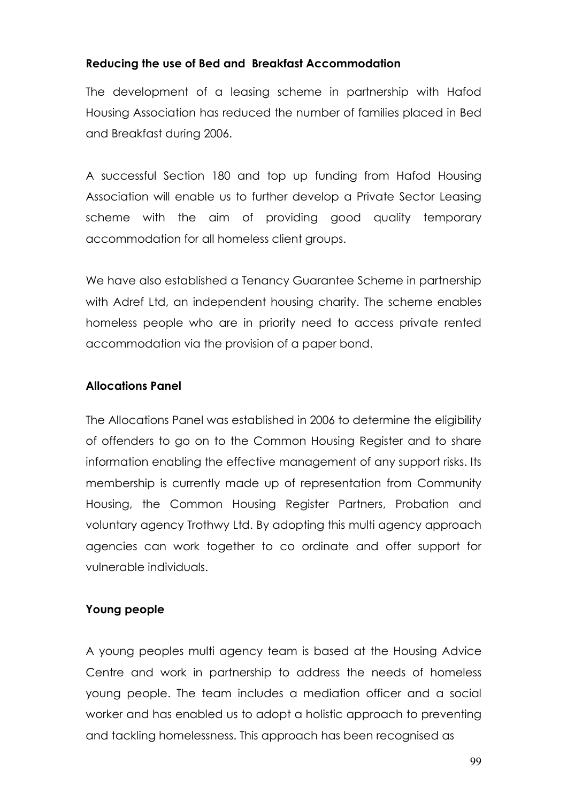#### Reducing the use of Bed and Breakfast Accommodation

The development of a leasing scheme in partnership with Hafod Housing Association has reduced the number of families placed in Bed and Breakfast during 2006.

A successful Section 180 and top up funding from Hafod Housing Association will enable us to further develop a Private Sector Leasing scheme with the aim of providing good quality temporary accommodation for all homeless client groups.

We have also established a Tenancy Guarantee Scheme in partnership with Adref Ltd, an independent housing charity. The scheme enables homeless people who are in priority need to access private rented accommodation via the provision of a paper bond.

# Allocations Panel

The Allocations Panel was established in 2006 to determine the eligibility of offenders to go on to the Common Housing Register and to share information enabling the effective management of any support risks. Its membership is currently made up of representation from Community Housing, the Common Housing Register Partners, Probation and voluntary agency Trothwy Ltd. By adopting this multi agency approach agencies can work together to co ordinate and offer support for vulnerable individuals.

# Young people

A young peoples multi agency team is based at the Housing Advice Centre and work in partnership to address the needs of homeless young people. The team includes a mediation officer and a social worker and has enabled us to adopt a holistic approach to preventing and tackling homelessness. This approach has been recognised as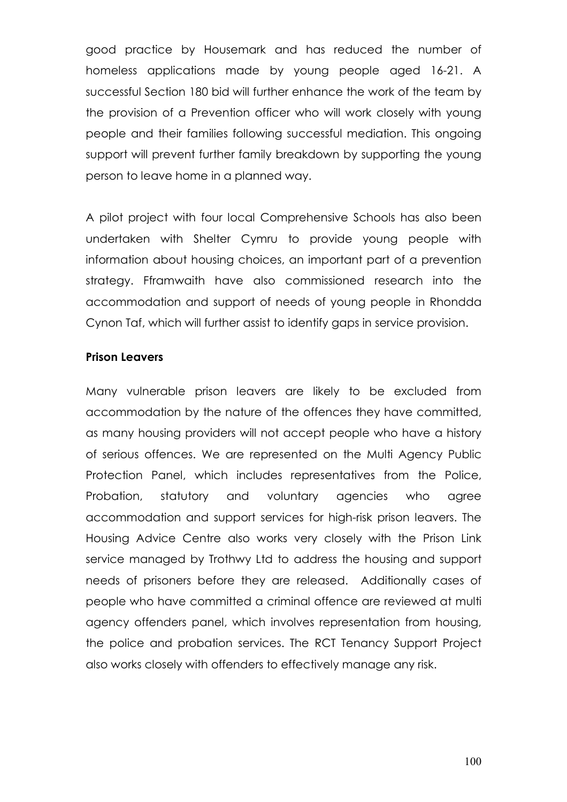good practice by Housemark and has reduced the number of homeless applications made by young people aged 16-21. A successful Section 180 bid will further enhance the work of the team by the provision of a Prevention officer who will work closely with young people and their families following successful mediation. This ongoing support will prevent further family breakdown by supporting the young person to leave home in a planned way.

A pilot project with four local Comprehensive Schools has also been undertaken with Shelter Cymru to provide young people with information about housing choices, an important part of a prevention strategy. Fframwaith have also commissioned research into the accommodation and support of needs of young people in Rhondda Cynon Taf, which will further assist to identify gaps in service provision.

#### Prison Leavers

Many vulnerable prison leavers are likely to be excluded from accommodation by the nature of the offences they have committed, as many housing providers will not accept people who have a history of serious offences. We are represented on the Multi Agency Public Protection Panel, which includes representatives from the Police, Probation, statutory and voluntary agencies who agree accommodation and support services for high-risk prison leavers. The Housing Advice Centre also works very closely with the Prison Link service managed by Trothwy Ltd to address the housing and support needs of prisoners before they are released. Additionally cases of people who have committed a criminal offence are reviewed at multi agency offenders panel, which involves representation from housing, the police and probation services. The RCT Tenancy Support Project also works closely with offenders to effectively manage any risk.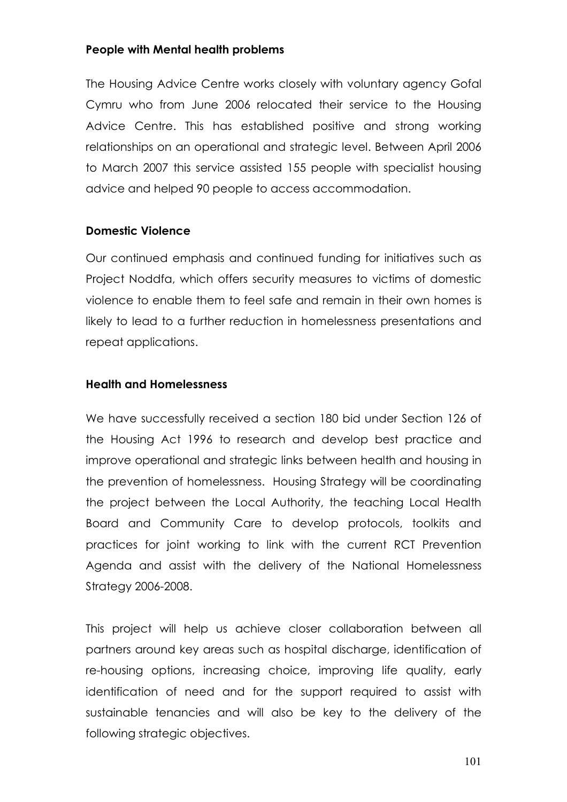#### People with Mental health problems

The Housing Advice Centre works closely with voluntary agency Gofal Cymru who from June 2006 relocated their service to the Housing Advice Centre. This has established positive and strong working relationships on an operational and strategic level. Between April 2006 to March 2007 this service assisted 155 people with specialist housing advice and helped 90 people to access accommodation.

#### Domestic Violence

Our continued emphasis and continued funding for initiatives such as Project Noddfa, which offers security measures to victims of domestic violence to enable them to feel safe and remain in their own homes is likely to lead to a further reduction in homelessness presentations and repeat applications.

#### Health and Homelessness

We have successfully received a section 180 bid under Section 126 of the Housing Act 1996 to research and develop best practice and improve operational and strategic links between health and housing in the prevention of homelessness. Housing Strategy will be coordinating the project between the Local Authority, the teaching Local Health Board and Community Care to develop protocols, toolkits and practices for joint working to link with the current RCT Prevention Agenda and assist with the delivery of the National Homelessness Strategy 2006-2008.

This project will help us achieve closer collaboration between all partners around key areas such as hospital discharge, identification of re-housing options, increasing choice, improving life quality, early identification of need and for the support required to assist with sustainable tenancies and will also be key to the delivery of the following strategic objectives.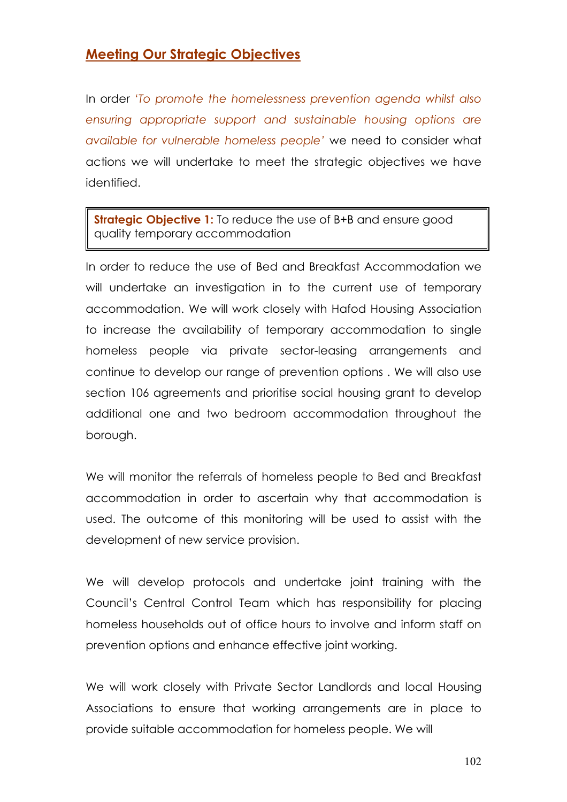# **Meeting Our Strategic Objectives**

In order 'To promote the homelessness prevention agenda whilst also ensuring appropriate support and sustainable housing options are available for vulnerable homeless people' we need to consider what actions we will undertake to meet the strategic objectives we have identified.

**Strategic Objective 1:** To reduce the use of B+B and ensure good quality temporary accommodation

In order to reduce the use of Bed and Breakfast Accommodation we will undertake an investigation in to the current use of temporary accommodation. We will work closely with Hafod Housing Association to increase the availability of temporary accommodation to single homeless people via private sector-leasing arrangements and continue to develop our range of prevention options . We will also use section 106 agreements and prioritise social housing grant to develop additional one and two bedroom accommodation throughout the borough.

We will monitor the referrals of homeless people to Bed and Breakfast accommodation in order to ascertain why that accommodation is used. The outcome of this monitoring will be used to assist with the development of new service provision.

We will develop protocols and undertake joint training with the Council's Central Control Team which has responsibility for placing homeless households out of office hours to involve and inform staff on prevention options and enhance effective joint working.

We will work closely with Private Sector Landlords and local Housing Associations to ensure that working arrangements are in place to provide suitable accommodation for homeless people. We will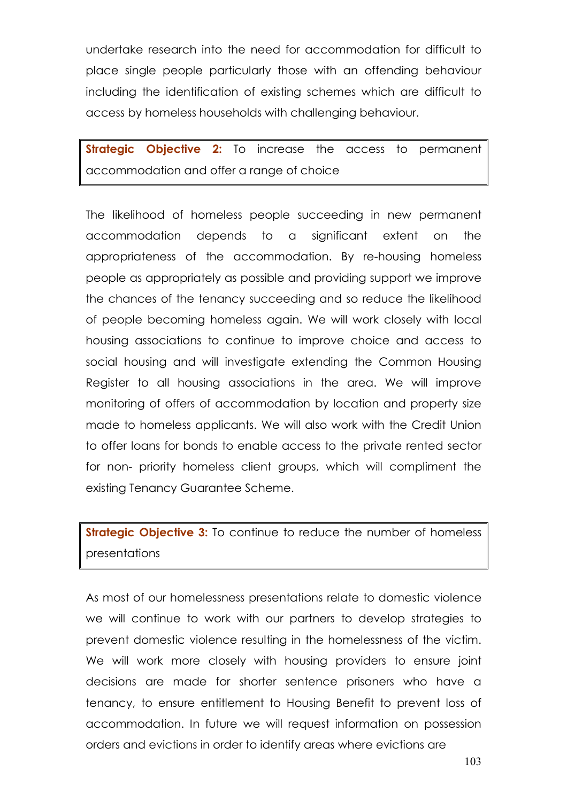undertake research into the need for accommodation for difficult to place single people particularly those with an offending behaviour including the identification of existing schemes which are difficult to access by homeless households with challenging behaviour.

**Strategic Objective 2:** To increase the access to permanent accommodation and offer a range of choice

The likelihood of homeless people succeeding in new permanent accommodation depends to a significant extent on the appropriateness of the accommodation. By re-housing homeless people as appropriately as possible and providing support we improve the chances of the tenancy succeeding and so reduce the likelihood of people becoming homeless again. We will work closely with local housing associations to continue to improve choice and access to social housing and will investigate extending the Common Housing Register to all housing associations in the area. We will improve monitoring of offers of accommodation by location and property size made to homeless applicants. We will also work with the Credit Union to offer loans for bonds to enable access to the private rented sector for non- priority homeless client groups, which will compliment the existing Tenancy Guarantee Scheme.

**Strategic Objective 3:** To continue to reduce the number of homeless presentations

As most of our homelessness presentations relate to domestic violence we will continue to work with our partners to develop strategies to prevent domestic violence resulting in the homelessness of the victim. We will work more closely with housing providers to ensure joint decisions are made for shorter sentence prisoners who have a tenancy, to ensure entitlement to Housing Benefit to prevent loss of accommodation. In future we will request information on possession orders and evictions in order to identify areas where evictions are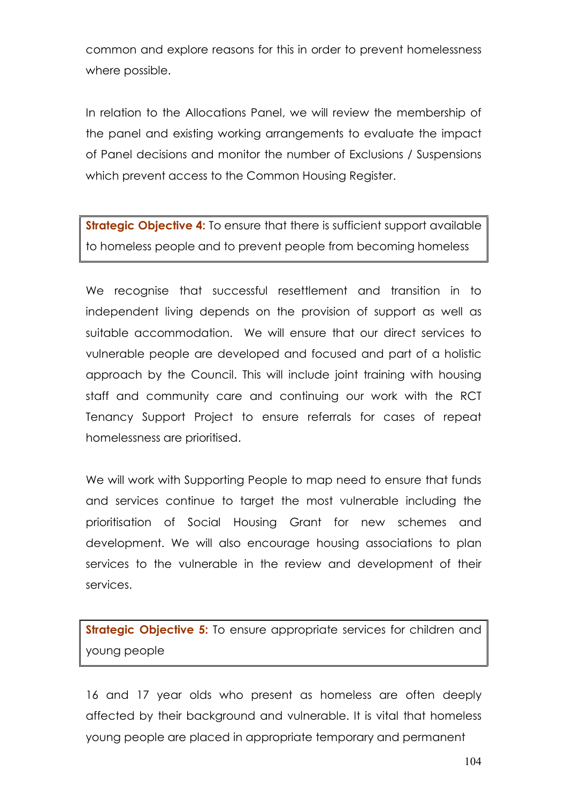common and explore reasons for this in order to prevent homelessness where possible.

In relation to the Allocations Panel, we will review the membership of the panel and existing working arrangements to evaluate the impact of Panel decisions and monitor the number of Exclusions / Suspensions which prevent access to the Common Housing Register.

**Strategic Objective 4:** To ensure that there is sufficient support available to homeless people and to prevent people from becoming homeless

We recognise that successful resettlement and transition in to independent living depends on the provision of support as well as suitable accommodation. We will ensure that our direct services to vulnerable people are developed and focused and part of a holistic approach by the Council. This will include joint training with housing staff and community care and continuing our work with the RCT Tenancy Support Project to ensure referrals for cases of repeat homelessness are prioritised.

We will work with Supporting People to map need to ensure that funds and services continue to target the most vulnerable including the prioritisation of Social Housing Grant for new schemes and development. We will also encourage housing associations to plan services to the vulnerable in the review and development of their services.

**Strategic Objective 5:** To ensure appropriate services for children and young people

16 and 17 year olds who present as homeless are often deeply affected by their background and vulnerable. It is vital that homeless young people are placed in appropriate temporary and permanent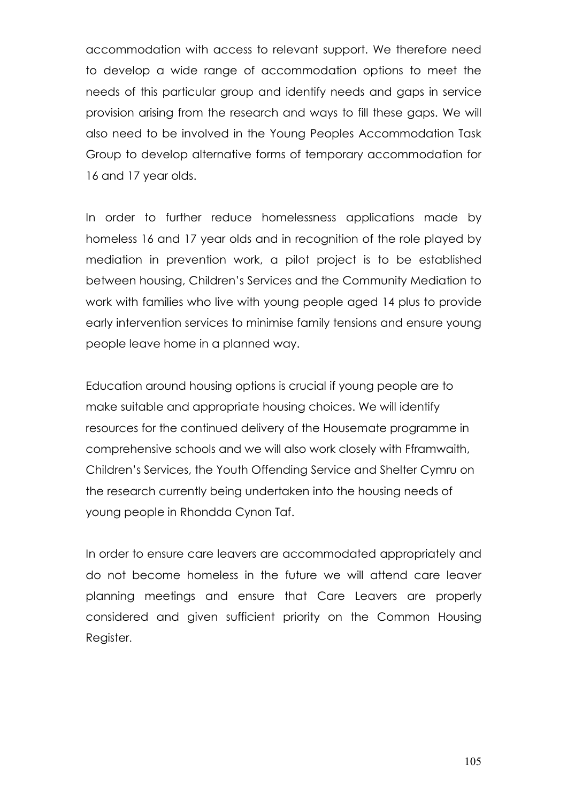accommodation with access to relevant support. We therefore need to develop a wide range of accommodation options to meet the needs of this particular group and identify needs and gaps in service provision arising from the research and ways to fill these gaps. We will also need to be involved in the Young Peoples Accommodation Task Group to develop alternative forms of temporary accommodation for 16 and 17 year olds.

In order to further reduce homelessness applications made by homeless 16 and 17 year olds and in recognition of the role played by mediation in prevention work, a pilot project is to be established between housing, Children's Services and the Community Mediation to work with families who live with young people aged 14 plus to provide early intervention services to minimise family tensions and ensure young people leave home in a planned way.

Education around housing options is crucial if young people are to make suitable and appropriate housing choices. We will identify resources for the continued delivery of the Housemate programme in comprehensive schools and we will also work closely with Fframwaith, Children's Services, the Youth Offending Service and Shelter Cymru on the research currently being undertaken into the housing needs of young people in Rhondda Cynon Taf.

In order to ensure care leavers are accommodated appropriately and do not become homeless in the future we will attend care leaver planning meetings and ensure that Care Leavers are properly considered and given sufficient priority on the Common Housing Register.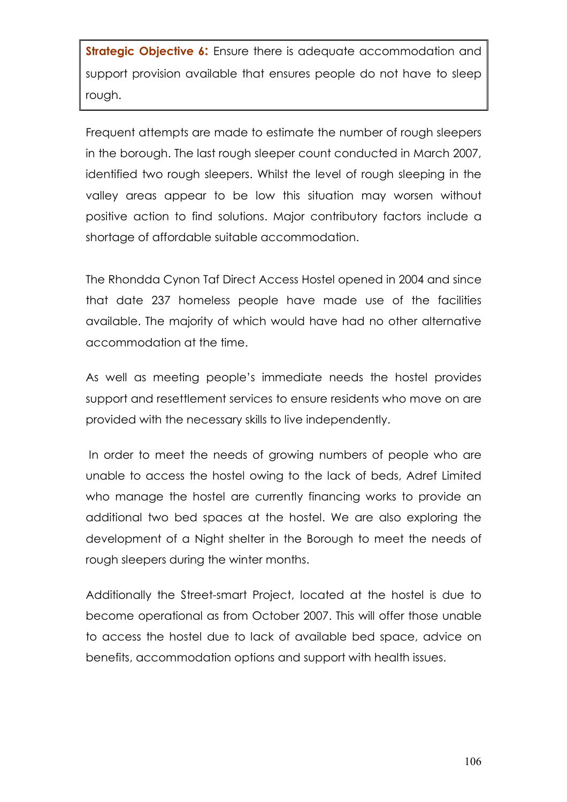**Strategic Objective 6:** Ensure there is adequate accommodation and support provision available that ensures people do not have to sleep rough.

Frequent attempts are made to estimate the number of rough sleepers in the borough. The last rough sleeper count conducted in March 2007, identified two rough sleepers. Whilst the level of rough sleeping in the valley areas appear to be low this situation may worsen without positive action to find solutions. Major contributory factors include a shortage of affordable suitable accommodation.

The Rhondda Cynon Taf Direct Access Hostel opened in 2004 and since that date 237 homeless people have made use of the facilities available. The majority of which would have had no other alternative accommodation at the time.

As well as meeting people's immediate needs the hostel provides support and resettlement services to ensure residents who move on are provided with the necessary skills to live independently.

 In order to meet the needs of growing numbers of people who are unable to access the hostel owing to the lack of beds, Adref Limited who manage the hostel are currently financing works to provide an additional two bed spaces at the hostel. We are also exploring the development of a Night shelter in the Borough to meet the needs of rough sleepers during the winter months.

Additionally the Street-smart Project, located at the hostel is due to become operational as from October 2007. This will offer those unable to access the hostel due to lack of available bed space, advice on benefits, accommodation options and support with health issues.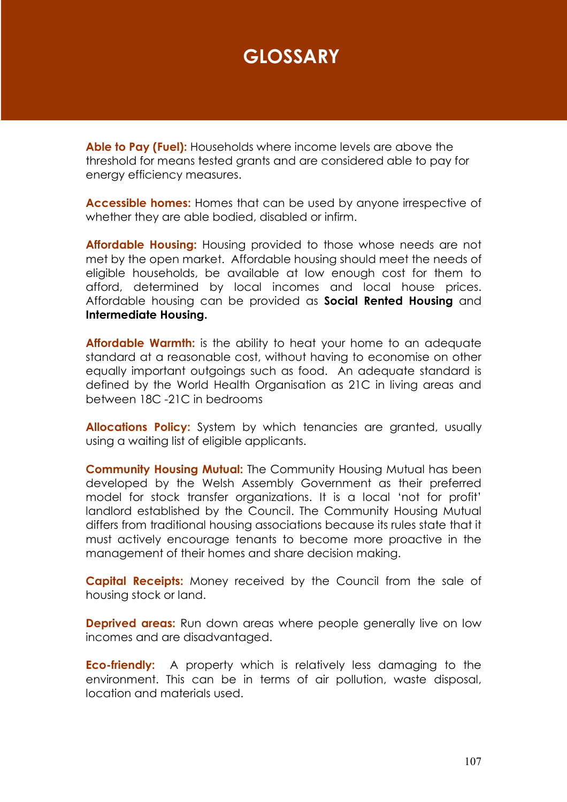# **GLOSSARY**

Able to Pay (Fuel): Households where income levels are above the threshold for means tested grants and are considered able to pay for energy efficiency measures.

Accessible homes: Homes that can be used by anyone irrespective of whether they are able bodied, disabled or infirm.

**Affordable Housing:** Housing provided to those whose needs are not met by the open market. Affordable housing should meet the needs of eligible households, be available at low enough cost for them to afford, determined by local incomes and local house prices. Affordable housing can be provided as **Social Rented Housing** and Intermediate Housing.

**Affordable Warmth:** is the ability to heat your home to an adequate standard at a reasonable cost, without having to economise on other equally important outgoings such as food. An adequate standard is defined by the World Health Organisation as 21C in living areas and between 18C -21C in bedrooms

Allocations Policy: System by which tenancies are granted, usually using a waiting list of eligible applicants.

Community Housing Mutual: The Community Housing Mutual has been developed by the Welsh Assembly Government as their preferred model for stock transfer organizations. It is a local 'not for profit' landlord established by the Council. The Community Housing Mutual differs from traditional housing associations because its rules state that it must actively encourage tenants to become more proactive in the management of their homes and share decision making.

**Capital Receipts:** Money received by the Council from the sale of housing stock or land.

**Deprived areas:** Run down areas where people generally live on low incomes and are disadvantaged.

**Eco-friendly:** A property which is relatively less damaging to the environment. This can be in terms of air pollution, waste disposal, location and materials used.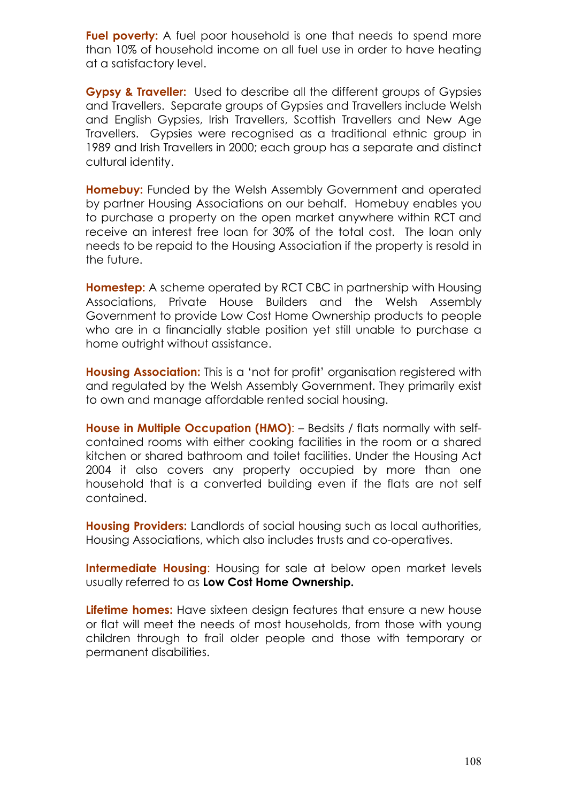Fuel poverty: A fuel poor household is one that needs to spend more than 10% of household income on all fuel use in order to have heating at a satisfactory level.

Gypsy & Traveller: Used to describe all the different groups of Gypsies and Travellers. Separate groups of Gypsies and Travellers include Welsh and English Gypsies, Irish Travellers, Scottish Travellers and New Age Travellers. Gypsies were recognised as a traditional ethnic group in 1989 and Irish Travellers in 2000; each group has a separate and distinct cultural identity.

Homebuy: Funded by the Welsh Assembly Government and operated by partner Housing Associations on our behalf. Homebuy enables you to purchase a property on the open market anywhere within RCT and receive an interest free loan for 30% of the total cost. The loan only needs to be repaid to the Housing Association if the property is resold in the future.

Homestep: A scheme operated by RCT CBC in partnership with Housing Associations, Private House Builders and the Welsh Assembly Government to provide Low Cost Home Ownership products to people who are in a financially stable position yet still unable to purchase a home outright without assistance.

Housing Association: This is a 'not for profit' organisation registered with and regulated by the Welsh Assembly Government. They primarily exist to own and manage affordable rented social housing.

House in Multiple Occupation (HMO): - Bedsits / flats normally with selfcontained rooms with either cooking facilities in the room or a shared kitchen or shared bathroom and toilet facilities. Under the Housing Act 2004 it also covers any property occupied by more than one household that is a converted building even if the flats are not self contained.

**Housing Providers:** Landlords of social housing such as local authorities, Housing Associations, which also includes trusts and co-operatives.

Intermediate Housing: Housing for sale at below open market levels usually referred to as Low Cost Home Ownership.

Lifetime homes: Have sixteen design features that ensure a new house or flat will meet the needs of most households, from those with young children through to frail older people and those with temporary or permanent disabilities.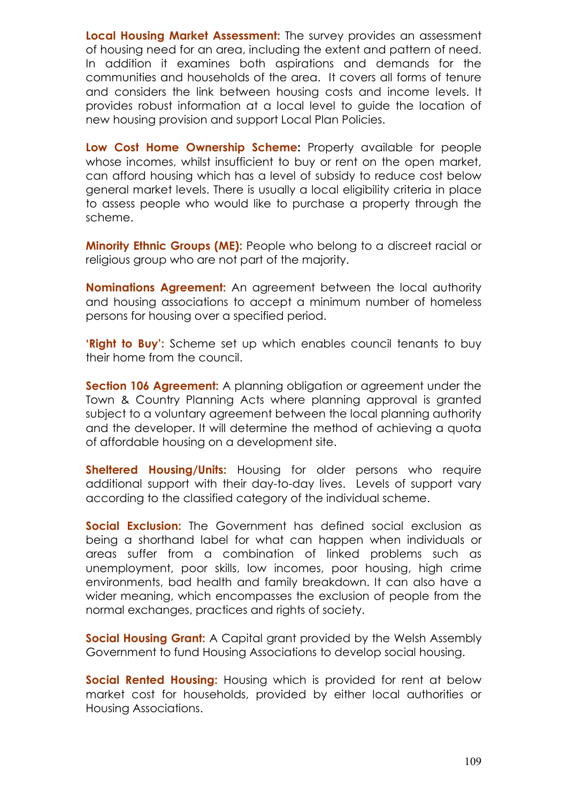Local Housing Market Assessment: The survey provides an assessment of housing need for an area, including the extent and pattern of need. In addition it examines both aspirations and demands for the communities and households of the area. It covers all forms of tenure and considers the link between housing costs and income levels. It provides robust information at a local level to guide the location of new housing provision and support Local Plan Policies.

Low Cost Home Ownership Scheme: Property available for people whose incomes, whilst insufficient to buy or rent on the open market, can afford housing which has a level of subsidy to reduce cost below general market levels. There is usually a local eligibility criteria in place to assess people who would like to purchase a property through the scheme.

Minority Ethnic Groups (ME): People who belong to a discreet racial or religious group who are not part of the majority.

Nominations Agreement: An agreement between the local authority and housing associations to accept a minimum number of homeless persons for housing over a specified period.

'Right to Buy': Scheme set up which enables council tenants to buy their home from the council.

Section 106 Agreement: A planning obligation or agreement under the Town & Country Planning Acts where planning approval is granted subject to a voluntary agreement between the local planning authority and the developer. It will determine the method of achieving a quota of affordable housing on a development site.

Sheltered Housing/Units: Housing for older persons who require additional support with their day-to-day lives. Levels of support vary according to the classified category of the individual scheme.

Social Exclusion: The Government has defined social exclusion as being a shorthand label for what can happen when individuals or areas suffer from a combination of linked problems such as unemployment, poor skills, low incomes, poor housing, high crime environments, bad health and family breakdown. It can also have a wider meaning, which encompasses the exclusion of people from the normal exchanges, practices and rights of society.

Social Housing Grant: A Capital grant provided by the Welsh Assembly Government to fund Housing Associations to develop social housing.

Social Rented Housing: Housing which is provided for rent at below market cost for households, provided by either local authorities or Housing Associations.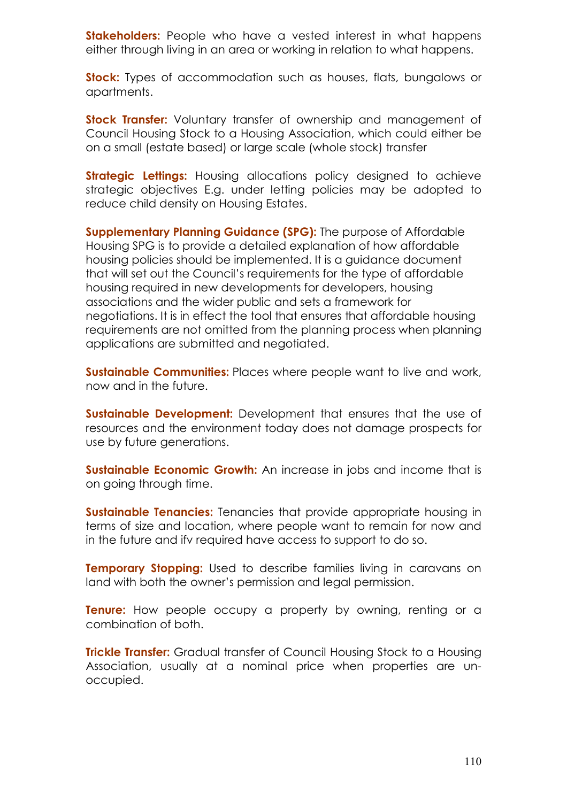Stakeholders: People who have a vested interest in what happens either through living in an area or working in relation to what happens.

**Stock:** Types of accommodation such as houses, flats, bungalows or apartments.

Stock Transfer: Voluntary transfer of ownership and management of Council Housing Stock to a Housing Association, which could either be on a small (estate based) or large scale (whole stock) transfer

**Strategic Lettings:** Housing allocations policy designed to achieve strategic objectives E.g. under letting policies may be adopted to reduce child density on Housing Estates.

Supplementary Planning Guidance (SPG): The purpose of Affordable Housing SPG is to provide a detailed explanation of how affordable housing policies should be implemented. It is a guidance document that will set out the Council's requirements for the type of affordable housing required in new developments for developers, housing associations and the wider public and sets a framework for negotiations. It is in effect the tool that ensures that affordable housing requirements are not omitted from the planning process when planning applications are submitted and negotiated.

Sustainable Communities: Places where people want to live and work, now and in the future.

**Sustainable Development:** Development that ensures that the use of resources and the environment today does not damage prospects for use by future generations.

Sustainable Economic Growth: An increase in jobs and income that is on going through time.

**Sustainable Tenancies:** Tenancies that provide appropriate housing in terms of size and location, where people want to remain for now and in the future and ifv required have access to support to do so.

**Temporary Stopping:** Used to describe families living in caravans on land with both the owner's permission and legal permission.

**Tenure:** How people occupy a property by owning, renting or a combination of both.

**Trickle Transfer:** Gradual transfer of Council Housing Stock to a Housing Association, usually at a nominal price when properties are unoccupied.